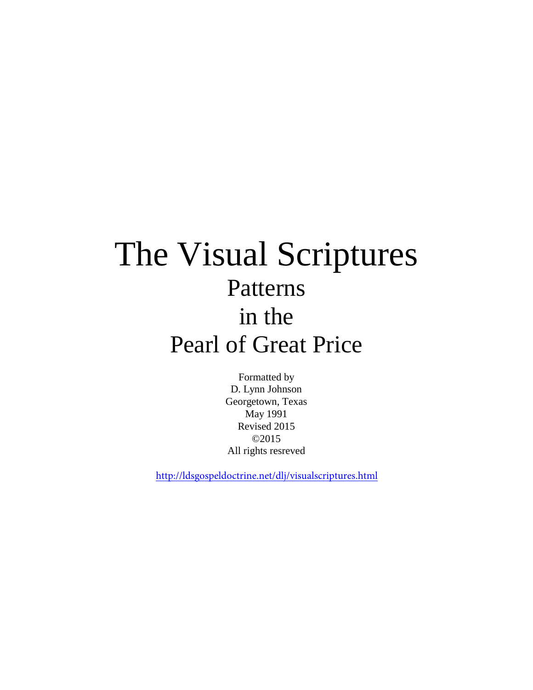# The Visual Scriptures Patterns in the Pearl of Great Price

Formatted by D. Lynn Johnson Georgetown, Texas May 1991 Revised 2015 ©2015 All rights resreved

http://ldsgospeldoctrine.net/dlj/visualscriptures.html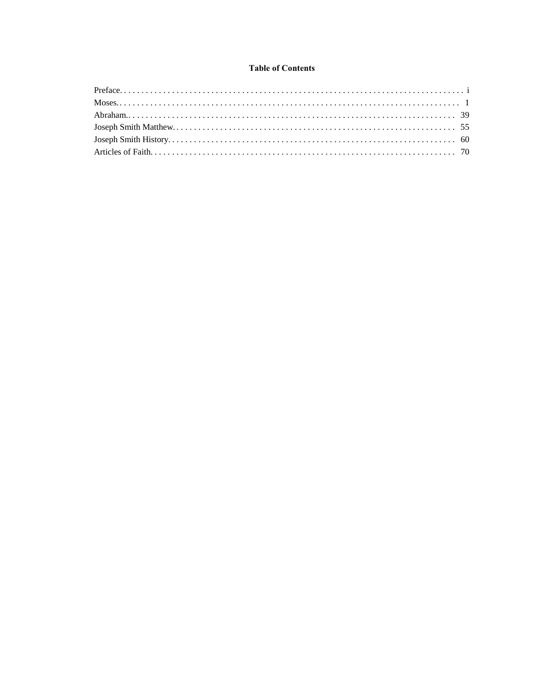# **Table of Contents**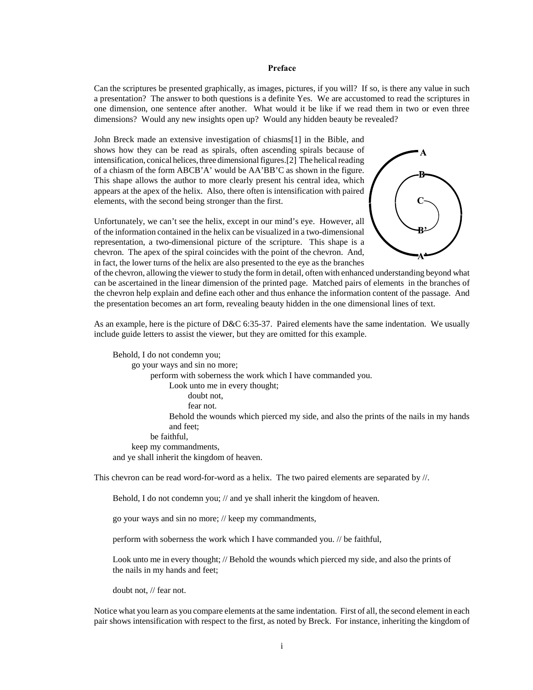<span id="page-2-0"></span>Can the scriptures be presented graphically, as images, pictures, if you will? If so, is there any value in such a presentation? The answer to both questions is a definite Yes. We are accustomed to read the scriptures in one dimension, one sentence after another. What would it be like if we read them in two or even three dimensions? Would any new insights open up? Would any hidden beauty be revealed?

John Breck made an extensive investigation of chiasms[1] in the Bible, and shows how they can be read as spirals, often ascending spirals because of intensification, conical helices, three dimensional figures.[2] The helical reading of a chiasm of the form ABCB'A' would be AA'BB'C as shown in the figure. This shape allows the author to more clearly present his central idea, which appears at the apex of the helix. Also, there often is intensification with paired elements, with the second being stronger than the first.

Unfortunately, we can't see the helix, except in our mind's eye. However, all of the information contained in the helix can be visualized in a two-dimensional representation, a two-dimensional picture of the scripture. This shape is a chevron. The apex of the spiral coincides with the point of the chevron. And, in fact, the lower turns of the helix are also presented to the eye as the branches



of the chevron, allowing the viewer to study the form in detail, often with enhanced understanding beyond what can be ascertained in the linear dimension of the printed page. Matched pairs of elements in the branches of the chevron help explain and define each other and thus enhance the information content of the passage. And the presentation becomes an art form, revealing beauty hidden in the one dimensional lines of text.

As an example, here is the picture of  $D&C 6:35-37$ . Paired elements have the same indentation. We usually include guide letters to assist the viewer, but they are omitted for this example.

Behold, I do not condemn you; go your ways and sin no more; perform with soberness the work which I have commanded you. Look unto me in every thought; doubt not, fear not. Behold the wounds which pierced my side, and also the prints of the nails in my hands and feet; be faithful, keep my commandments, and ye shall inherit the kingdom of heaven.

This chevron can be read word-for-word as a helix. The two paired elements are separated by //.

Behold, I do not condemn you; // and ye shall inherit the kingdom of heaven.

go your ways and sin no more; // keep my commandments,

perform with soberness the work which I have commanded you. // be faithful,

Look unto me in every thought; // Behold the wounds which pierced my side, and also the prints of the nails in my hands and feet;

doubt not, // fear not.

Notice what you learn as you compare elements at the same indentation. First of all, the second element in each pair shows intensification with respect to the first, as noted by Breck. For instance, inheriting the kingdom of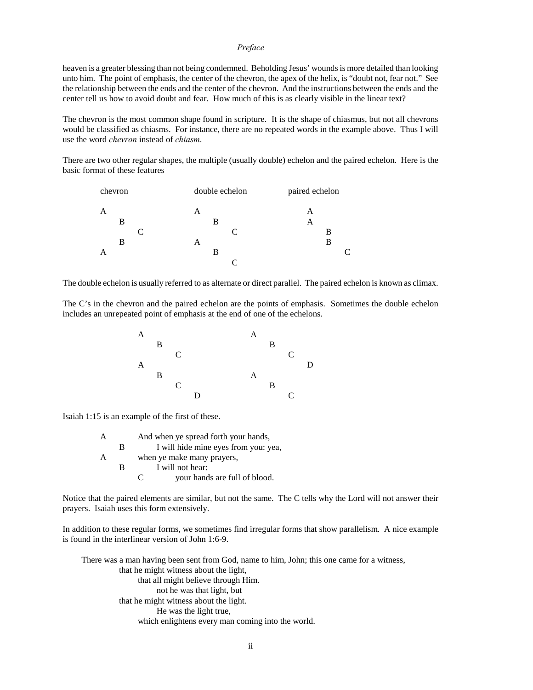heaven is a greater blessing than not being condemned. Beholding Jesus' wounds is more detailed than looking unto him. The point of emphasis, the center of the chevron, the apex of the helix, is "doubt not, fear not." See the relationship between the ends and the center of the chevron. And the instructions between the ends and the center tell us how to avoid doubt and fear. How much of this is as clearly visible in the linear text?

The chevron is the most common shape found in scripture. It is the shape of chiasmus, but not all chevrons would be classified as chiasms. For instance, there are no repeated words in the example above. Thus I will use the word *chevron* instead of *chiasm*.

There are two other regular shapes, the multiple (usually double) echelon and the paired echelon. Here is the basic format of these features



The double echelon is usually referred to as alternate or direct parallel. The paired echelon is known as climax.

The C's in the chevron and the paired echelon are the points of emphasis. Sometimes the double echelon includes an unrepeated point of emphasis at the end of one of the echelons.



Isaiah 1:15 is an example of the first of these.

|   | And when ye spread forth your hands, |  |  |
|---|--------------------------------------|--|--|
| в | I will hide mine eyes from you: yea, |  |  |
|   | when ye make many prayers,           |  |  |
| R | I will not hear:                     |  |  |
|   | your hands are full of blood.        |  |  |

Notice that the paired elements are similar, but not the same. The C tells why the Lord will not answer their prayers. Isaiah uses this form extensively.

In addition to these regular forms, we sometimes find irregular forms that show parallelism. A nice example is found in the interlinear version of John 1:6-9.

There was a man having been sent from God, name to him, John; this one came for a witness, that he might witness about the light, that all might believe through Him. not he was that light, but that he might witness about the light. He was the light true, which enlightens every man coming into the world.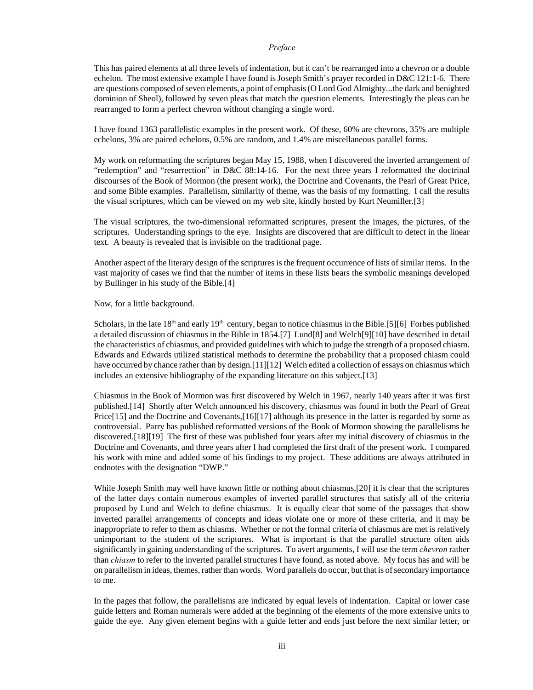This has paired elements at all three levels of indentation, but it can't be rearranged into a chevron or a double echelon. The most extensive example I have found is Joseph Smith's prayer recorded in D&C 121:1-6. There are questions composed of seven elements, a point of emphasis (O Lord God Almighty...the dark and benighted dominion of Sheol), followed by seven pleas that match the question elements. Interestingly the pleas can be rearranged to form a perfect chevron without changing a single word.

I have found 1363 parallelistic examples in the present work. Of these, 60% are chevrons, 35% are multiple echelons, 3% are paired echelons, 0.5% are random, and 1.4% are miscellaneous parallel forms.

My work on reformatting the scriptures began May 15, 1988, when I discovered the inverted arrangement of "redemption" and "resurrection" in D&C 88:14-16. For the next three years I reformatted the doctrinal discourses of the Book of Mormon (the present work), the Doctrine and Covenants, the Pearl of Great Price, and some Bible examples. Parallelism, similarity of theme, was the basis of my formatting. I call the results the visual scriptures, which can be viewed on my web site, kindly hosted by Kurt Neumiller.[3]

The visual scriptures, the two-dimensional reformatted scriptures, present the images, the pictures, of the scriptures. Understanding springs to the eye. Insights are discovered that are difficult to detect in the linear text. A beauty is revealed that is invisible on the traditional page.

Another aspect of the literary design of the scriptures is the frequent occurrence of lists of similar items. In the vast majority of cases we find that the number of items in these lists bears the symbolic meanings developed by Bullinger in his study of the Bible.[4]

Now, for a little background.

Scholars, in the late  $18<sup>th</sup>$  and early  $19<sup>th</sup>$  century, began to notice chiasmus in the Bible.[5][6] Forbes published a detailed discussion of chiasmus in the Bible in 1854.[7] Lund[8] and Welch[9][10] have described in detail the characteristics of chiasmus, and provided guidelines with which to judge the strength of a proposed chiasm. Edwards and Edwards utilized statistical methods to determine the probability that a proposed chiasm could have occurred by chance rather than by design.[11][12] Welch edited a collection of essays on chiasmus which includes an extensive bibliography of the expanding literature on this subject.[13]

Chiasmus in the Book of Mormon was first discovered by Welch in 1967, nearly 140 years after it was first published.[14] Shortly after Welch announced his discovery, chiasmus was found in both the Pearl of Great Price[15] and the Doctrine and Covenants,[16][17] although its presence in the latter is regarded by some as controversial. Parry has published reformatted versions of the Book of Mormon showing the parallelisms he discovered.[18][19] The first of these was published four years after my initial discovery of chiasmus in the Doctrine and Covenants, and three years after I had completed the first draft of the present work. I compared his work with mine and added some of his findings to my project. These additions are always attributed in endnotes with the designation "DWP."

While Joseph Smith may well have known little or nothing about chiasmus,[20] it is clear that the scriptures of the latter days contain numerous examples of inverted parallel structures that satisfy all of the criteria proposed by Lund and Welch to define chiasmus. It is equally clear that some of the passages that show inverted parallel arrangements of concepts and ideas violate one or more of these criteria, and it may be inappropriate to refer to them as chiasms. Whether or not the formal criteria of chiasmus are met is relatively unimportant to the student of the scriptures. What is important is that the parallel structure often aids significantly in gaining understanding of the scriptures. To avert arguments, I will use the term *chevron* rather than *chiasm* to refer to the inverted parallel structures I have found, as noted above. My focus has and will be on parallelism in ideas, themes, rather than words. Word parallels do occur, but that is of secondary importance to me.

In the pages that follow, the parallelisms are indicated by equal levels of indentation. Capital or lower case guide letters and Roman numerals were added at the beginning of the elements of the more extensive units to guide the eye. Any given element begins with a guide letter and ends just before the next similar letter, or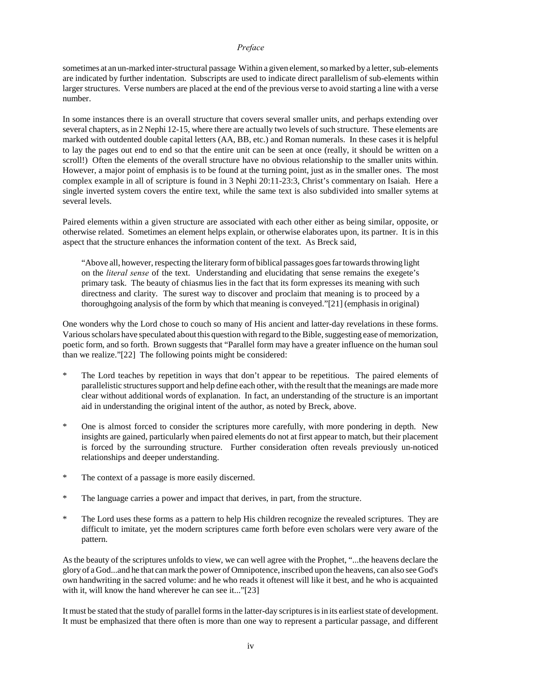sometimes at an un-marked inter-structural passage Within a given element, so marked by a letter, sub-elements are indicated by further indentation. Subscripts are used to indicate direct parallelism of sub-elements within larger structures. Verse numbers are placed at the end of the previous verse to avoid starting a line with a verse number.

In some instances there is an overall structure that covers several smaller units, and perhaps extending over several chapters, as in 2 Nephi 12-15, where there are actually two levels of such structure. These elements are marked with outdented double capital letters (AA, BB, etc.) and Roman numerals. In these cases it is helpful to lay the pages out end to end so that the entire unit can be seen at once (really, it should be written on a scroll!) Often the elements of the overall structure have no obvious relationship to the smaller units within. However, a major point of emphasis is to be found at the turning point, just as in the smaller ones. The most complex example in all of scripture is found in 3 Nephi 20:11-23:3, Christ's commentary on Isaiah. Here a single inverted system covers the entire text, while the same text is also subdivided into smaller sytems at several levels.

Paired elements within a given structure are associated with each other either as being similar, opposite, or otherwise related. Sometimes an element helps explain, or otherwise elaborates upon, its partner. It is in this aspect that the structure enhances the information content of the text. As Breck said,

"Above all, however, respecting the literary form of biblical passages goes far towards throwing light on the *literal sense* of the text. Understanding and elucidating that sense remains the exegete's primary task. The beauty of chiasmus lies in the fact that its form expresses its meaning with such directness and clarity. The surest way to discover and proclaim that meaning is to proceed by a thoroughgoing analysis of the form by which that meaning is conveyed."[21] (emphasis in original)

One wonders why the Lord chose to couch so many of His ancient and latter-day revelations in these forms. Various scholars have speculated about this question with regard to the Bible, suggesting ease of memorization, poetic form, and so forth. Brown suggests that "Parallel form may have a greater influence on the human soul than we realize."[22] The following points might be considered:

- The Lord teaches by repetition in ways that don't appear to be repetitious. The paired elements of parallelistic structures support and help define each other, with the result that the meanings are made more clear without additional words of explanation. In fact, an understanding of the structure is an important aid in understanding the original intent of the author, as noted by Breck, above.
- \* One is almost forced to consider the scriptures more carefully, with more pondering in depth. New insights are gained, particularly when paired elements do not at first appear to match, but their placement is forced by the surrounding structure. Further consideration often reveals previously un-noticed relationships and deeper understanding.
- \* The context of a passage is more easily discerned.
- The language carries a power and impact that derives, in part, from the structure.
- The Lord uses these forms as a pattern to help His children recognize the revealed scriptures. They are difficult to imitate, yet the modern scriptures came forth before even scholars were very aware of the pattern.

As the beauty of the scriptures unfolds to view, we can well agree with the Prophet, "...the heavens declare the glory of a God...and he that can mark the power of Omnipotence, inscribed upon the heavens, can also see God's own handwriting in the sacred volume: and he who reads it oftenest will like it best, and he who is acquainted with it, will know the hand wherever he can see it..."[23]

It must be stated that the study of parallel forms in the latter-day scriptures is in its earliest state of development. It must be emphasized that there often is more than one way to represent a particular passage, and different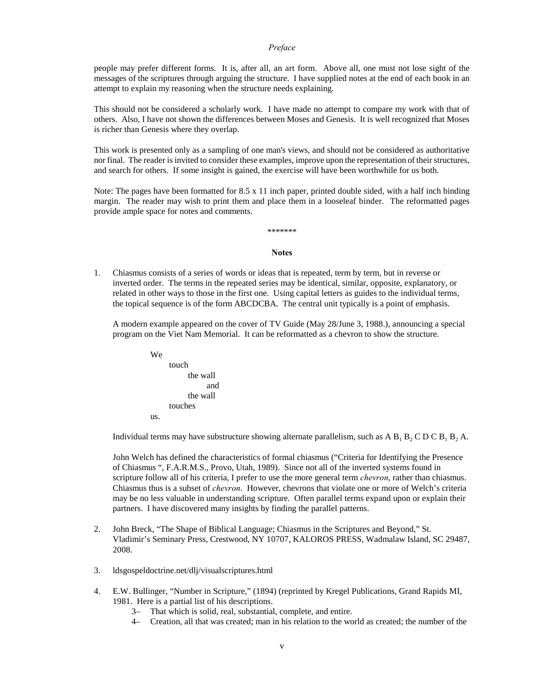people may prefer different forms. It is, after all, an art form. Above all, one must not lose sight of the messages of the scriptures through arguing the structure. I have supplied notes at the end of each book in an attempt to explain my reasoning when the structure needs explaining.

This should not be considered a scholarly work. I have made no attempt to compare my work with that of others. Also, I have not shown the differences between Moses and Genesis. It is well recognized that Moses is richer than Genesis where they overlap.

This work is presented only as a sampling of one man's views, and should not be considered as authoritative nor final. The reader is invited to consider these examples, improve upon the representation of their structures, and search for others. If some insight is gained, the exercise will have been worthwhile for us both.

Note: The pages have been formatted for 8.5 x 11 inch paper, printed double sided, with a half inch binding margin. The reader may wish to print them and place them in a looseleaf binder. The reformatted pages provide ample space for notes and comments.

# \*\*\*\*\*\*\*

### **Notes**

1. Chiasmus consists of a series of words or ideas that is repeated, term by term, but in reverse or inverted order. The terms in the repeated series may be identical, similar, opposite, explanatory, or related in other ways to those in the first one. Using capital letters as guides to the individual terms, the topical sequence is of the form ABCDCBA. The central unit typically is a point of emphasis.

A modern example appeared on the cover of TV Guide (May 28/June 3, 1988.), announcing a special program on the Viet Nam Memorial. It can be reformatted as a chevron to show the structure.



Individual terms may have substructure showing alternate parallelism, such as A  $B_1 B_2 C D C B_1 B_2 A$ .

John Welch has defined the characteristics of formal chiasmus ("Criteria for Identifying the Presence of Chiasmus ", F.A.R.M.S., Provo, Utah, 1989). Since not all of the inverted systems found in scripture follow all of his criteria, I prefer to use the more general term *chevron*, rather than chiasmus. Chiasmus thus is a subset of *chevron*. However, chevrons that violate one or more of Welch's criteria may be no less valuable in understanding scripture. Often parallel terms expand upon or explain their partners. I have discovered many insights by finding the parallel patterns.

- 2. John Breck, "The Shape of Biblical Language; Chiasmus in the Scriptures and Beyond," St. Vladimir's Seminary Press, Crestwood, NY 10707, KALOROS PRESS, Wadmalaw Island, SC 29487, 2008.
- 3. ldsgospeldoctrine.net/dlj/visualscriptures.html
- 4. E.W. Bullinger, "Number in Scripture," (1894) (reprinted by Kregel Publications, Grand Rapids MI, 1981. Here is a partial list of his descriptions.
	- 3– That which is solid, real, substantial, complete, and entire.
	- 4– Creation, all that was created; man in his relation to the world as created; the number of the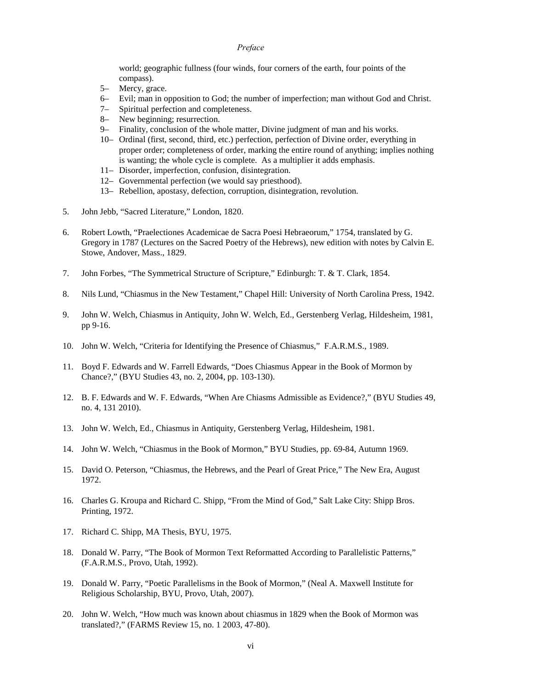world; geographic fullness (four winds, four corners of the earth, four points of the compass).

- 5– Mercy, grace.
- 6– Evil; man in opposition to God; the number of imperfection; man without God and Christ.
- 7– Spiritual perfection and completeness.
- 8– New beginning; resurrection.
- 9– Finality, conclusion of the whole matter, Divine judgment of man and his works.
- 10– Ordinal (first, second, third, etc.) perfection, perfection of Divine order, everything in proper order; completeness of order, marking the entire round of anything; implies nothing is wanting; the whole cycle is complete. As a multiplier it adds emphasis.
- 11– Disorder, imperfection, confusion, disintegration.
- 12– Governmental perfection (we would say priesthood).
- 13– Rebellion, apostasy, defection, corruption, disintegration, revolution.
- 5. John Jebb, "Sacred Literature," London, 1820.
- 6. Robert Lowth, "Praelectiones Academicae de Sacra Poesi Hebraeorum," 1754, translated by G. Gregory in 1787 (Lectures on the Sacred Poetry of the Hebrews), new edition with notes by Calvin E. Stowe, Andover, Mass., 1829.
- 7. John Forbes, "The Symmetrical Structure of Scripture," Edinburgh: T. & T. Clark, 1854.
- 8. Nils Lund, "Chiasmus in the New Testament," Chapel Hill: University of North Carolina Press, 1942.
- 9. John W. Welch, Chiasmus in Antiquity, John W. Welch, Ed., Gerstenberg Verlag, Hildesheim, 1981, pp 9-16.
- 10. John W. Welch, "Criteria for Identifying the Presence of Chiasmus," F.A.R.M.S., 1989.
- 11. Boyd F. Edwards and W. Farrell Edwards, "Does Chiasmus Appear in the Book of Mormon by Chance?," (BYU Studies 43, no. 2, 2004, pp. 103-130).
- 12. B. F. Edwards and W. F. Edwards, "When Are Chiasms Admissible as Evidence?," (BYU Studies 49, no. 4, 131 2010).
- 13. John W. Welch, Ed., Chiasmus in Antiquity, Gerstenberg Verlag, Hildesheim, 1981.
- 14. John W. Welch, "Chiasmus in the Book of Mormon," BYU Studies, pp. 69-84, Autumn 1969.
- 15. David O. Peterson, "Chiasmus, the Hebrews, and the Pearl of Great Price," The New Era, August 1972.
- 16. Charles G. Kroupa and Richard C. Shipp, "From the Mind of God," Salt Lake City: Shipp Bros. Printing, 1972.
- 17. Richard C. Shipp, MA Thesis, BYU, 1975.
- 18. Donald W. Parry, "The Book of Mormon Text Reformatted According to Parallelistic Patterns," (F.A.R.M.S., Provo, Utah, 1992).
- 19. Donald W. Parry, "Poetic Parallelisms in the Book of Mormon," (Neal A. Maxwell Institute for Religious Scholarship, BYU, Provo, Utah, 2007).
- 20. John W. Welch, "How much was known about chiasmus in 1829 when the Book of Mormon was translated?," (FARMS Review 15, no. 1 2003, 47-80).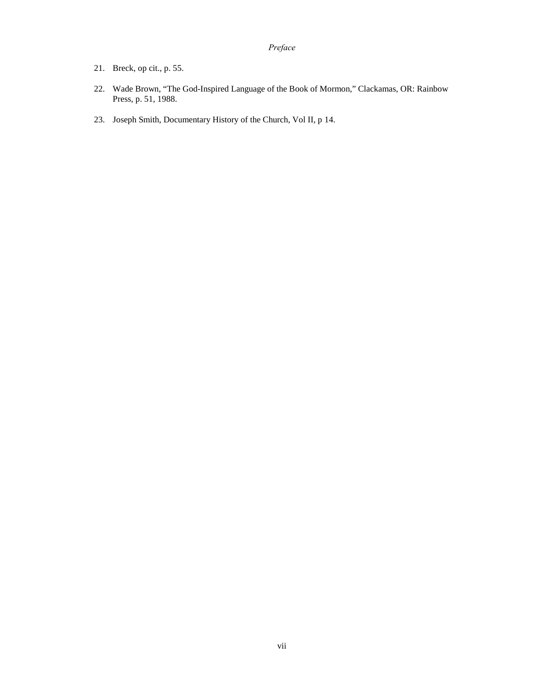- 21. Breck, op cit., p. 55.
- 22. Wade Brown, "The God-Inspired Language of the Book of Mormon," Clackamas, OR: Rainbow Press, p. 51, 1988.
- 23. Joseph Smith, Documentary History of the Church, Vol II, p 14.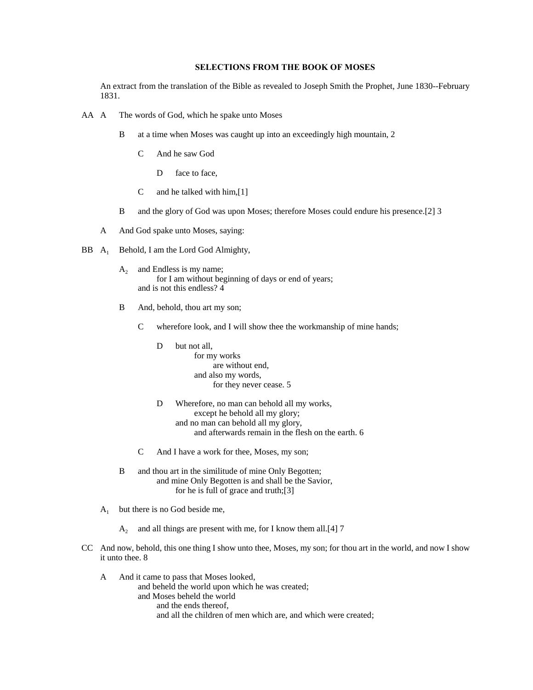### **SELECTIONS FROM THE BOOK OF MOSES**

An extract from the translation of the Bible as revealed to Joseph Smith the Prophet, June 1830--February 1831.

- <span id="page-9-0"></span>AA A The words of God, which he spake unto Moses
	- B at a time when Moses was caught up into an exceedingly high mountain, 2
		- C And he saw God
			- D face to face.
		- C and he talked with him,[1]
	- B and the glory of God was upon Moses; therefore Moses could endure his presence.[2] 3
	- A And God spake unto Moses, saying:
- BB A<sub>1</sub> Behold, I am the Lord God Almighty,
	- $A_2$  and Endless is my name; for I am without beginning of days or end of years; and is not this endless? 4
	- B And, behold, thou art my son;
		- C wherefore look, and I will show thee the workmanship of mine hands;
			- D but not all, for my works are without end, and also my words, for they never cease. 5
			- D Wherefore, no man can behold all my works, except he behold all my glory; and no man can behold all my glory, and afterwards remain in the flesh on the earth. 6
		- C And I have a work for thee, Moses, my son;
	- B and thou art in the similitude of mine Only Begotten; and mine Only Begotten is and shall be the Savior, for he is full of grace and truth;[3]
	- $A_1$  but there is no God beside me,
		- $A_2$  and all things are present with me, for I know them all.[4] 7
- CC And now, behold, this one thing I show unto thee, Moses, my son; for thou art in the world, and now I show it unto thee. 8
	- A And it came to pass that Moses looked, and beheld the world upon which he was created; and Moses beheld the world and the ends thereof, and all the children of men which are, and which were created;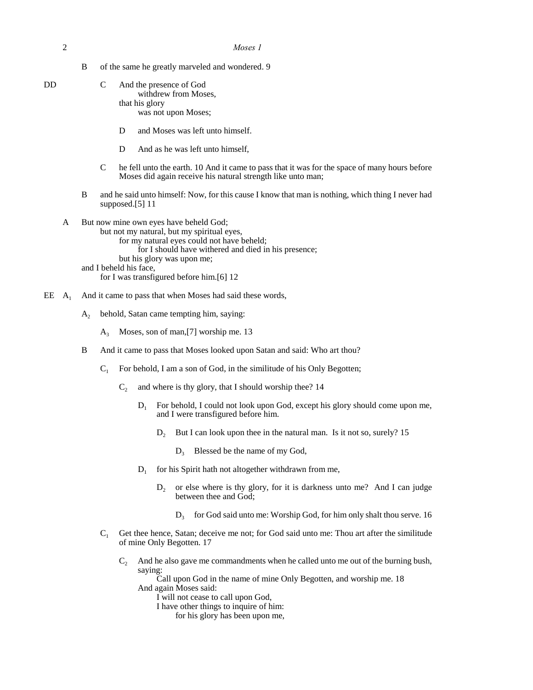2 *Moses 1*

B of the same he greatly marveled and wondered. 9

| DD | $\mathbf{C}$ | And the presence of God |
|----|--------------|-------------------------|
|    |              | withdrew from Moses.    |
|    |              | that his glory          |
|    |              | was not upon Moses;     |

- D and Moses was left unto himself.
- D And as he was left unto himself,
- C he fell unto the earth. 10 And it came to pass that it was for the space of many hours before Moses did again receive his natural strength like unto man;
- B and he said unto himself: Now, for this cause I know that man is nothing, which thing I never had supposed.[5] 11
- A But now mine own eyes have beheld God;
	- but not my natural, but my spiritual eyes, for my natural eyes could not have beheld; for I should have withered and died in his presence; but his glory was upon me; and I beheld his face, for I was transfigured before him.[6] 12
- EE  $A_1$  And it came to pass that when Moses had said these words,
	- $A<sub>2</sub>$  behold, Satan came tempting him, saying:
		- $A_3$  Moses, son of man, [7] worship me. 13
	- B And it came to pass that Moses looked upon Satan and said: Who art thou?
		- $C_1$  For behold, I am a son of God, in the similitude of his Only Begotten;
			- $C_2$  and where is thy glory, that I should worship thee? 14
				- $D_1$  For behold, I could not look upon God, except his glory should come upon me, and I were transfigured before him.
					- $D<sub>2</sub>$  But I can look upon thee in the natural man. Is it not so, surely? 15
						- $D_3$  Blessed be the name of my God,
				- $D<sub>1</sub>$ for his Spirit hath not altogether withdrawn from me,
					- $D_2$  or else where is thy glory, for it is darkness unto me? And I can judge between thee and God;
						- $D_3$  for God said unto me: Worship God, for him only shalt thou serve. 16
		- C<sup>1</sup> Get thee hence, Satan; deceive me not; for God said unto me: Thou art after the similitude of mine Only Begotten. 17
			- $C_2$  And he also gave me commandments when he called unto me out of the burning bush, saying:

Call upon God in the name of mine Only Begotten, and worship me. 18 And again Moses said:

I will not cease to call upon God,

I have other things to inquire of him:

for his glory has been upon me,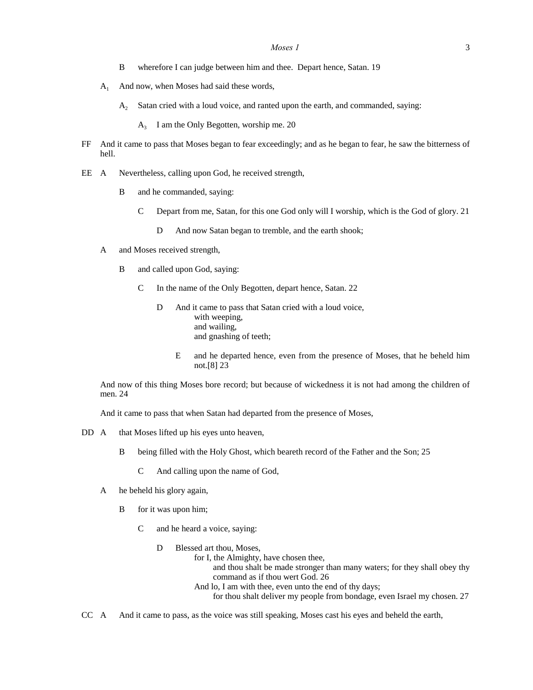- B wherefore I can judge between him and thee. Depart hence, Satan. 19
- $A_1$  And now, when Moses had said these words,
	- A<sub>2</sub> Satan cried with a loud voice, and ranted upon the earth, and commanded, saying:
		- A3 I am the Only Begotten, worship me. 20
- FF And it came to pass that Moses began to fear exceedingly; and as he began to fear, he saw the bitterness of hell.
- EE A Nevertheless, calling upon God, he received strength,
	- B and he commanded, saying:
		- C Depart from me, Satan, for this one God only will I worship, which is the God of glory. 21
			- D And now Satan began to tremble, and the earth shook;
	- A and Moses received strength,
		- B and called upon God, saying:
			- C In the name of the Only Begotten, depart hence, Satan. 22
				- D And it came to pass that Satan cried with a loud voice, with weeping, and wailing, and gnashing of teeth;
					- E and he departed hence, even from the presence of Moses, that he beheld him not.[8] 23

And now of this thing Moses bore record; but because of wickedness it is not had among the children of men. 24

And it came to pass that when Satan had departed from the presence of Moses,

- DD A that Moses lifted up his eyes unto heaven,
	- B being filled with the Holy Ghost, which beareth record of the Father and the Son; 25
		- C And calling upon the name of God,
	- A he beheld his glory again,
		- B for it was upon him;
			- C and he heard a voice, saying:
				- D Blessed art thou, Moses,
					- for I, the Almighty, have chosen thee,
						- and thou shalt be made stronger than many waters; for they shall obey thy command as if thou wert God. 26
						- And lo, I am with thee, even unto the end of thy days;
							- for thou shalt deliver my people from bondage, even Israel my chosen. 27

CC A And it came to pass, as the voice was still speaking, Moses cast his eyes and beheld the earth,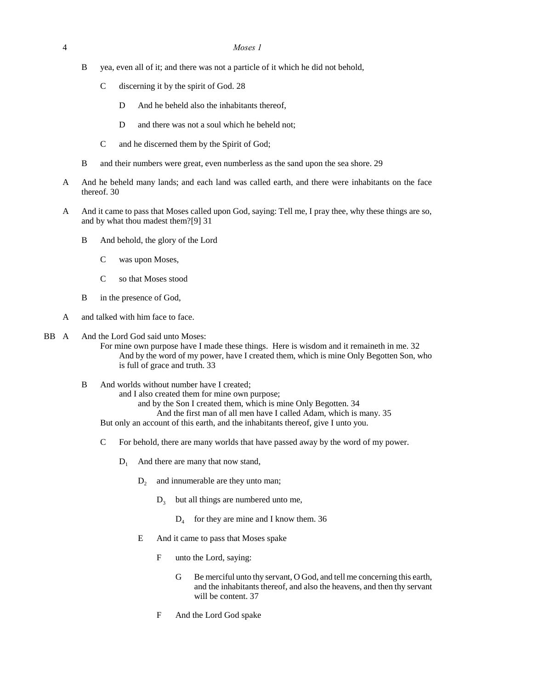- B yea, even all of it; and there was not a particle of it which he did not behold,
	- C discerning it by the spirit of God. 28
		- D And he beheld also the inhabitants thereof,
		- D and there was not a soul which he beheld not;
	- C and he discerned them by the Spirit of God;
- B and their numbers were great, even numberless as the sand upon the sea shore. 29
- A And he beheld many lands; and each land was called earth, and there were inhabitants on the face thereof. 30
- A And it came to pass that Moses called upon God, saying: Tell me, I pray thee, why these things are so, and by what thou madest them?[9] 31
	- B And behold, the glory of the Lord
		- C was upon Moses,
		- C so that Moses stood
	- B in the presence of God,
- A and talked with him face to face.

#### BB A And the Lord God said unto Moses:

For mine own purpose have I made these things. Here is wisdom and it remaineth in me. 32 And by the word of my power, have I created them, which is mine Only Begotten Son, who is full of grace and truth. 33

B And worlds without number have I created;

and I also created them for mine own purpose;

and by the Son I created them, which is mine Only Begotten. 34 And the first man of all men have I called Adam, which is many. 35 But only an account of this earth, and the inhabitants thereof, give I unto you.

- C For behold, there are many worlds that have passed away by the word of my power.
	- $D_1$  And there are many that now stand,
		- $D<sub>2</sub>$  and innumerable are they unto man;
			- $D<sub>3</sub>$  but all things are numbered unto me,
				- D4 for they are mine and I know them. 36
		- E And it came to pass that Moses spake
			- F unto the Lord, saying:
				- G Be merciful unto thy servant, O God, and tell me concerning this earth, and the inhabitants thereof, and also the heavens, and then thy servant will be content. 37
			- F And the Lord God spake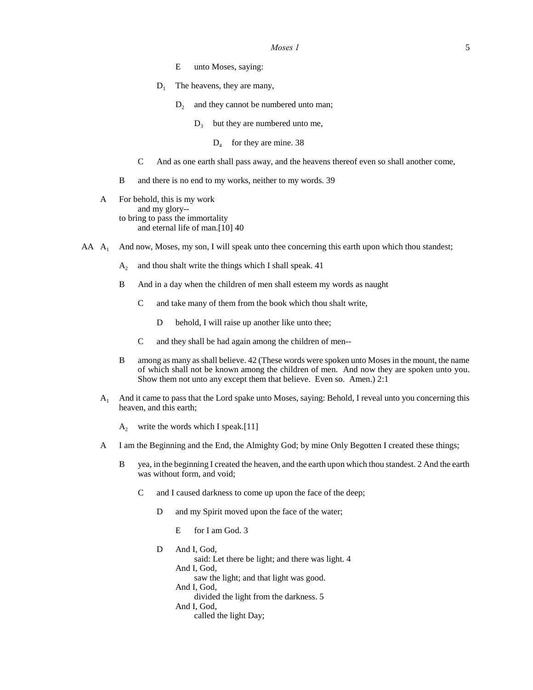- E unto Moses, saying:
- $D_1$  The heavens, they are many,
	- $D_2$  and they cannot be numbered unto man;
		- $D_3$  but they are numbered unto me,
			- $D_4$  for they are mine. 38
- C And as one earth shall pass away, and the heavens thereof even so shall another come,
- B and there is no end to my works, neither to my words. 39
- A For behold, this is my work and my glory- to bring to pass the immortality and eternal life of man.[10] 40
- AA A<sub>1</sub> And now, Moses, my son, I will speak unto thee concerning this earth upon which thou standest;
	- $A_2$  and thou shalt write the things which I shall speak. 41
	- B And in a day when the children of men shall esteem my words as naught
		- C and take many of them from the book which thou shalt write,
			- D behold, I will raise up another like unto thee;
		- C and they shall be had again among the children of men--
	- B among as many as shall believe. 42 (These words were spoken unto Moses in the mount, the name of which shall not be known among the children of men. And now they are spoken unto you. Show them not unto any except them that believe. Even so. Amen.) 2:1
	- A<sup>1</sup> And it came to pass that the Lord spake unto Moses, saying: Behold, I reveal unto you concerning this heaven, and this earth;
		- $A_2$  write the words which I speak.[11]
	- A I am the Beginning and the End, the Almighty God; by mine Only Begotten I created these things;
		- B yea, in the beginning I created the heaven, and the earth upon which thou standest. 2 And the earth was without form, and void;
			- C and I caused darkness to come up upon the face of the deep;
				- D and my Spirit moved upon the face of the water;
					- E for I am God. 3
				- D And I, God, said: Let there be light; and there was light. 4 And I, God, saw the light; and that light was good. And I, God, divided the light from the darkness. 5 And I, God, called the light Day;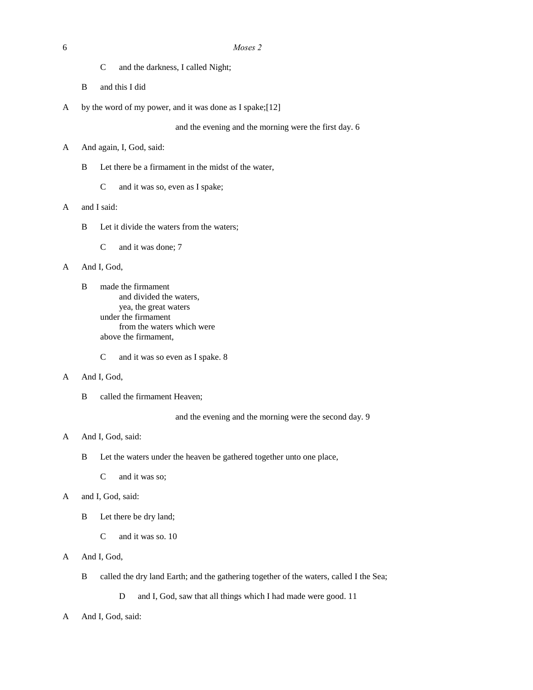- C and the darkness, I called Night;
- B and this I did
- A by the word of my power, and it was done as I spake;[12]

and the evening and the morning were the first day. 6

- A And again, I, God, said:
	- B Let there be a firmament in the midst of the water,
		- C and it was so, even as I spake;

# A and I said:

- B Let it divide the waters from the waters;
	- C and it was done; 7

#### A And I, God,

- B made the firmament and divided the waters, yea, the great waters under the firmament from the waters which were above the firmament,
	- C and it was so even as I spake. 8

#### A And I, God,

B called the firmament Heaven;

and the evening and the morning were the second day. 9

# A And I, God, said:

- B Let the waters under the heaven be gathered together unto one place,
	- C and it was so;

#### A and I, God, said:

- B Let there be dry land;
	- C and it was so. 10

# A And I, God,

B called the dry land Earth; and the gathering together of the waters, called I the Sea;

D and I, God, saw that all things which I had made were good. 11

A And I, God, said: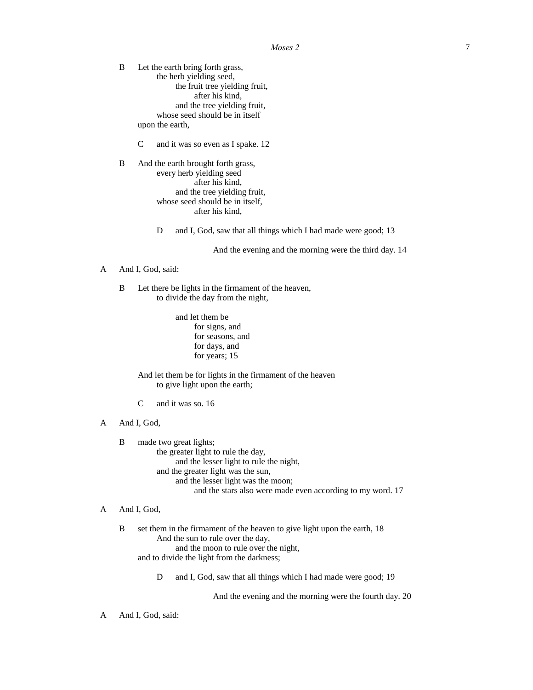B Let the earth bring forth grass, the herb yielding seed, the fruit tree yielding fruit, after his kind, and the tree yielding fruit, whose seed should be in itself upon the earth,

C and it was so even as I spake. 12

B And the earth brought forth grass, every herb yielding seed after his kind, and the tree yielding fruit, whose seed should be in itself, after his kind,

D and I, God, saw that all things which I had made were good; 13

And the evening and the morning were the third day. 14

#### A And I, God, said:

B Let there be lights in the firmament of the heaven, to divide the day from the night,

> and let them be for signs, and for seasons, and for days, and for years; 15

And let them be for lights in the firmament of the heaven to give light upon the earth;

- C and it was so. 16
- A And I, God,
	- B made two great lights; the greater light to rule the day, and the lesser light to rule the night, and the greater light was the sun, and the lesser light was the moon; and the stars also were made even according to my word. 17
- A And I, God,

B set them in the firmament of the heaven to give light upon the earth, 18 And the sun to rule over the day, and the moon to rule over the night, and to divide the light from the darkness;

D and I, God, saw that all things which I had made were good; 19

And the evening and the morning were the fourth day. 20

A And I, God, said: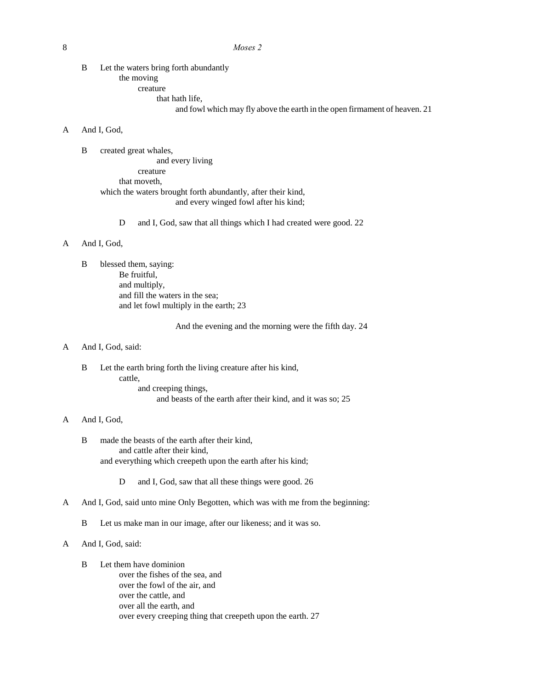B Let the waters bring forth abundantly the moving creature that hath life,

and fowl which may fly above the earth in the open firmament of heaven. 21

# A And I, God,

- B created great whales, and every living creature that moveth, which the waters brought forth abundantly, after their kind, and every winged fowl after his kind;
	- D and I, God, saw that all things which I had created were good. 22

# A And I, God,

B blessed them, saying: Be fruitful, and multiply, and fill the waters in the sea; and let fowl multiply in the earth; 23

And the evening and the morning were the fifth day. 24

#### A And I, God, said:

B Let the earth bring forth the living creature after his kind, cattle, and creeping things, and beasts of the earth after their kind, and it was so; 25

# A And I, God,

- B made the beasts of the earth after their kind, and cattle after their kind, and everything which creepeth upon the earth after his kind;
	- D and I, God, saw that all these things were good. 26
- A And I, God, said unto mine Only Begotten, which was with me from the beginning:
	- B Let us make man in our image, after our likeness; and it was so.

# A And I, God, said:

- B Let them have dominion
	- over the fishes of the sea, and over the fowl of the air, and over the cattle, and over all the earth, and over every creeping thing that creepeth upon the earth. 27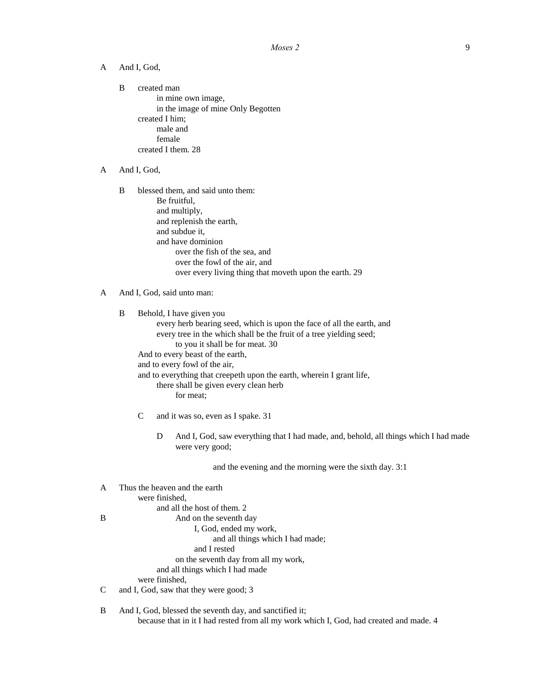A And I, God,

B created man in mine own image, in the image of mine Only Begotten created I him; male and female created I them. 28

A And I, God,

B blessed them, and said unto them: Be fruitful, and multiply, and replenish the earth, and subdue it, and have dominion over the fish of the sea, and over the fowl of the air, and over every living thing that moveth upon the earth. 29

B Behold, I have given you every herb bearing seed, which is upon the face of all the earth, and every tree in the which shall be the fruit of a tree yielding seed; to you it shall be for meat. 30 And to every beast of the earth, and to every fowl of the air, and to everything that creepeth upon the earth, wherein I grant life, there shall be given every clean herb for meat;

- C and it was so, even as I spake. 31
	- D And I, God, saw everything that I had made, and, behold, all things which I had made were very good;

and the evening and the morning were the sixth day. 3:1

| A | Thus the heaven and the earth                           |
|---|---------------------------------------------------------|
|   | were finished.                                          |
|   | and all the host of them. 2                             |
| B | And on the seventh day                                  |
|   | I, God, ended my work,                                  |
|   | and all things which I had made;                        |
|   | and I rested                                            |
|   | on the seventh day from all my work,                    |
|   | and all things which I had made                         |
|   | were finished.                                          |
| C | and I, God, saw that they were good; 3                  |
| B | And I, God, blessed the seventh day, and sanctified it; |

because that in it I had rested from all my work which I, God, had created and made. 4

A And I, God, said unto man: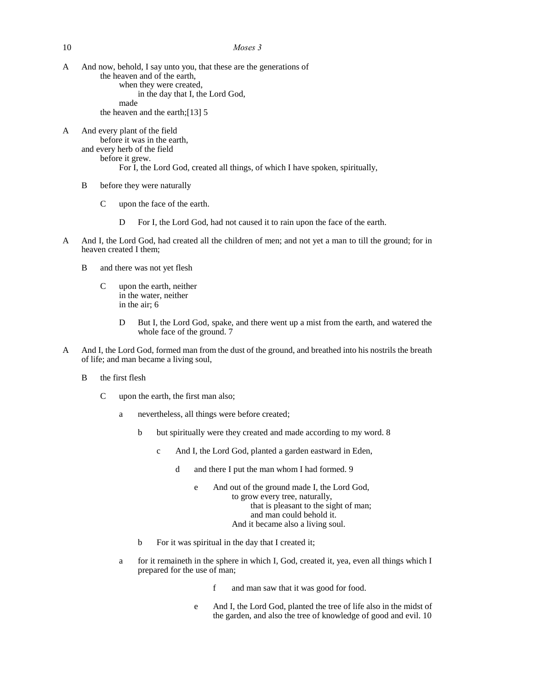- A And now, behold, I say unto you, that these are the generations of the heaven and of the earth, when they were created, in the day that I, the Lord God, made the heaven and the earth;[13] 5
- A And every plant of the field before it was in the earth, and every herb of the field before it grew. For I, the Lord God, created all things, of which I have spoken, spiritually,
	- B before they were naturally
		- C upon the face of the earth.
			- D For I, the Lord God, had not caused it to rain upon the face of the earth.
- A And I, the Lord God, had created all the children of men; and not yet a man to till the ground; for in heaven created I them;
	- B and there was not yet flesh
		- C upon the earth, neither in the water, neither in the air; 6
			- D But I, the Lord God, spake, and there went up a mist from the earth, and watered the whole face of the ground. 7
- A And I, the Lord God, formed man from the dust of the ground, and breathed into his nostrils the breath of life; and man became a living soul,
	- B the first flesh
		- C upon the earth, the first man also;
			- a nevertheless, all things were before created;
				- b but spiritually were they created and made according to my word. 8
					- c And I, the Lord God, planted a garden eastward in Eden,
						- d and there I put the man whom I had formed. 9
							- e And out of the ground made I, the Lord God, to grow every tree, naturally, that is pleasant to the sight of man; and man could behold it. And it became also a living soul.
				- b For it was spiritual in the day that I created it;
			- a for it remaineth in the sphere in which I, God, created it, yea, even all things which I prepared for the use of man;
				- f and man saw that it was good for food.
				- e And I, the Lord God, planted the tree of life also in the midst of the garden, and also the tree of knowledge of good and evil. 10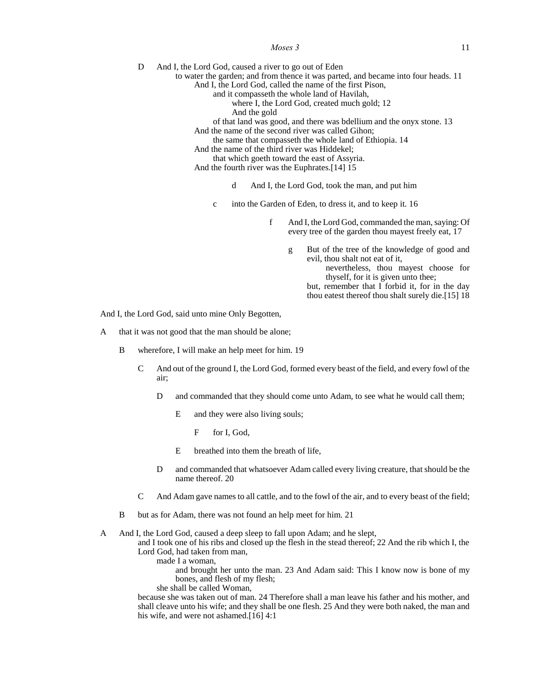#### *Moses* 3 11

D And I, the Lord God, caused a river to go out of Eden

- to water the garden; and from thence it was parted, and became into four heads. 11 And I, the Lord God, called the name of the first Pison,
	- and it compasseth the whole land of Havilah,
		- where I, the Lord God, created much gold; 12
		- And the gold

of that land was good, and there was bdellium and the onyx stone. 13

And the name of the second river was called Gihon;

the same that compasseth the whole land of Ethiopia. 14

And the name of the third river was Hiddekel;

- that which goeth toward the east of Assyria.
- And the fourth river was the Euphrates.[14] 15
	- d And I, the Lord God, took the man, and put him
	- c into the Garden of Eden, to dress it, and to keep it. 16
		- f And I, the Lord God, commanded the man, saying: Of every tree of the garden thou mayest freely eat, 17
			- g But of the tree of the knowledge of good and evil, thou shalt not eat of it,
				- nevertheless, thou mayest choose for thyself, for it is given unto thee;

but, remember that I forbid it, for in the day thou eatest thereof thou shalt surely die.[15] 18

And I, the Lord God, said unto mine Only Begotten,

- A that it was not good that the man should be alone;
	- B wherefore, I will make an help meet for him. 19
		- C And out of the ground I, the Lord God, formed every beast of the field, and every fowl of the air;
			- D and commanded that they should come unto Adam, to see what he would call them;
				- E and they were also living souls;
					- F for I, God,
				- E breathed into them the breath of life,
			- D and commanded that whatsoever Adam called every living creature, that should be the name thereof. 20
		- C And Adam gave names to all cattle, and to the fowl of the air, and to every beast of the field;
	- B but as for Adam, there was not found an help meet for him. 21
- A And I, the Lord God, caused a deep sleep to fall upon Adam; and he slept,

and I took one of his ribs and closed up the flesh in the stead thereof; 22 And the rib which I, the Lord God, had taken from man,

made I a woman,

and brought her unto the man. 23 And Adam said: This I know now is bone of my bones, and flesh of my flesh;

she shall be called Woman,

because she was taken out of man. 24 Therefore shall a man leave his father and his mother, and shall cleave unto his wife; and they shall be one flesh. 25 And they were both naked, the man and his wife, and were not ashamed.<sup>[16]</sup> 4:1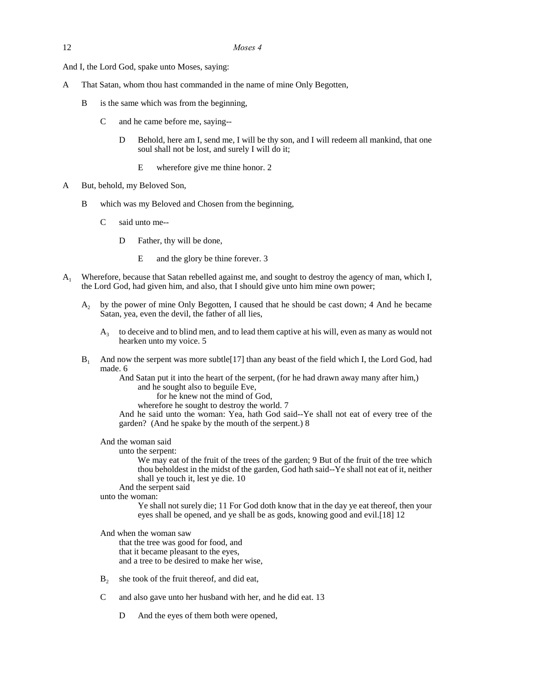And I, the Lord God, spake unto Moses, saying:

- A That Satan, whom thou hast commanded in the name of mine Only Begotten,
	- B is the same which was from the beginning,
		- C and he came before me, saying--
			- D Behold, here am I, send me, I will be thy son, and I will redeem all mankind, that one soul shall not be lost, and surely I will do it;
				- E wherefore give me thine honor. 2
- A But, behold, my Beloved Son,
	- B which was my Beloved and Chosen from the beginning,
		- C said unto me--
			- D Father, thy will be done,
				- E and the glory be thine forever. 3
- A<sup>1</sup> Wherefore, because that Satan rebelled against me, and sought to destroy the agency of man, which I, the Lord God, had given him, and also, that I should give unto him mine own power;
	- A<sup>2</sup> by the power of mine Only Begotten, I caused that he should be cast down; 4 And he became Satan, yea, even the devil, the father of all lies,
		- $A<sub>3</sub>$ to deceive and to blind men, and to lead them captive at his will, even as many as would not hearken unto my voice. 5
	- $B_1$  And now the serpent was more subtle[17] than any beast of the field which I, the Lord God, had made. 6

And Satan put it into the heart of the serpent, (for he had drawn away many after him,) and he sought also to beguile Eve,

for he knew not the mind of God,

wherefore he sought to destroy the world. 7

And he said unto the woman: Yea, hath God said--Ye shall not eat of every tree of the garden? (And he spake by the mouth of the serpent.) 8

And the woman said

unto the serpent:

We may eat of the fruit of the trees of the garden; 9 But of the fruit of the tree which thou beholdest in the midst of the garden, God hath said--Ye shall not eat of it, neither shall ye touch it, lest ye die. 10

And the serpent said

unto the woman:

Ye shall not surely die; 11 For God doth know that in the day ye eat thereof, then your eyes shall be opened, and ye shall be as gods, knowing good and evil.[18] 12

And when the woman saw that the tree was good for food, and that it became pleasant to the eyes, and a tree to be desired to make her wise,

- $B_2$  she took of the fruit thereof, and did eat,
- C and also gave unto her husband with her, and he did eat. 13
	- D And the eyes of them both were opened,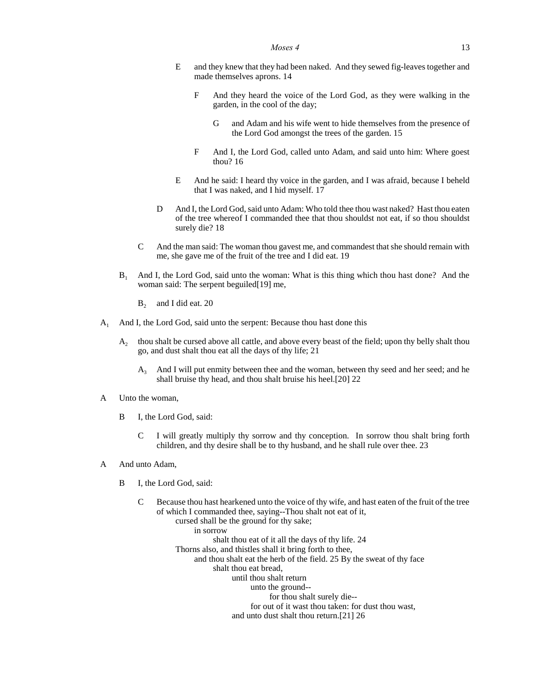- E and they knew that they had been naked. And they sewed fig-leaves together and made themselves aprons. 14
	- F And they heard the voice of the Lord God, as they were walking in the garden, in the cool of the day;
		- G and Adam and his wife went to hide themselves from the presence of the Lord God amongst the trees of the garden. 15
	- F And I, the Lord God, called unto Adam, and said unto him: Where goest thou? 16
- E And he said: I heard thy voice in the garden, and I was afraid, because I beheld that I was naked, and I hid myself. 17
- D And I, the Lord God, said unto Adam: Who told thee thou wast naked? Hast thou eaten of the tree whereof I commanded thee that thou shouldst not eat, if so thou shouldst surely die? 18
- C And the man said: The woman thou gavest me, and commandest that she should remain with me, she gave me of the fruit of the tree and I did eat. 19
- $B<sub>1</sub>$  And I, the Lord God, said unto the woman: What is this thing which thou hast done? And the woman said: The serpent beguiled[19] me,
	- $B_2$  and I did eat. 20
- A<sup>1</sup> And I, the Lord God, said unto the serpent: Because thou hast done this
	- $A_{2}$ thou shalt be cursed above all cattle, and above every beast of the field; upon thy belly shalt thou go, and dust shalt thou eat all the days of thy life; 21
		- $A_3$  And I will put enmity between thee and the woman, between thy seed and her seed; and he shall bruise thy head, and thou shalt bruise his heel.[20] 22
- A Unto the woman,
	- B I, the Lord God, said:
		- C I will greatly multiply thy sorrow and thy conception. In sorrow thou shalt bring forth children, and thy desire shall be to thy husband, and he shall rule over thee. 23
- A And unto Adam,
	- B I, the Lord God, said:
		- C Because thou hast hearkened unto the voice of thy wife, and hast eaten of the fruit of the tree of which I commanded thee, saying--Thou shalt not eat of it, cursed shall be the ground for thy sake;
			- in sorrow shalt thou eat of it all the days of thy life. 24 Thorns also, and thistles shall it bring forth to thee, and thou shalt eat the herb of the field. 25 By the sweat of thy face shalt thou eat bread, until thou shalt return unto the ground- for thou shalt surely die- for out of it wast thou taken: for dust thou wast, and unto dust shalt thou return.[21] 26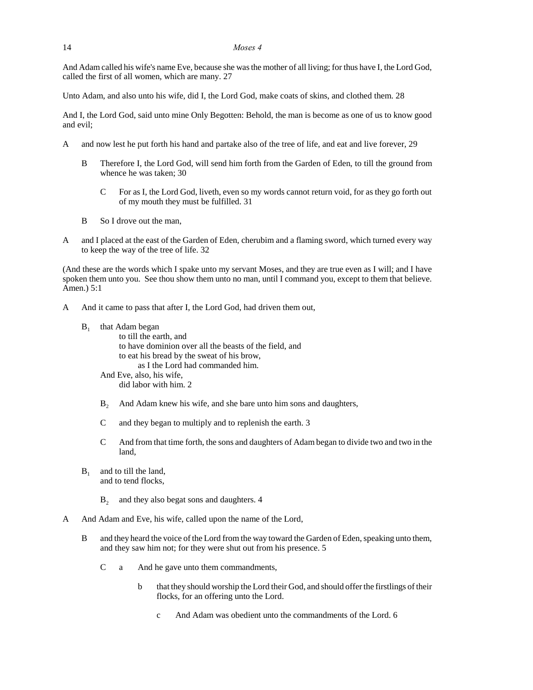And Adam called his wife's name Eve, because she was the mother of all living; for thus have I, the Lord God, called the first of all women, which are many. 27

Unto Adam, and also unto his wife, did I, the Lord God, make coats of skins, and clothed them. 28

And I, the Lord God, said unto mine Only Begotten: Behold, the man is become as one of us to know good and evil;

- A and now lest he put forth his hand and partake also of the tree of life, and eat and live forever, 29
	- B Therefore I, the Lord God, will send him forth from the Garden of Eden, to till the ground from whence he was taken; 30
		- C For as I, the Lord God, liveth, even so my words cannot return void, for as they go forth out of my mouth they must be fulfilled. 31
	- B So I drove out the man,
- A and I placed at the east of the Garden of Eden, cherubim and a flaming sword, which turned every way to keep the way of the tree of life. 32

(And these are the words which I spake unto my servant Moses, and they are true even as I will; and I have spoken them unto you. See thou show them unto no man, until I command you, except to them that believe. Amen.) 5:1

- A And it came to pass that after I, the Lord God, had driven them out,
	- $B<sub>1</sub>$ that Adam began

to till the earth, and to have dominion over all the beasts of the field, and to eat his bread by the sweat of his brow, as I the Lord had commanded him. And Eve, also, his wife,

did labor with him. 2

- B<sub>2</sub> And Adam knew his wife, and she bare unto him sons and daughters,
- C and they began to multiply and to replenish the earth. 3
- C And from that time forth, the sons and daughters of Adam began to divide two and two in the land,
- $B_1$  and to till the land, and to tend flocks,
	- $B<sub>2</sub>$  and they also begat sons and daughters. 4
- A And Adam and Eve, his wife, called upon the name of the Lord,
	- B and they heard the voice of the Lord from the way toward the Garden of Eden, speaking unto them, and they saw him not; for they were shut out from his presence. 5
		- C a And he gave unto them commandments,
			- b that they should worship the Lord their God, and should offer the firstlings of their flocks, for an offering unto the Lord.
				- c And Adam was obedient unto the commandments of the Lord. 6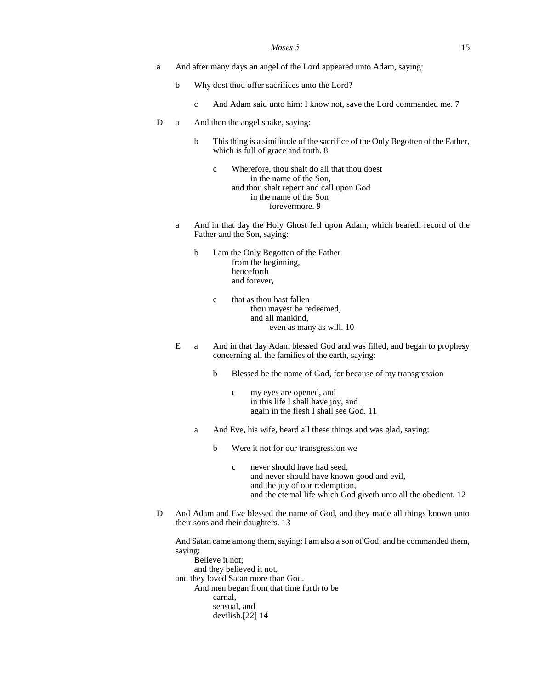#### *Moses* 5 15

- a And after many days an angel of the Lord appeared unto Adam, saying:
	- b Why dost thou offer sacrifices unto the Lord?
		- c And Adam said unto him: I know not, save the Lord commanded me. 7
- D a And then the angel spake, saying:
	- b This thing is a similitude of the sacrifice of the Only Begotten of the Father, which is full of grace and truth. 8

c Wherefore, thou shalt do all that thou doest in the name of the Son, and thou shalt repent and call upon God in the name of the Son forevermore. 9

- a And in that day the Holy Ghost fell upon Adam, which beareth record of the Father and the Son, saying:
	- b I am the Only Begotten of the Father from the beginning, henceforth and forever,
		- c that as thou hast fallen thou mayest be redeemed, and all mankind, even as many as will. 10
- E a And in that day Adam blessed God and was filled, and began to prophesy concerning all the families of the earth, saying:
	- b Blessed be the name of God, for because of my transgression
		- c my eyes are opened, and in this life I shall have joy, and again in the flesh I shall see God. 11
	- a And Eve, his wife, heard all these things and was glad, saying:
		- b Were it not for our transgression we
			- c never should have had seed, and never should have known good and evil, and the joy of our redemption, and the eternal life which God giveth unto all the obedient. 12
- D And Adam and Eve blessed the name of God, and they made all things known unto their sons and their daughters. 13

And Satan came among them, saying: I am also a son of God; and he commanded them, saying:

Believe it not; and they believed it not, and they loved Satan more than God. And men began from that time forth to be carnal, sensual, and devilish.[22] 14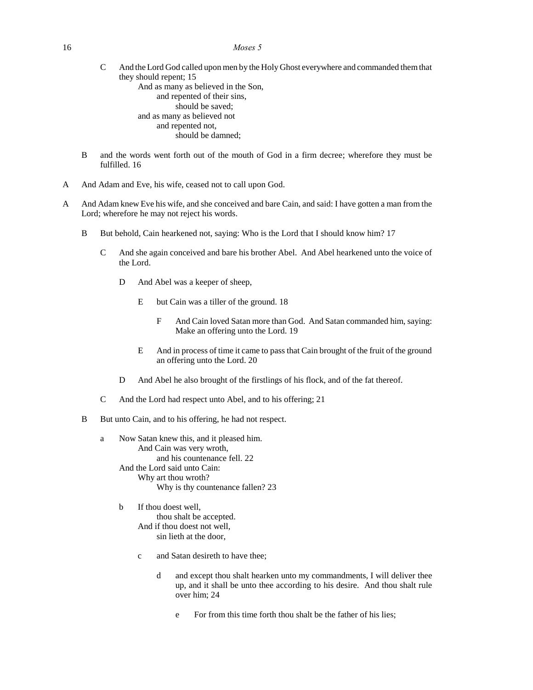- C And the Lord God called upon men by the Holy Ghost everywhere and commanded them that they should repent; 15 And as many as believed in the Son, and repented of their sins, should be saved; and as many as believed not and repented not, should be damned;
- B and the words went forth out of the mouth of God in a firm decree; wherefore they must be fulfilled. 16
- A And Adam and Eve, his wife, ceased not to call upon God.
- A And Adam knew Eve his wife, and she conceived and bare Cain, and said: I have gotten a man from the Lord; wherefore he may not reject his words.
	- B But behold, Cain hearkened not, saying: Who is the Lord that I should know him? 17
		- C And she again conceived and bare his brother Abel. And Abel hearkened unto the voice of the Lord.
			- D And Abel was a keeper of sheep,
				- E but Cain was a tiller of the ground. 18
					- F And Cain loved Satan more than God. And Satan commanded him, saying: Make an offering unto the Lord. 19
				- E And in process of time it came to pass that Cain brought of the fruit of the ground an offering unto the Lord. 20
			- D And Abel he also brought of the firstlings of his flock, and of the fat thereof.
		- C And the Lord had respect unto Abel, and to his offering; 21
	- B But unto Cain, and to his offering, he had not respect.
		- a Now Satan knew this, and it pleased him. And Cain was very wroth, and his countenance fell. 22 And the Lord said unto Cain: Why art thou wroth? Why is thy countenance fallen? 23
			- b If thou doest well, thou shalt be accepted. And if thou doest not well, sin lieth at the door,
				- c and Satan desireth to have thee;
					- d and except thou shalt hearken unto my commandments, I will deliver thee up, and it shall be unto thee according to his desire. And thou shalt rule over him; 24
						- e For from this time forth thou shalt be the father of his lies;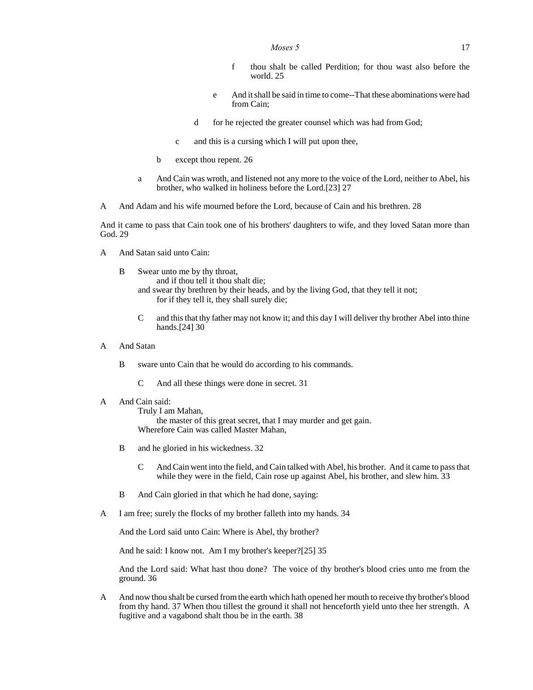- f thou shalt be called Perdition; for thou wast also before the world. 25
- e And it shall be said in time to come--That these abominations were had from Cain;
- d for he rejected the greater counsel which was had from God;
- c and this is a cursing which I will put upon thee,
- b except thou repent. 26
- a And Cain was wroth, and listened not any more to the voice of the Lord, neither to Abel, his brother, who walked in holiness before the Lord.[23] 27
- A And Adam and his wife mourned before the Lord, because of Cain and his brethren. 28

And it came to pass that Cain took one of his brothers' daughters to wife, and they loved Satan more than God. 29

- A And Satan said unto Cain:
	- B Swear unto me by thy throat, and if thou tell it thou shalt die; and swear thy brethren by their heads, and by the living God, that they tell it not; for if they tell it, they shall surely die;
		- C and this that thy father may not know it; and this day I will deliver thy brother Abel into thine hands.[24] 30
- A And Satan
	- B sware unto Cain that he would do according to his commands.
		- C And all these things were done in secret. 31
- A And Cain said:

Truly I am Mahan, the master of this great secret, that I may murder and get gain. Wherefore Cain was called Master Mahan,

- B and he gloried in his wickedness. 32
	- C And Cain went into the field, and Cain talked with Abel, his brother. And it came to pass that while they were in the field, Cain rose up against Abel, his brother, and slew him. 33
- B And Cain gloried in that which he had done, saying:
- A I am free; surely the flocks of my brother falleth into my hands. 34

And the Lord said unto Cain: Where is Abel, thy brother?

And he said: I know not. Am I my brother's keeper?[25] 35

And the Lord said: What hast thou done? The voice of thy brother's blood cries unto me from the ground. 36

A And now thou shalt be cursed from the earth which hath opened her mouth to receive thy brother's blood from thy hand. 37 When thou tillest the ground it shall not henceforth yield unto thee her strength. A fugitive and a vagabond shalt thou be in the earth. 38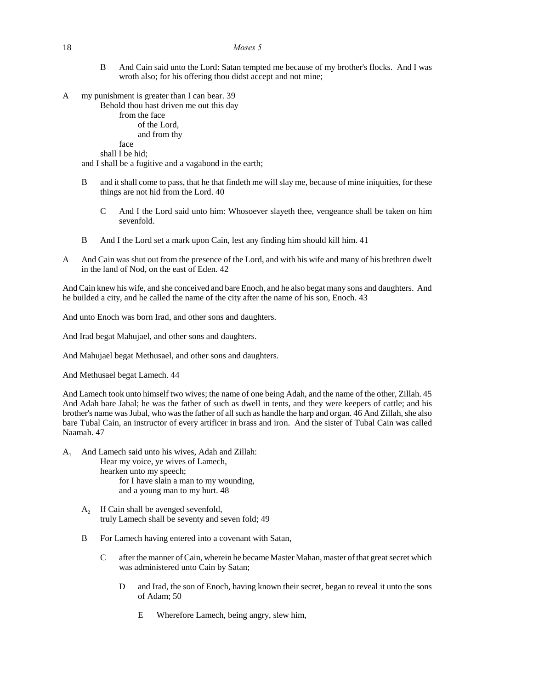#### 18 *Moses 5*

- B And Cain said unto the Lord: Satan tempted me because of my brother's flocks. And I was wroth also; for his offering thou didst accept and not mine;
- A my punishment is greater than I can bear. 39

Behold thou hast driven me out this day

from the face of the Lord, and from thy

face shall I be hid;

and I shall be a fugitive and a vagabond in the earth;

- B and it shall come to pass, that he that findeth me will slay me, because of mine iniquities, for these things are not hid from the Lord. 40
	- C And I the Lord said unto him: Whosoever slayeth thee, vengeance shall be taken on him sevenfold.
- B And I the Lord set a mark upon Cain, lest any finding him should kill him. 41
- A And Cain was shut out from the presence of the Lord, and with his wife and many of his brethren dwelt in the land of Nod, on the east of Eden. 42

And Cain knew his wife, and she conceived and bare Enoch, and he also begat many sons and daughters. And he builded a city, and he called the name of the city after the name of his son, Enoch. 43

And unto Enoch was born Irad, and other sons and daughters.

And Irad begat Mahujael, and other sons and daughters.

And Mahujael begat Methusael, and other sons and daughters.

And Methusael begat Lamech. 44

And Lamech took unto himself two wives; the name of one being Adah, and the name of the other, Zillah. 45 And Adah bare Jabal; he was the father of such as dwell in tents, and they were keepers of cattle; and his brother's name was Jubal, who was the father of all such as handle the harp and organ. 46 And Zillah, she also bare Tubal Cain, an instructor of every artificer in brass and iron. And the sister of Tubal Cain was called Naamah. 47

- A<sup>1</sup> And Lamech said unto his wives, Adah and Zillah: Hear my voice, ye wives of Lamech, hearken unto my speech; for I have slain a man to my wounding, and a young man to my hurt. 48
	- $A_2$  If Cain shall be avenged sevenfold, truly Lamech shall be seventy and seven fold; 49
	- B For Lamech having entered into a covenant with Satan,
		- C after the manner of Cain, wherein he became Master Mahan, master of that great secret which was administered unto Cain by Satan;
			- D and Irad, the son of Enoch, having known their secret, began to reveal it unto the sons of Adam; 50
				- E Wherefore Lamech, being angry, slew him,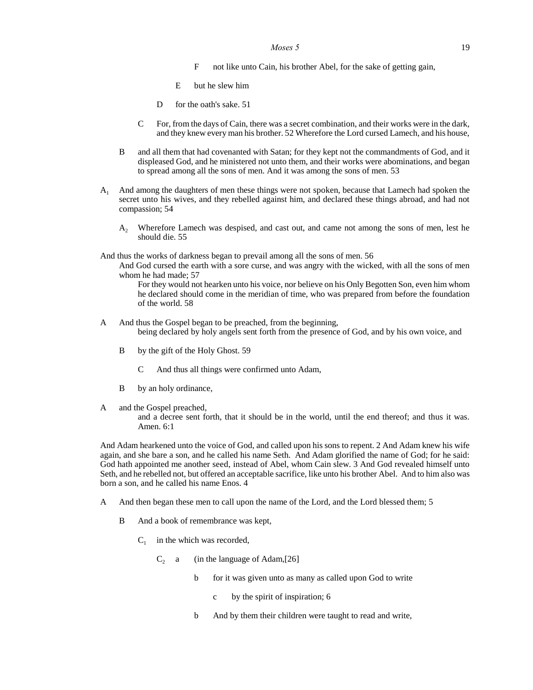#### *Moses* 5 19

- F not like unto Cain, his brother Abel, for the sake of getting gain,
- E but he slew him
- D for the oath's sake. 51
- C For, from the days of Cain, there was a secret combination, and their works were in the dark, and they knew every man his brother. 52 Wherefore the Lord cursed Lamech, and his house,
- B and all them that had covenanted with Satan; for they kept not the commandments of God, and it displeased God, and he ministered not unto them, and their works were abominations, and began to spread among all the sons of men. And it was among the sons of men. 53
- A<sup>1</sup> And among the daughters of men these things were not spoken, because that Lamech had spoken the secret unto his wives, and they rebelled against him, and declared these things abroad, and had not compassion; 54
	- A<sub>2</sub> Wherefore Lamech was despised, and cast out, and came not among the sons of men, lest he should die. 55
- And thus the works of darkness began to prevail among all the sons of men. 56
	- And God cursed the earth with a sore curse, and was angry with the wicked, with all the sons of men whom he had made; 57
		- For they would not hearken unto his voice, nor believe on his Only Begotten Son, even him whom he declared should come in the meridian of time, who was prepared from before the foundation of the world. 58
- A And thus the Gospel began to be preached, from the beginning, being declared by holy angels sent forth from the presence of God, and by his own voice, and
	- B by the gift of the Holy Ghost. 59
		- C And thus all things were confirmed unto Adam,
	- B by an holy ordinance,
- A and the Gospel preached,

and a decree sent forth, that it should be in the world, until the end thereof; and thus it was. Amen. 6:1

And Adam hearkened unto the voice of God, and called upon his sons to repent. 2 And Adam knew his wife again, and she bare a son, and he called his name Seth. And Adam glorified the name of God; for he said: God hath appointed me another seed, instead of Abel, whom Cain slew. 3 And God revealed himself unto Seth, and he rebelled not, but offered an acceptable sacrifice, like unto his brother Abel. And to him also was born a son, and he called his name Enos. 4

- A And then began these men to call upon the name of the Lord, and the Lord blessed them; 5
	- B And a book of remembrance was kept,
		- $C_1$  in the which was recorded,
			- $C_2$  a (in the language of Adam,[26]
				- b for it was given unto as many as called upon God to write
					- c by the spirit of inspiration; 6
				- b And by them their children were taught to read and write,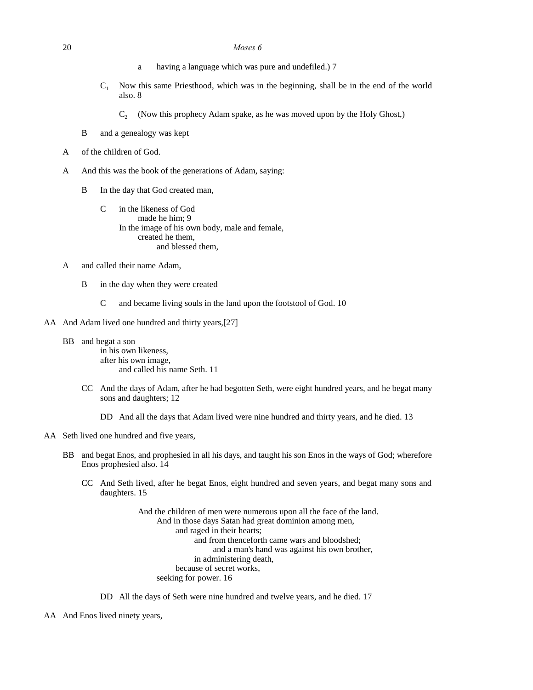#### 20 *Moses 6*

- a having a language which was pure and undefiled.) 7
- $C_1$  Now this same Priesthood, which was in the beginning, shall be in the end of the world also. 8
	- $C_2$  (Now this prophecy Adam spake, as he was moved upon by the Holy Ghost,)
- B and a genealogy was kept
- A of the children of God.
- A And this was the book of the generations of Adam, saying:
	- B In the day that God created man,
		- C in the likeness of God made he him; 9 In the image of his own body, male and female, created he them, and blessed them,
- A and called their name Adam,
	- B in the day when they were created
		- C and became living souls in the land upon the footstool of God. 10
- AA And Adam lived one hundred and thirty years, [27]
	- BB and begat a son in his own likeness, after his own image, and called his name Seth. 11
		- CC And the days of Adam, after he had begotten Seth, were eight hundred years, and he begat many sons and daughters; 12
			- DD And all the days that Adam lived were nine hundred and thirty years, and he died. 13
- AA Seth lived one hundred and five years,
	- BB and begat Enos, and prophesied in all his days, and taught his son Enos in the ways of God; wherefore Enos prophesied also. 14
		- CC And Seth lived, after he begat Enos, eight hundred and seven years, and begat many sons and daughters. 15

And the children of men were numerous upon all the face of the land. And in those days Satan had great dominion among men, and raged in their hearts; and from thenceforth came wars and bloodshed; and a man's hand was against his own brother, in administering death, because of secret works, seeking for power. 16

DD All the days of Seth were nine hundred and twelve years, and he died. 17

AA And Enos lived ninety years,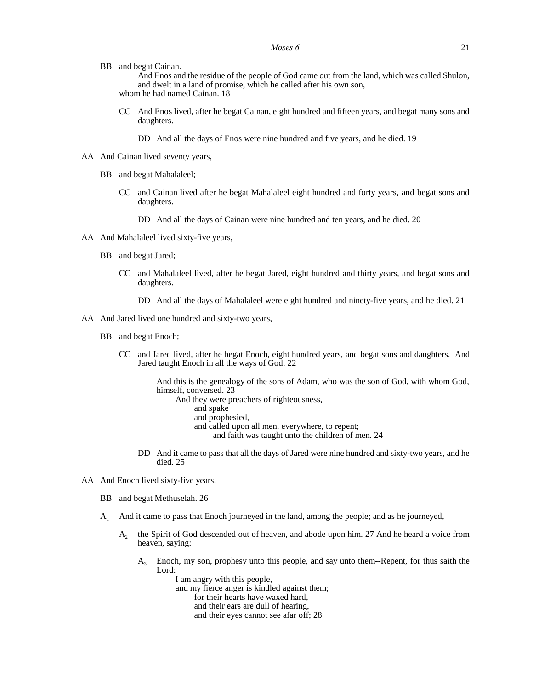BB and begat Cainan.

And Enos and the residue of the people of God came out from the land, which was called Shulon, and dwelt in a land of promise, which he called after his own son, whom he had named Cainan. 18

CC And Enos lived, after he begat Cainan, eight hundred and fifteen years, and begat many sons and daughters.

DD And all the days of Enos were nine hundred and five years, and he died. 19

- AA And Cainan lived seventy years,
	- BB and begat Mahalaleel;
		- CC and Cainan lived after he begat Mahalaleel eight hundred and forty years, and begat sons and daughters.
			- DD And all the days of Cainan were nine hundred and ten years, and he died. 20
- AA And Mahalaleel lived sixty-five years,
	- BB and begat Jared;
		- CC and Mahalaleel lived, after he begat Jared, eight hundred and thirty years, and begat sons and daughters.
			- DD And all the days of Mahalaleel were eight hundred and ninety-five years, and he died. 21
- AA And Jared lived one hundred and sixty-two years,
	- BB and begat Enoch;
		- CC and Jared lived, after he begat Enoch, eight hundred years, and begat sons and daughters. And Jared taught Enoch in all the ways of God. 22

And this is the genealogy of the sons of Adam, who was the son of God, with whom God, himself, conversed. 23

- And they were preachers of righteousness,
	- and spake
	- and prophesied,
	- and called upon all men, everywhere, to repent;
		- and faith was taught unto the children of men. 24
- DD And it came to pass that all the days of Jared were nine hundred and sixty-two years, and he died. 25
- AA And Enoch lived sixty-five years,
	- BB and begat Methuselah. 26
	- A<sup>1</sup> And it came to pass that Enoch journeyed in the land, among the people; and as he journeyed,
		- $A_2$ the Spirit of God descended out of heaven, and abode upon him. 27 And he heard a voice from heaven, saying:
			- $A_3$  Enoch, my son, prophesy unto this people, and say unto them--Repent, for thus saith the Lord:

I am angry with this people,

and my fierce anger is kindled against them;

for their hearts have waxed hard, and their ears are dull of hearing,

and their eyes cannot see afar off; 28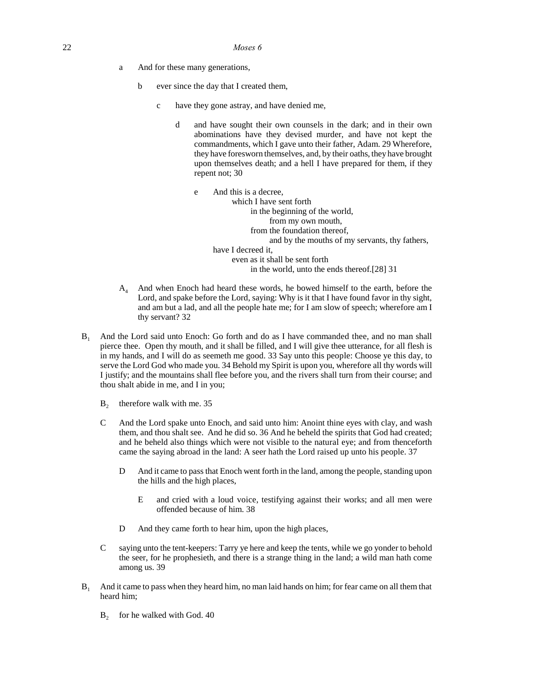- a And for these many generations,
	- b ever since the day that I created them,
		- c have they gone astray, and have denied me,
			- d and have sought their own counsels in the dark; and in their own abominations have they devised murder, and have not kept the commandments, which I gave unto their father, Adam. 29 Wherefore, they have foresworn themselves, and, by their oaths, they have brought upon themselves death; and a hell I have prepared for them, if they repent not; 30

e And this is a decree, which I have sent forth in the beginning of the world, from my own mouth, from the foundation thereof, and by the mouths of my servants, thy fathers, have I decreed it, even as it shall be sent forth in the world, unto the ends thereof.[28] 31

- $A<sub>4</sub>$  And when Enoch had heard these words, he bowed himself to the earth, before the Lord, and spake before the Lord, saying: Why is it that I have found favor in thy sight, and am but a lad, and all the people hate me; for I am slow of speech; wherefore am I thy servant? 32
- B<sup>1</sup> And the Lord said unto Enoch: Go forth and do as I have commanded thee, and no man shall pierce thee. Open thy mouth, and it shall be filled, and I will give thee utterance, for all flesh is in my hands, and I will do as seemeth me good. 33 Say unto this people: Choose ye this day, to serve the Lord God who made you. 34 Behold my Spirit is upon you, wherefore all thy words will I justify; and the mountains shall flee before you, and the rivers shall turn from their course; and thou shalt abide in me, and I in you;
	- $B<sub>2</sub>$ therefore walk with me. 35
	- C And the Lord spake unto Enoch, and said unto him: Anoint thine eyes with clay, and wash them, and thou shalt see. And he did so. 36 And he beheld the spirits that God had created; and he beheld also things which were not visible to the natural eye; and from thenceforth came the saying abroad in the land: A seer hath the Lord raised up unto his people. 37
		- D And it came to pass that Enoch went forth in the land, among the people, standing upon the hills and the high places,
			- E and cried with a loud voice, testifying against their works; and all men were offended because of him. 38
		- D And they came forth to hear him, upon the high places,
	- C saying unto the tent-keepers: Tarry ye here and keep the tents, while we go yonder to behold the seer, for he prophesieth, and there is a strange thing in the land; a wild man hath come among us. 39
- B<sup>1</sup> And it came to pass when they heard him, no man laid hands on him; for fear came on all them that heard him;
	- $B_2$  for he walked with God. 40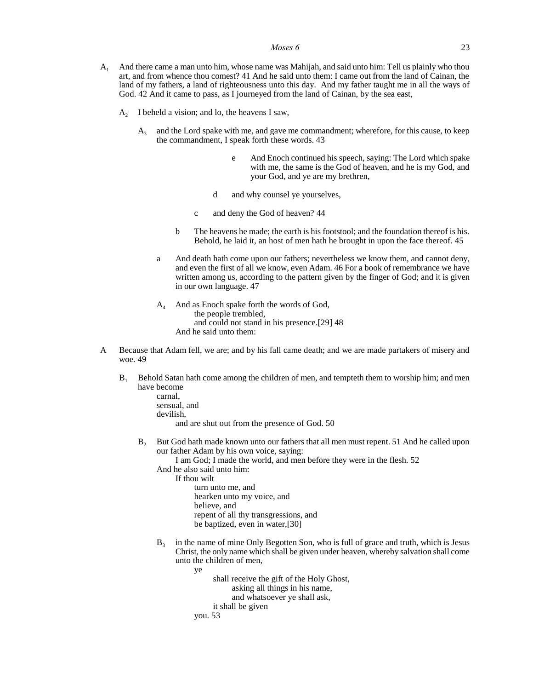- A<sup>1</sup> And there came a man unto him, whose name was Mahijah, and said unto him: Tell us plainly who thou art, and from whence thou comest? 41 And he said unto them: I came out from the land of Cainan, the land of my fathers, a land of righteousness unto this day. And my father taught me in all the ways of God. 42 And it came to pass, as I journeyed from the land of Cainan, by the sea east,
	- $A_2$  I beheld a vision; and lo, the heavens I saw,
		- $A<sub>3</sub>$  and the Lord spake with me, and gave me commandment; wherefore, for this cause, to keep the commandment, I speak forth these words. 43
			- e And Enoch continued his speech, saying: The Lord which spake with me, the same is the God of heaven, and he is my God, and your God, and ye are my brethren,
			- d and why counsel ye yourselves,
			- c and deny the God of heaven? 44
			- b The heavens he made; the earth is his footstool; and the foundation thereof is his. Behold, he laid it, an host of men hath he brought in upon the face thereof. 45
			- a And death hath come upon our fathers; nevertheless we know them, and cannot deny, and even the first of all we know, even Adam. 46 For a book of remembrance we have written among us, according to the pattern given by the finger of God; and it is given in our own language. 47
			- $A_4$  And as Enoch spake forth the words of God, the people trembled, and could not stand in his presence.[29] 48 And he said unto them:
- A Because that Adam fell, we are; and by his fall came death; and we are made partakers of misery and woe. 49
	- B<sub>1</sub> Behold Satan hath come among the children of men, and tempteth them to worship him; and men have become
		- carnal, sensual, and devilish, and are shut out from the presence of God. 50
		- B<sub>2</sub> But God hath made known unto our fathers that all men must repent. 51 And he called upon our father Adam by his own voice, saying:

I am God; I made the world, and men before they were in the flesh. 52

- And he also said unto him:
	- If thou wilt turn unto me, and hearken unto my voice, and believe, and
		- repent of all thy transgressions, and
		- be baptized, even in water,[30]
- $B_3$ in the name of mine Only Begotten Son, who is full of grace and truth, which is Jesus Christ, the only name which shall be given under heaven, whereby salvation shall come unto the children of men,
	- ye shall receive the gift of the Holy Ghost, asking all things in his name, and whatsoever ye shall ask, it shall be given you. 53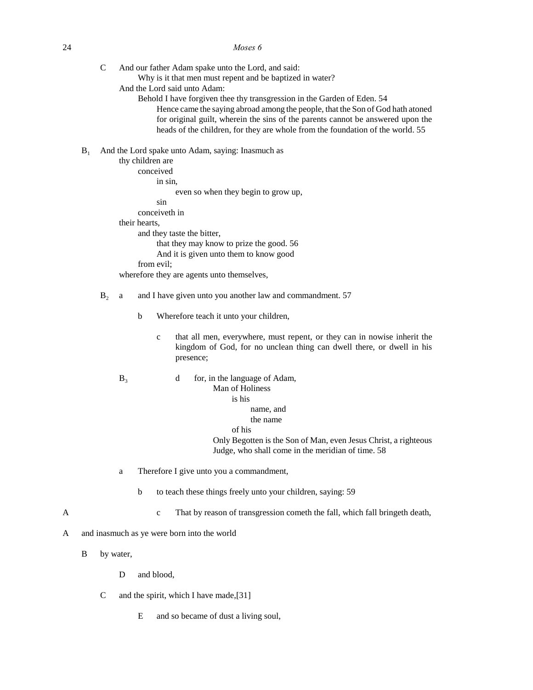24 *Moses 6*

- C And our father Adam spake unto the Lord, and said:
	- Why is it that men must repent and be baptized in water?
	- And the Lord said unto Adam:
		- Behold I have forgiven thee thy transgression in the Garden of Eden. 54 Hence came the saying abroad among the people, that the Son of God hath atoned for original guilt, wherein the sins of the parents cannot be answered upon the heads of the children, for they are whole from the foundation of the world. 55
- $B_1$  And the Lord spake unto Adam, saying: Inasmuch as

```
thy children are 
     conceived 
           in sin, 
                 even so when they begin to grow up, 
           sin 
     conceiveth in 
their hearts, 
     and they taste the bitter, 
           that they may know to prize the good. 56
           And it is given unto them to know good 
     from evil; 
wherefore they are agents unto themselves,
```
#### B<sub>2</sub> a and I have given unto you another law and commandment. 57

- b Wherefore teach it unto your children,
	- c that all men, everywhere, must repent, or they can in nowise inherit the kingdom of God, for no unclean thing can dwell there, or dwell in his presence;
- $B_3$  d for, in the language of Adam, Man of Holiness is his name, and the name of his Only Begotten is the Son of Man, even Jesus Christ, a righteous Judge, who shall come in the meridian of time. 58
- a Therefore I give unto you a commandment,
	- b to teach these things freely unto your children, saying: 59
- A c That by reason of transgression cometh the fall, which fall bringeth death,
- A and inasmuch as ye were born into the world
	- B by water,
		- D and blood,
		- C and the spirit, which I have made,[31]
			- E and so became of dust a living soul,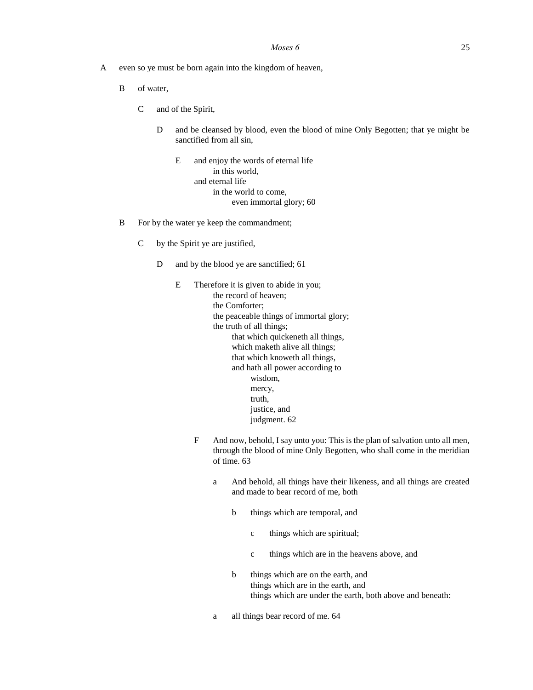- A even so ye must be born again into the kingdom of heaven,
	- B of water,
		- C and of the Spirit,
			- D and be cleansed by blood, even the blood of mine Only Begotten; that ye might be sanctified from all sin,
				- E and enjoy the words of eternal life in this world, and eternal life in the world to come, even immortal glory; 60
	- B For by the water ye keep the commandment;
		- C by the Spirit ye are justified,
			- D and by the blood ye are sanctified; 61
				- E Therefore it is given to abide in you; the record of heaven; the Comforter; the peaceable things of immortal glory; the truth of all things; that which quickeneth all things, which maketh alive all things; that which knoweth all things, and hath all power according to wisdom, mercy, truth, justice, and judgment. 62
					- F And now, behold, I say unto you: This is the plan of salvation unto all men, through the blood of mine Only Begotten, who shall come in the meridian of time. 63
						- a And behold, all things have their likeness, and all things are created and made to bear record of me, both
							- b things which are temporal, and
								- c things which are spiritual;
								- c things which are in the heavens above, and
							- b things which are on the earth, and things which are in the earth, and things which are under the earth, both above and beneath:
						- a all things bear record of me. 64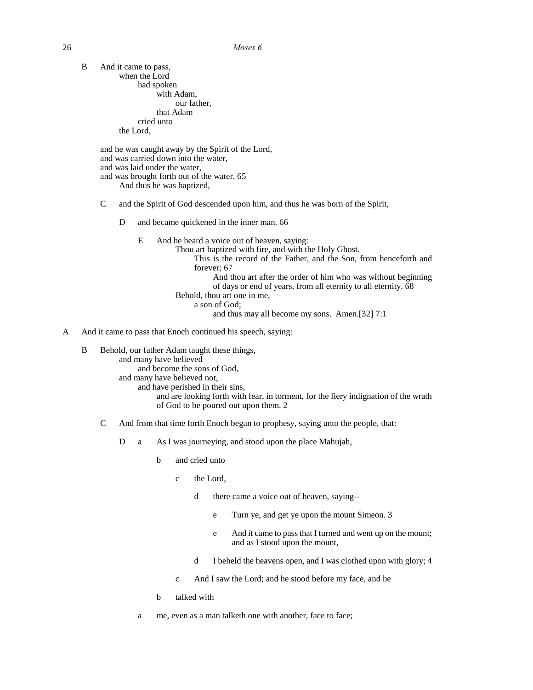B And it came to pass, when the Lord had spoken with Adam, our father, that Adam cried unto the Lord, and he was caught away by the Spirit of the Lord, and was carried down into the water, and was laid under the water, and was brought forth out of the water. 65 And thus he was baptized, C and the Spirit of God descended upon him, and thus he was born of the Spirit, D and became quickened in the inner man. 66 E And he heard a voice out of heaven, saying: Thou art baptized with fire, and with the Holy Ghost. This is the record of the Father, and the Son, from henceforth and forever; 67 And thou art after the order of him who was without beginning of days or end of years, from all eternity to all eternity. 68 Behold, thou art one in me, a son of God; and thus may all become my sons. Amen.[32] 7:1

#### A And it came to pass that Enoch continued his speech, saying:

B Behold, our father Adam taught these things, and many have believed and become the sons of God, and many have believed not, and have perished in their sins, and are looking forth with fear, in torment, for the fiery indignation of the wrath of God to be poured out upon them. 2

- C And from that time forth Enoch began to prophesy, saying unto the people, that:
	- D a As I was journeying, and stood upon the place Mahujah,
		- b and cried unto
			- c the Lord,
				- d there came a voice out of heaven, saying-
					- e Turn ye, and get ye upon the mount Simeon. 3
					- e And it came to pass that I turned and went up on the mount; and as I stood upon the mount,
				- d I beheld the heavens open, and I was clothed upon with glory; 4
			- c And I saw the Lord; and he stood before my face, and he
		- b talked with
		- a me, even as a man talketh one with another, face to face;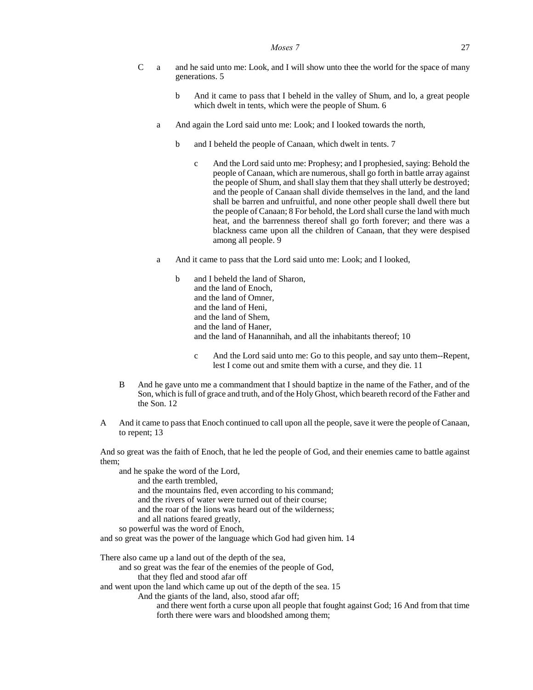- C a and he said unto me: Look, and I will show unto thee the world for the space of many generations. 5
	- b And it came to pass that I beheld in the valley of Shum, and lo, a great people which dwelt in tents, which were the people of Shum. 6
	- a And again the Lord said unto me: Look; and I looked towards the north,
		- b and I beheld the people of Canaan, which dwelt in tents. 7
			- c And the Lord said unto me: Prophesy; and I prophesied, saying: Behold the people of Canaan, which are numerous, shall go forth in battle array against the people of Shum, and shall slay them that they shall utterly be destroyed; and the people of Canaan shall divide themselves in the land, and the land shall be barren and unfruitful, and none other people shall dwell there but the people of Canaan; 8 For behold, the Lord shall curse the land with much heat, and the barrenness thereof shall go forth forever; and there was a blackness came upon all the children of Canaan, that they were despised among all people. 9
	- a And it came to pass that the Lord said unto me: Look; and I looked,
		- b and I beheld the land of Sharon, and the land of Enoch, and the land of Omner, and the land of Heni, and the land of Shem, and the land of Haner, and the land of Hanannihah, and all the inhabitants thereof; 10
			- c And the Lord said unto me: Go to this people, and say unto them--Repent, lest I come out and smite them with a curse, and they die. 11
- B And he gave unto me a commandment that I should baptize in the name of the Father, and of the Son, which is full of grace and truth, and of the Holy Ghost, which beareth record of the Father and the Son. 12
- A And it came to pass that Enoch continued to call upon all the people, save it were the people of Canaan, to repent; 13

And so great was the faith of Enoch, that he led the people of God, and their enemies came to battle against them;

and he spake the word of the Lord,

- and the earth trembled,
- and the mountains fled, even according to his command;
- and the rivers of water were turned out of their course;
- and the roar of the lions was heard out of the wilderness;
- and all nations feared greatly,
- so powerful was the word of Enoch,

and so great was the power of the language which God had given him. 14

There also came up a land out of the depth of the sea,

- and so great was the fear of the enemies of the people of God,
	- that they fled and stood afar off

and went upon the land which came up out of the depth of the sea. 15

- And the giants of the land, also, stood afar off;
	- and there went forth a curse upon all people that fought against God; 16 And from that time forth there were wars and bloodshed among them;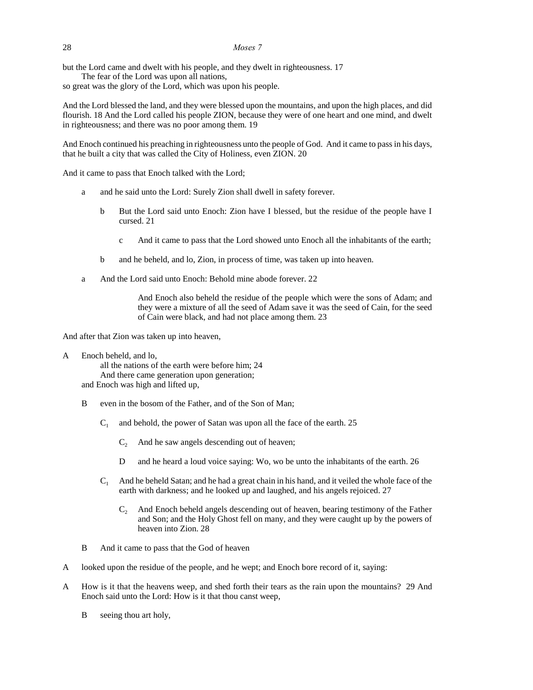#### 28 *Moses 7*

but the Lord came and dwelt with his people, and they dwelt in righteousness. 17

The fear of the Lord was upon all nations,

so great was the glory of the Lord, which was upon his people.

And the Lord blessed the land, and they were blessed upon the mountains, and upon the high places, and did flourish. 18 And the Lord called his people ZION, because they were of one heart and one mind, and dwelt in righteousness; and there was no poor among them. 19

And Enoch continued his preaching in righteousness unto the people of God. And it came to pass in his days, that he built a city that was called the City of Holiness, even ZION. 20

And it came to pass that Enoch talked with the Lord;

- a and he said unto the Lord: Surely Zion shall dwell in safety forever.
	- b But the Lord said unto Enoch: Zion have I blessed, but the residue of the people have I cursed. 21
		- c And it came to pass that the Lord showed unto Enoch all the inhabitants of the earth;
	- b and he beheld, and lo, Zion, in process of time, was taken up into heaven.
- a And the Lord said unto Enoch: Behold mine abode forever. 22

And Enoch also beheld the residue of the people which were the sons of Adam; and they were a mixture of all the seed of Adam save it was the seed of Cain, for the seed of Cain were black, and had not place among them. 23

And after that Zion was taken up into heaven,

A Enoch beheld, and lo,

all the nations of the earth were before him; 24 And there came generation upon generation; and Enoch was high and lifted up,

- B even in the bosom of the Father, and of the Son of Man;
	- $C_1$  and behold, the power of Satan was upon all the face of the earth. 25
		- $C_2$  And he saw angels descending out of heaven;
		- D and he heard a loud voice saying: Wo, wo be unto the inhabitants of the earth. 26
	- $C_1$  And he beheld Satan; and he had a great chain in his hand, and it veiled the whole face of the earth with darkness; and he looked up and laughed, and his angels rejoiced. 27
		- C<sub>2</sub> And Enoch beheld angels descending out of heaven, bearing testimony of the Father and Son; and the Holy Ghost fell on many, and they were caught up by the powers of heaven into Zion. 28
- B And it came to pass that the God of heaven
- A looked upon the residue of the people, and he wept; and Enoch bore record of it, saying:
- A How is it that the heavens weep, and shed forth their tears as the rain upon the mountains? 29 And Enoch said unto the Lord: How is it that thou canst weep,
	- B seeing thou art holy,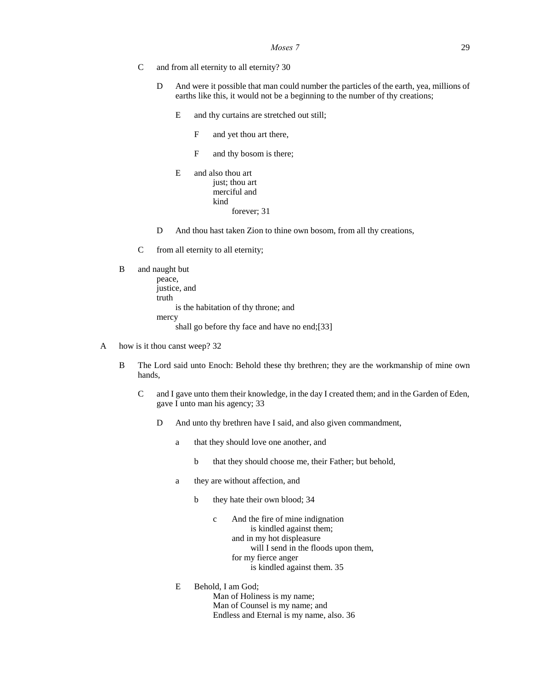- C and from all eternity to all eternity? 30
	- D And were it possible that man could number the particles of the earth, yea, millions of earths like this, it would not be a beginning to the number of thy creations;
		- E and thy curtains are stretched out still;
			- F and yet thou art there,
			- F and thy bosom is there;
		- E and also thou art just; thou art merciful and kind forever; 31
	- D And thou hast taken Zion to thine own bosom, from all thy creations,
- C from all eternity to all eternity;

```
B and naught but
```

```
peace, 
justice, and 
truth 
      is the habitation of thy throne; and 
mercy 
      shall go before thy face and have no end;[33]
```
- A how is it thou canst weep? 32
	- B The Lord said unto Enoch: Behold these thy brethren; they are the workmanship of mine own hands,
		- C and I gave unto them their knowledge, in the day I created them; and in the Garden of Eden, gave I unto man his agency; 33
			- D And unto thy brethren have I said, and also given commandment,
				- a that they should love one another, and
					- b that they should choose me, their Father; but behold,
				- a they are without affection, and
					- b they hate their own blood; 34
						- c And the fire of mine indignation is kindled against them; and in my hot displeasure will I send in the floods upon them, for my fierce anger is kindled against them. 35
				- E Behold, I am God; Man of Holiness is my name; Man of Counsel is my name; and Endless and Eternal is my name, also. 36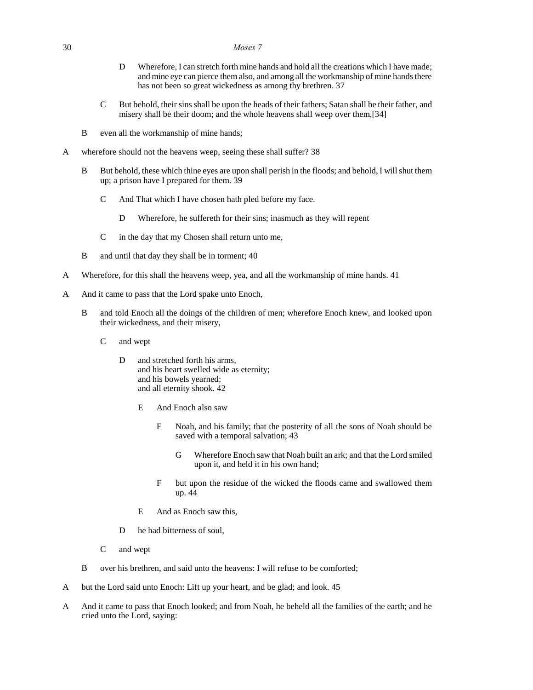### 30 *Moses 7*

- D Wherefore, I can stretch forth mine hands and hold all the creations which I have made; and mine eye can pierce them also, and among all the workmanship of mine hands there has not been so great wickedness as among thy brethren. 37
- C But behold, their sins shall be upon the heads of their fathers; Satan shall be their father, and misery shall be their doom; and the whole heavens shall weep over them,[34]
- B even all the workmanship of mine hands;
- A wherefore should not the heavens weep, seeing these shall suffer? 38
	- B But behold, these which thine eyes are upon shall perish in the floods; and behold, I will shut them up; a prison have I prepared for them. 39
		- C And That which I have chosen hath pled before my face.
			- D Wherefore, he suffereth for their sins; inasmuch as they will repent
		- C in the day that my Chosen shall return unto me,
	- B and until that day they shall be in torment; 40
- A Wherefore, for this shall the heavens weep, yea, and all the workmanship of mine hands. 41
- A And it came to pass that the Lord spake unto Enoch,
	- B and told Enoch all the doings of the children of men; wherefore Enoch knew, and looked upon their wickedness, and their misery,
		- C and wept
			- D and stretched forth his arms, and his heart swelled wide as eternity; and his bowels yearned; and all eternity shook. 42
				- E And Enoch also saw
					- F Noah, and his family; that the posterity of all the sons of Noah should be saved with a temporal salvation; 43
						- G Wherefore Enoch saw that Noah built an ark; and that the Lord smiled upon it, and held it in his own hand;
					- F but upon the residue of the wicked the floods came and swallowed them up. 44
				- E And as Enoch saw this,
			- D he had bitterness of soul,
		- C and wept
	- B over his brethren, and said unto the heavens: I will refuse to be comforted;
- A but the Lord said unto Enoch: Lift up your heart, and be glad; and look. 45
- A And it came to pass that Enoch looked; and from Noah, he beheld all the families of the earth; and he cried unto the Lord, saying: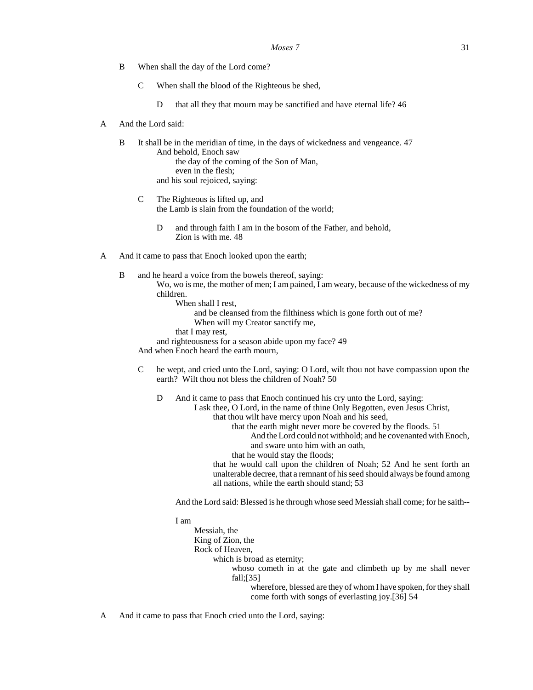- B When shall the day of the Lord come?
	- C When shall the blood of the Righteous be shed,
		- D that all they that mourn may be sanctified and have eternal life? 46
- A And the Lord said:
	- B It shall be in the meridian of time, in the days of wickedness and vengeance. 47 And behold, Enoch saw the day of the coming of the Son of Man, even in the flesh; and his soul rejoiced, saying:
		- C The Righteous is lifted up, and the Lamb is slain from the foundation of the world;
			- D and through faith I am in the bosom of the Father, and behold, Zion is with me. 48
- A And it came to pass that Enoch looked upon the earth;
	- B and he heard a voice from the bowels thereof, saying: Wo, wo is me, the mother of men; I am pained, I am weary, because of the wickedness of my children.

When shall I rest,

- and be cleansed from the filthiness which is gone forth out of me?
- When will my Creator sanctify me,
- that I may rest,
- and righteousness for a season abide upon my face? 49

And when Enoch heard the earth mourn,

C he wept, and cried unto the Lord, saying: O Lord, wilt thou not have compassion upon the earth? Wilt thou not bless the children of Noah? 50

D And it came to pass that Enoch continued his cry unto the Lord, saying: I ask thee, O Lord, in the name of thine Only Begotten, even Jesus Christ, that thou wilt have mercy upon Noah and his seed, that the earth might never more be covered by the floods. 51 And the Lord could not withhold; and he covenanted with Enoch, and sware unto him with an oath, that he would stay the floods; that he would call upon the children of Noah; 52 And he sent forth an unalterable decree, that a remnant of his seed should always be found among all nations, while the earth should stand; 53

And the Lord said: Blessed is he through whose seed Messiah shall come; for he saith--

I am

| Messiah, the                                                      |
|-------------------------------------------------------------------|
| King of Zion, the                                                 |
| Rock of Heaven,                                                   |
| which is broad as eternity;                                       |
| whoso cometh in at the gate and climbeth up by me shall never     |
| fall; $[35]$                                                      |
| wherefore, blessed are they of whom I have spoken, for they shall |
| come forth with songs of everlasting joy.[36] 54                  |
|                                                                   |

A And it came to pass that Enoch cried unto the Lord, saying: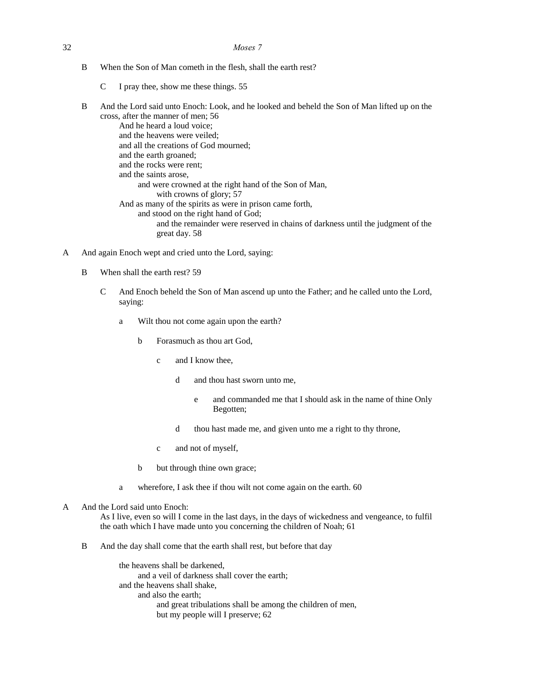- 32 *Moses 7*
	- B When the Son of Man cometh in the flesh, shall the earth rest?
		- C I pray thee, show me these things. 55
	- B And the Lord said unto Enoch: Look, and he looked and beheld the Son of Man lifted up on the cross, after the manner of men; 56

And he heard a loud voice; and the heavens were veiled; and all the creations of God mourned; and the earth groaned; and the rocks were rent; and the saints arose, and were crowned at the right hand of the Son of Man, with crowns of glory; 57 And as many of the spirits as were in prison came forth, and stood on the right hand of God; and the remainder were reserved in chains of darkness until the judgment of the great day. 58

- A And again Enoch wept and cried unto the Lord, saying:
	- B When shall the earth rest? 59
		- C And Enoch beheld the Son of Man ascend up unto the Father; and he called unto the Lord, saying:
			- a Wilt thou not come again upon the earth?
				- b Forasmuch as thou art God,
					- c and I know thee,
						- d and thou hast sworn unto me,
							- e and commanded me that I should ask in the name of thine Only Begotten;
						- d thou hast made me, and given unto me a right to thy throne,
					- c and not of myself,
				- b but through thine own grace;
			- a wherefore, I ask thee if thou wilt not come again on the earth. 60
- A And the Lord said unto Enoch:

As I live, even so will I come in the last days, in the days of wickedness and vengeance, to fulfil the oath which I have made unto you concerning the children of Noah; 61

B And the day shall come that the earth shall rest, but before that day

the heavens shall be darkened, and a veil of darkness shall cover the earth; and the heavens shall shake, and also the earth; and great tribulations shall be among the children of men, but my people will I preserve; 62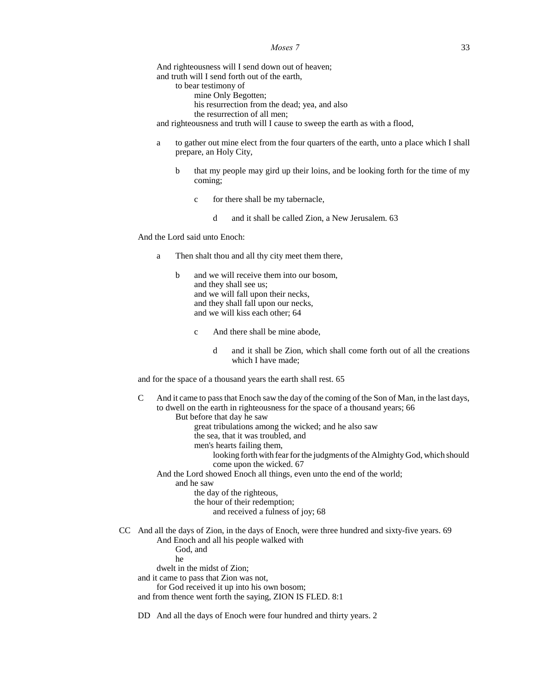### *Moses* 7 33

And righteousness will I send down out of heaven; and truth will I send forth out of the earth, to bear testimony of mine Only Begotten; his resurrection from the dead; yea, and also the resurrection of all men; and righteousness and truth will I cause to sweep the earth as with a flood,

- a to gather out mine elect from the four quarters of the earth, unto a place which I shall prepare, an Holy City,
	- b that my people may gird up their loins, and be looking forth for the time of my coming;
		- c for there shall be my tabernacle,
			- d and it shall be called Zion, a New Jerusalem. 63

And the Lord said unto Enoch:

- a Then shalt thou and all thy city meet them there,
	- b and we will receive them into our bosom, and they shall see us; and we will fall upon their necks, and they shall fall upon our necks, and we will kiss each other; 64
		- c And there shall be mine abode,
			- d and it shall be Zion, which shall come forth out of all the creations which I have made;

and for the space of a thousand years the earth shall rest. 65

C And it came to pass that Enoch saw the day of the coming of the Son of Man, in the last days, to dwell on the earth in righteousness for the space of a thousand years; 66 But before that day he saw great tribulations among the wicked; and he also saw the sea, that it was troubled, and men's hearts failing them, looking forth with fear for the judgments of the Almighty God, which should come upon the wicked. 67 And the Lord showed Enoch all things, even unto the end of the world; and he saw the day of the righteous, the hour of their redemption; and received a fulness of joy; 68 CC And all the days of Zion, in the days of Enoch, were three hundred and sixty-five years. 69 And Enoch and all his people walked with God, and he dwelt in the midst of Zion; and it came to pass that Zion was not, for God received it up into his own bosom; and from thence went forth the saying, ZION IS FLED. 8:1

DD And all the days of Enoch were four hundred and thirty years. 2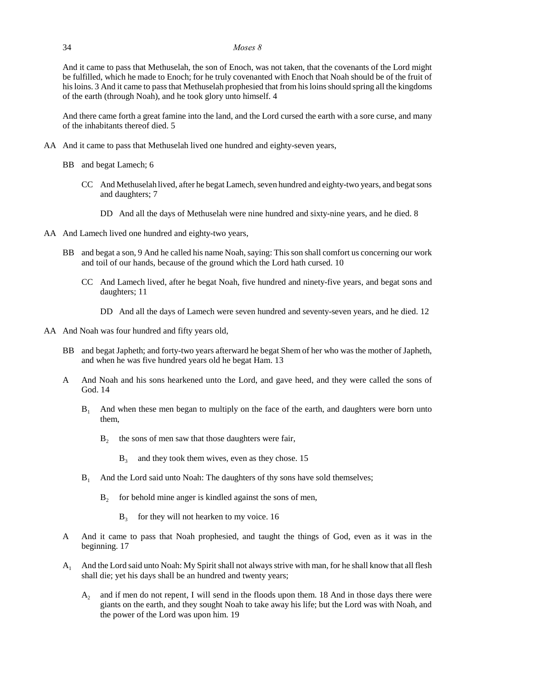### 34 *Moses 8*

And it came to pass that Methuselah, the son of Enoch, was not taken, that the covenants of the Lord might be fulfilled, which he made to Enoch; for he truly covenanted with Enoch that Noah should be of the fruit of his loins. 3 And it came to pass that Methuselah prophesied that from his loins should spring all the kingdoms of the earth (through Noah), and he took glory unto himself. 4

And there came forth a great famine into the land, and the Lord cursed the earth with a sore curse, and many of the inhabitants thereof died. 5

- AA And it came to pass that Methuselah lived one hundred and eighty-seven years,
	- BB and begat Lamech; 6
		- CC And Methuselah lived, after he begat Lamech, seven hundred and eighty-two years, and begat sons and daughters; 7
			- DD And all the days of Methuselah were nine hundred and sixty-nine years, and he died. 8
- AA And Lamech lived one hundred and eighty-two years,
	- BB and begat a son, 9 And he called his name Noah, saying: This son shall comfort us concerning our work and toil of our hands, because of the ground which the Lord hath cursed. 10
		- CC And Lamech lived, after he begat Noah, five hundred and ninety-five years, and begat sons and daughters; 11
			- DD And all the days of Lamech were seven hundred and seventy-seven years, and he died. 12
- AA And Noah was four hundred and fifty years old,
	- BB and begat Japheth; and forty-two years afterward he begat Shem of her who was the mother of Japheth, and when he was five hundred years old he begat Ham. 13
	- A And Noah and his sons hearkened unto the Lord, and gave heed, and they were called the sons of God. 14
		- $B<sub>1</sub>$  And when these men began to multiply on the face of the earth, and daughters were born unto them,
			- $B<sub>2</sub>$ the sons of men saw that those daughters were fair,
				- $B_3$  and they took them wives, even as they chose. 15
		- $B<sub>1</sub>$  And the Lord said unto Noah: The daughters of thy sons have sold themselves;
			- $B_2$  for behold mine anger is kindled against the sons of men,
				- $B_3$  for they will not hearken to my voice. 16
	- A And it came to pass that Noah prophesied, and taught the things of God, even as it was in the beginning. 17
	- A<sup>1</sup> And the Lord said unto Noah: My Spirit shall not always strive with man, for he shall know that all flesh shall die; yet his days shall be an hundred and twenty years;
		- A<sup>2</sup> and if men do not repent, I will send in the floods upon them. 18 And in those days there were giants on the earth, and they sought Noah to take away his life; but the Lord was with Noah, and the power of the Lord was upon him. 19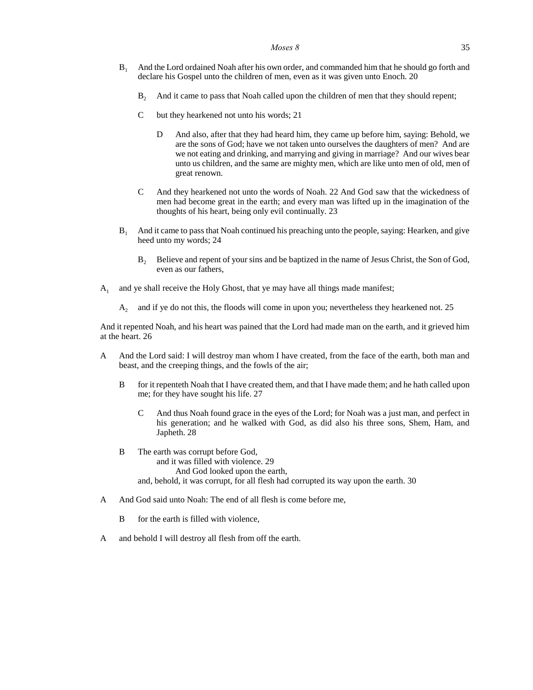- $B<sub>1</sub>$  And the Lord ordained Noah after his own order, and commanded him that he should go forth and declare his Gospel unto the children of men, even as it was given unto Enoch. 20
	- B<sup>2</sup> And it came to pass that Noah called upon the children of men that they should repent;
	- C but they hearkened not unto his words; 21
		- D And also, after that they had heard him, they came up before him, saying: Behold, we are the sons of God; have we not taken unto ourselves the daughters of men? And are we not eating and drinking, and marrying and giving in marriage? And our wives bear unto us children, and the same are mighty men, which are like unto men of old, men of great renown.
	- C And they hearkened not unto the words of Noah. 22 And God saw that the wickedness of men had become great in the earth; and every man was lifted up in the imagination of the thoughts of his heart, being only evil continually. 23
- $B<sub>1</sub>$  And it came to pass that Noah continued his preaching unto the people, saying: Hearken, and give heed unto my words; 24
	- B<sub>2</sub> Believe and repent of your sins and be baptized in the name of Jesus Christ, the Son of God, even as our fathers,
- $A_1$  and ye shall receive the Holy Ghost, that ye may have all things made manifest;
	- A<sub>2</sub> and if ye do not this, the floods will come in upon you; nevertheless they hearkened not. 25

And it repented Noah, and his heart was pained that the Lord had made man on the earth, and it grieved him at the heart. 26

- A And the Lord said: I will destroy man whom I have created, from the face of the earth, both man and beast, and the creeping things, and the fowls of the air;
	- B for it repenteth Noah that I have created them, and that I have made them; and he hath called upon me; for they have sought his life. 27
		- C And thus Noah found grace in the eyes of the Lord; for Noah was a just man, and perfect in his generation; and he walked with God, as did also his three sons, Shem, Ham, and Japheth. 28
	- B The earth was corrupt before God, and it was filled with violence. 29 And God looked upon the earth, and, behold, it was corrupt, for all flesh had corrupted its way upon the earth. 30
- A And God said unto Noah: The end of all flesh is come before me.
	- B for the earth is filled with violence,
- A and behold I will destroy all flesh from off the earth.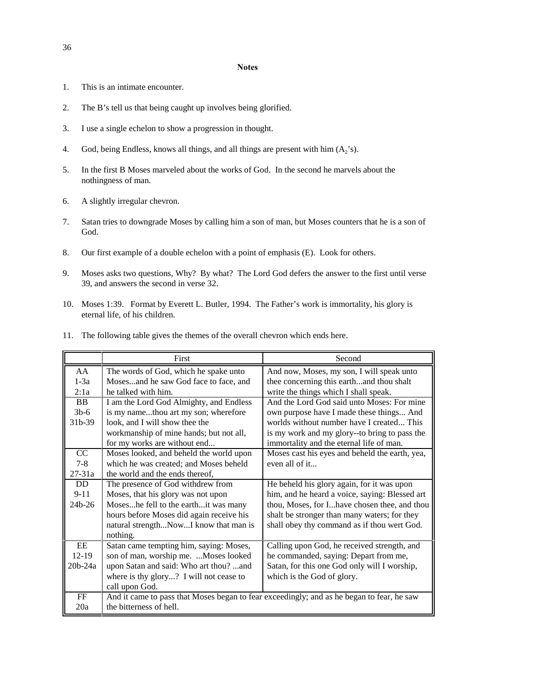### **Notes**

- 1. This is an intimate encounter.
- 2. The B's tell us that being caught up involves being glorified.
- 3. I use a single echelon to show a progression in thought.
- 4. God, being Endless, knows all things, and all things are present with him  $(A_2's)$ .
- 5. In the first B Moses marveled about the works of God. In the second he marvels about the nothingness of man.
- 6. A slightly irregular chevron.
- 7. Satan tries to downgrade Moses by calling him a son of man, but Moses counters that he is a son of God.
- 8. Our first example of a double echelon with a point of emphasis (E). Look for others.
- 9. Moses asks two questions, Why? By what? The Lord God defers the answer to the first until verse 39, and answers the second in verse 32.
- 10. Moses 1:39. Format by Everett L. Butler, 1994. The Father's work is immortality, his glory is eternal life, of his children.
- 11. The following table gives the themes of the overall chevron which ends here.

|            | First                                                                                     | Second                                         |
|------------|-------------------------------------------------------------------------------------------|------------------------------------------------|
| AA         | The words of God, which he spake unto                                                     | And now, Moses, my son, I will speak unto      |
| $1-3a$     | Mosesand he saw God face to face, and                                                     | thee concerning this earthand thou shalt       |
| 2:1a       | he talked with him.                                                                       | write the things which I shall speak.          |
| <b>BB</b>  | I am the Lord God Almighty, and Endless                                                   | And the Lord God said unto Moses: For mine     |
| $3b-6$     | is my namethou art my son; wherefore                                                      | own purpose have I made these things And       |
| 31b-39     | look, and I will show thee the                                                            | worlds without number have I created This      |
|            | workmanship of mine hands; but not all,                                                   | is my work and my glory--to bring to pass the  |
|            | for my works are without end                                                              | immortality and the eternal life of man.       |
| CC         | Moses looked, and beheld the world upon                                                   | Moses cast his eyes and beheld the earth, yea, |
| $7 - 8$    | which he was created; and Moses beheld                                                    | even all of it                                 |
| $27 - 31a$ | the world and the ends thereof,                                                           |                                                |
| DD         | The presence of God withdrew from                                                         | He beheld his glory again, for it was upon     |
| $9 - 11$   | Moses, that his glory was not upon                                                        | him, and he heard a voice, saying: Blessed art |
| 24b-26     | Moseshe fell to the earthit was many                                                      | thou, Moses, for Ihave chosen thee, and thou   |
|            | hours before Moses did again receive his                                                  | shalt be stronger than many waters; for they   |
|            | natural strengthNowI know that man is                                                     | shall obey thy command as if thou wert God.    |
|            | nothing.                                                                                  |                                                |
| EE         | Satan came tempting him, saying: Moses,                                                   | Calling upon God, he received strength, and    |
| $12-19$    | son of man, worship me.  Moses looked                                                     | he commanded, saying: Depart from me,          |
| 20b-24a    | upon Satan and said: Who art thou? and                                                    | Satan, for this one God only will I worship,   |
|            | where is thy glory? I will not cease to                                                   | which is the God of glory.                     |
|            | call upon God.                                                                            |                                                |
| FF         | And it came to pass that Moses began to fear exceedingly; and as he began to fear, he saw |                                                |
| 20a        | the bitterness of hell.                                                                   |                                                |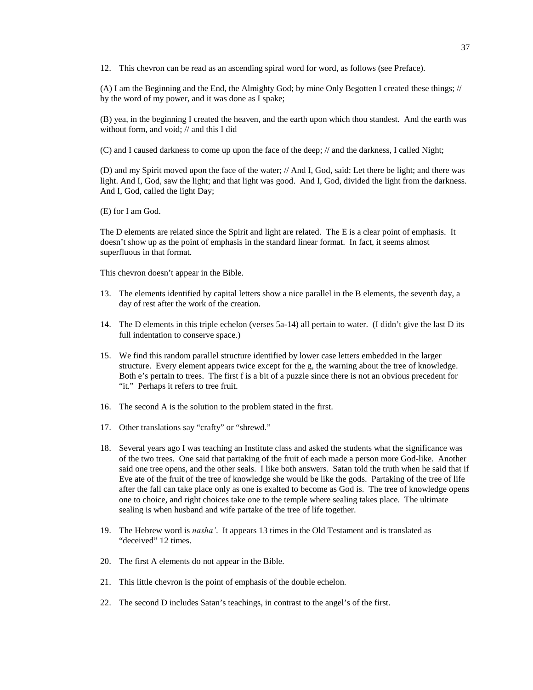12. This chevron can be read as an ascending spiral word for word, as follows (see Preface).

(A) I am the Beginning and the End, the Almighty God; by mine Only Begotten I created these things; // by the word of my power, and it was done as I spake;

(B) yea, in the beginning I created the heaven, and the earth upon which thou standest. And the earth was without form, and void; // and this I did

(C) and I caused darkness to come up upon the face of the deep; // and the darkness, I called Night;

(D) and my Spirit moved upon the face of the water; // And I, God, said: Let there be light; and there was light. And I, God, saw the light; and that light was good. And I, God, divided the light from the darkness. And I, God, called the light Day;

(E) for I am God.

The D elements are related since the Spirit and light are related. The E is a clear point of emphasis. It doesn't show up as the point of emphasis in the standard linear format. In fact, it seems almost superfluous in that format.

This chevron doesn't appear in the Bible.

- 13. The elements identified by capital letters show a nice parallel in the B elements, the seventh day, a day of rest after the work of the creation.
- 14. The D elements in this triple echelon (verses 5a-14) all pertain to water. (I didn't give the last D its full indentation to conserve space.)
- 15. We find this random parallel structure identified by lower case letters embedded in the larger structure. Every element appears twice except for the g, the warning about the tree of knowledge. Both e's pertain to trees. The first f is a bit of a puzzle since there is not an obvious precedent for "it." Perhaps it refers to tree fruit.
- 16. The second A is the solution to the problem stated in the first.
- 17. Other translations say "crafty" or "shrewd."
- 18. Several years ago I was teaching an Institute class and asked the students what the significance was of the two trees. One said that partaking of the fruit of each made a person more God-like. Another said one tree opens, and the other seals. I like both answers. Satan told the truth when he said that if Eve ate of the fruit of the tree of knowledge she would be like the gods. Partaking of the tree of life after the fall can take place only as one is exalted to become as God is. The tree of knowledge opens one to choice, and right choices take one to the temple where sealing takes place. The ultimate sealing is when husband and wife partake of the tree of life together.
- 19. The Hebrew word is *nasha'*. It appears 13 times in the Old Testament and is translated as "deceived" 12 times.
- 20. The first A elements do not appear in the Bible.
- 21. This little chevron is the point of emphasis of the double echelon.
- 22. The second D includes Satan's teachings, in contrast to the angel's of the first.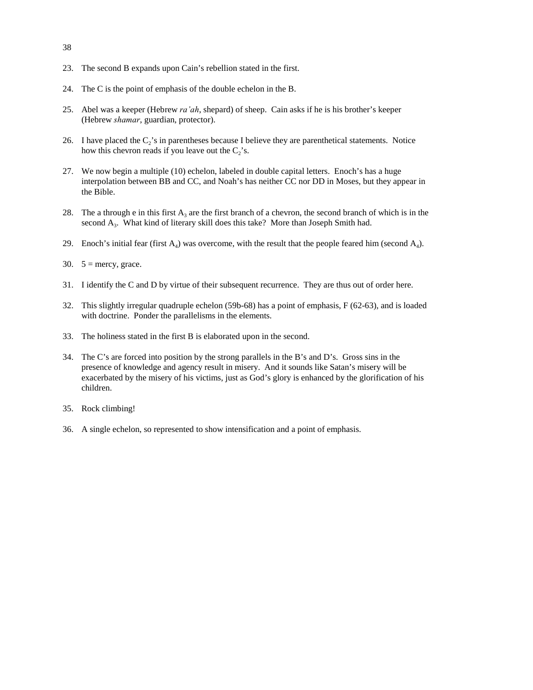- 38
- 23. The second B expands upon Cain's rebellion stated in the first.
- 24. The C is the point of emphasis of the double echelon in the B.
- 25. Abel was a keeper (Hebrew *ra'ah*, shepard) of sheep. Cain asks if he is his brother's keeper (Hebrew *shamar*, guardian, protector).
- 26. I have placed the  $C_2$ 's in parentheses because I believe they are parenthetical statements. Notice how this chevron reads if you leave out the  $C_2$ 's.
- 27. We now begin a multiple (10) echelon, labeled in double capital letters. Enoch's has a huge interpolation between BB and CC, and Noah's has neither CC nor DD in Moses, but they appear in the Bible.
- 28. The a through e in this first  $A_3$  are the first branch of a chevron, the second branch of which is in the second  $A_3$ . What kind of literary skill does this take? More than Joseph Smith had.
- 29. Enoch's initial fear (first  $A_4$ ) was overcome, with the result that the people feared him (second  $A_4$ ).
- 30.  $5 =$  mercy, grace.
- 31. I identify the C and D by virtue of their subsequent recurrence. They are thus out of order here.
- 32. This slightly irregular quadruple echelon (59b-68) has a point of emphasis, F (62-63), and is loaded with doctrine. Ponder the parallelisms in the elements.
- 33. The holiness stated in the first B is elaborated upon in the second.
- 34. The C's are forced into position by the strong parallels in the B's and D's. Gross sins in the presence of knowledge and agency result in misery. And it sounds like Satan's misery will be exacerbated by the misery of his victims, just as God's glory is enhanced by the glorification of his children.
- 35. Rock climbing!
- 36. A single echelon, so represented to show intensification and a point of emphasis.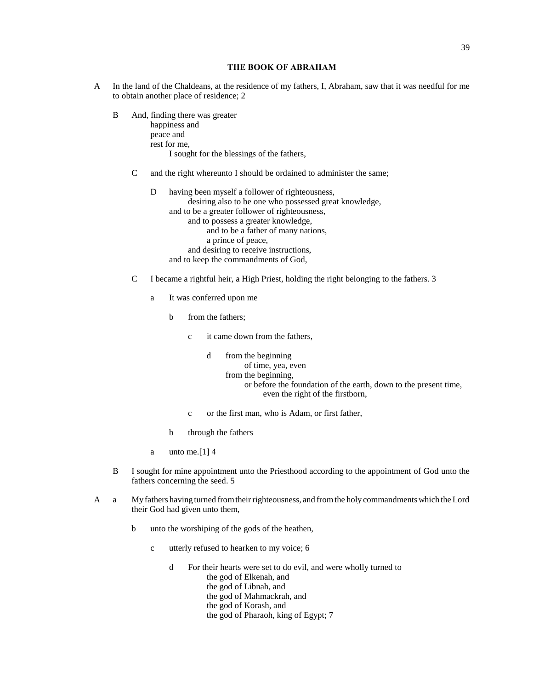# **THE BOOK OF ABRAHAM**

- A In the land of the Chaldeans, at the residence of my fathers, I, Abraham, saw that it was needful for me to obtain another place of residence; 2
	- B And, finding there was greater happiness and peace and rest for me, I sought for the blessings of the fathers,
		- C and the right whereunto I should be ordained to administer the same;
			- D having been myself a follower of righteousness, desiring also to be one who possessed great knowledge, and to be a greater follower of righteousness, and to possess a greater knowledge, and to be a father of many nations, a prince of peace, and desiring to receive instructions, and to keep the commandments of God,
		- C I became a rightful heir, a High Priest, holding the right belonging to the fathers. 3
			- a It was conferred upon me
				- b from the fathers;
					- c it came down from the fathers,

d from the beginning of time, yea, even from the beginning, or before the foundation of the earth, down to the present time, even the right of the firstborn,

- c or the first man, who is Adam, or first father,
- b through the fathers
- a unto me.  $[1]$  4
- B I sought for mine appointment unto the Priesthood according to the appointment of God unto the fathers concerning the seed. 5
- A a My fathers having turned from their righteousness, and from the holy commandments which the Lord their God had given unto them,
	- b unto the worshiping of the gods of the heathen,
		- c utterly refused to hearken to my voice; 6
			- d For their hearts were set to do evil, and were wholly turned to the god of Elkenah, and the god of Libnah, and the god of Mahmackrah, and the god of Korash, and the god of Pharaoh, king of Egypt; 7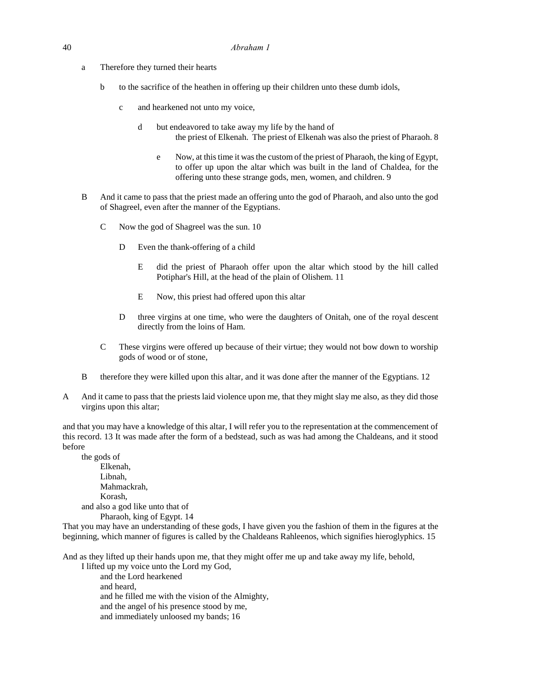- a Therefore they turned their hearts
	- b to the sacrifice of the heathen in offering up their children unto these dumb idols,
		- c and hearkened not unto my voice,
			- d but endeavored to take away my life by the hand of the priest of Elkenah. The priest of Elkenah was also the priest of Pharaoh. 8
				- e Now, at this time it was the custom of the priest of Pharaoh, the king of Egypt, to offer up upon the altar which was built in the land of Chaldea, for the offering unto these strange gods, men, women, and children. 9
- B And it came to pass that the priest made an offering unto the god of Pharaoh, and also unto the god of Shagreel, even after the manner of the Egyptians.
	- C Now the god of Shagreel was the sun. 10
		- D Even the thank-offering of a child
			- E did the priest of Pharaoh offer upon the altar which stood by the hill called Potiphar's Hill, at the head of the plain of Olishem. 11
			- E Now, this priest had offered upon this altar
		- D three virgins at one time, who were the daughters of Onitah, one of the royal descent directly from the loins of Ham.
	- C These virgins were offered up because of their virtue; they would not bow down to worship gods of wood or of stone,
- B therefore they were killed upon this altar, and it was done after the manner of the Egyptians. 12
- A And it came to pass that the priests laid violence upon me, that they might slay me also, as they did those virgins upon this altar;

and that you may have a knowledge of this altar, I will refer you to the representation at the commencement of this record. 13 It was made after the form of a bedstead, such as was had among the Chaldeans, and it stood before

the gods of Elkenah, Libnah, Mahmackrah, Korash, and also a god like unto that of Pharaoh, king of Egypt. 14

That you may have an understanding of these gods, I have given you the fashion of them in the figures at the beginning, which manner of figures is called by the Chaldeans Rahleenos, which signifies hieroglyphics. 15

And as they lifted up their hands upon me, that they might offer me up and take away my life, behold,

I lifted up my voice unto the Lord my God, and the Lord hearkened and heard, and he filled me with the vision of the Almighty, and the angel of his presence stood by me, and immediately unloosed my bands; 16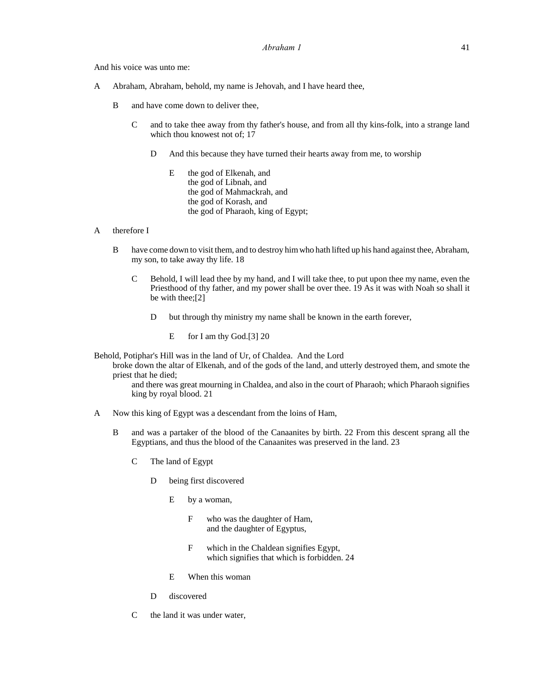And his voice was unto me:

- A Abraham, Abraham, behold, my name is Jehovah, and I have heard thee,
	- B and have come down to deliver thee,
		- C and to take thee away from thy father's house, and from all thy kins-folk, into a strange land which thou knowest not of; 17
			- D And this because they have turned their hearts away from me, to worship
				- E the god of Elkenah, and the god of Libnah, and the god of Mahmackrah, and the god of Korash, and the god of Pharaoh, king of Egypt;

# A therefore I

- B have come down to visit them, and to destroy him who hath lifted up his hand against thee, Abraham, my son, to take away thy life. 18
	- C Behold, I will lead thee by my hand, and I will take thee, to put upon thee my name, even the Priesthood of thy father, and my power shall be over thee. 19 As it was with Noah so shall it be with thee;[2]
		- D but through thy ministry my name shall be known in the earth forever,
			- E for I am thy God.[3] 20

Behold, Potiphar's Hill was in the land of Ur, of Chaldea. And the Lord

broke down the altar of Elkenah, and of the gods of the land, and utterly destroyed them, and smote the priest that he died;

and there was great mourning in Chaldea, and also in the court of Pharaoh; which Pharaoh signifies king by royal blood. 21

- A Now this king of Egypt was a descendant from the loins of Ham,
	- B and was a partaker of the blood of the Canaanites by birth. 22 From this descent sprang all the Egyptians, and thus the blood of the Canaanites was preserved in the land. 23
		- C The land of Egypt
			- D being first discovered
				- E by a woman,
					- F who was the daughter of Ham, and the daughter of Egyptus,
					- F which in the Chaldean signifies Egypt, which signifies that which is forbidden. 24
				- E When this woman
			- D discovered
		- C the land it was under water,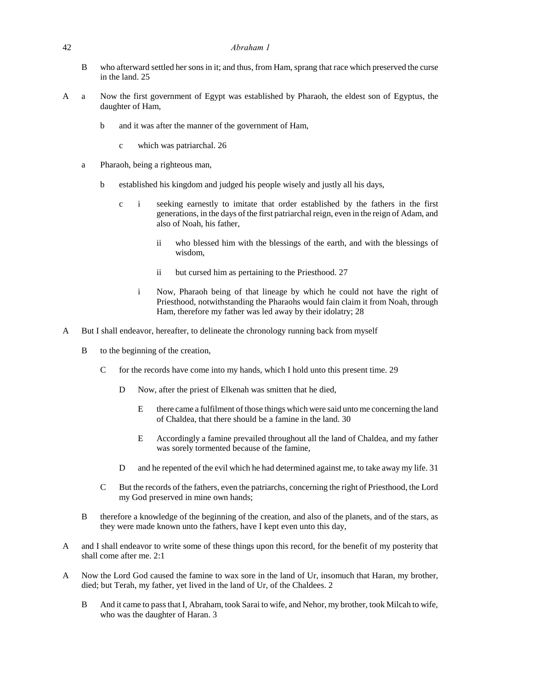### 42 *Abraham 1*

- B who afterward settled her sons in it; and thus, from Ham, sprang that race which preserved the curse in the land. 25
- A a Now the first government of Egypt was established by Pharaoh, the eldest son of Egyptus, the daughter of Ham,
	- b and it was after the manner of the government of Ham,
		- c which was patriarchal. 26
	- a Pharaoh, being a righteous man,
		- b established his kingdom and judged his people wisely and justly all his days,
			- c i seeking earnestly to imitate that order established by the fathers in the first generations, in the days of the first patriarchal reign, even in the reign of Adam, and also of Noah, his father,
				- ii who blessed him with the blessings of the earth, and with the blessings of wisdom,
				- ii but cursed him as pertaining to the Priesthood. 27
				- i Now, Pharaoh being of that lineage by which he could not have the right of Priesthood, notwithstanding the Pharaohs would fain claim it from Noah, through Ham, therefore my father was led away by their idolatry; 28
- A But I shall endeavor, hereafter, to delineate the chronology running back from myself
	- B to the beginning of the creation,
		- C for the records have come into my hands, which I hold unto this present time. 29
			- D Now, after the priest of Elkenah was smitten that he died,
				- E there came a fulfilment of those things which were said unto me concerning the land of Chaldea, that there should be a famine in the land. 30
				- E Accordingly a famine prevailed throughout all the land of Chaldea, and my father was sorely tormented because of the famine,
			- D and he repented of the evil which he had determined against me, to take away my life. 31
		- C But the records of the fathers, even the patriarchs, concerning the right of Priesthood, the Lord my God preserved in mine own hands;
	- B therefore a knowledge of the beginning of the creation, and also of the planets, and of the stars, as they were made known unto the fathers, have I kept even unto this day,
- A and I shall endeavor to write some of these things upon this record, for the benefit of my posterity that shall come after me. 2:1
- A Now the Lord God caused the famine to wax sore in the land of Ur, insomuch that Haran, my brother, died; but Terah, my father, yet lived in the land of Ur, of the Chaldees. 2
	- B And it came to pass that I, Abraham, took Sarai to wife, and Nehor, my brother, took Milcah to wife, who was the daughter of Haran. 3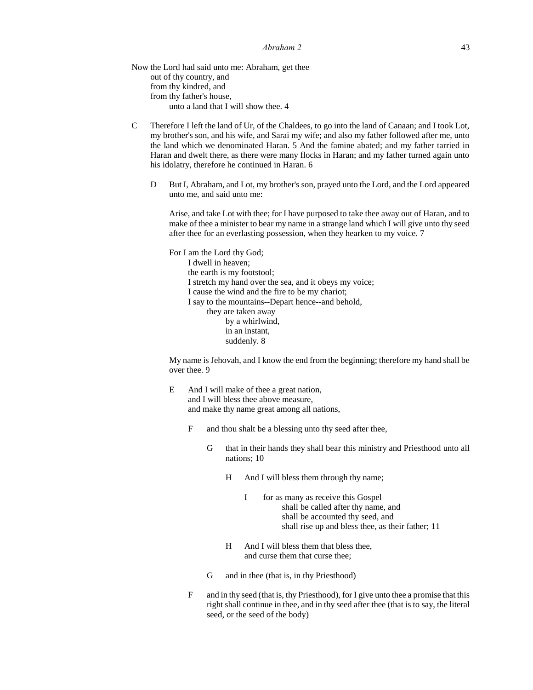Now the Lord had said unto me: Abraham, get thee out of thy country, and from thy kindred, and from thy father's house, unto a land that I will show thee. 4

- C Therefore I left the land of Ur, of the Chaldees, to go into the land of Canaan; and I took Lot, my brother's son, and his wife, and Sarai my wife; and also my father followed after me, unto the land which we denominated Haran. 5 And the famine abated; and my father tarried in Haran and dwelt there, as there were many flocks in Haran; and my father turned again unto his idolatry, therefore he continued in Haran. 6
	- D But I, Abraham, and Lot, my brother's son, prayed unto the Lord, and the Lord appeared unto me, and said unto me:

Arise, and take Lot with thee; for I have purposed to take thee away out of Haran, and to make of thee a minister to bear my name in a strange land which I will give unto thy seed after thee for an everlasting possession, when they hearken to my voice. 7

For I am the Lord thy God; I dwell in heaven; the earth is my footstool; I stretch my hand over the sea, and it obeys my voice; I cause the wind and the fire to be my chariot; I say to the mountains--Depart hence--and behold, they are taken away by a whirlwind, in an instant, suddenly. 8

My name is Jehovah, and I know the end from the beginning; therefore my hand shall be over thee. 9

- E And I will make of thee a great nation, and I will bless thee above measure, and make thy name great among all nations,
	- F and thou shalt be a blessing unto thy seed after thee,
		- G that in their hands they shall bear this ministry and Priesthood unto all nations; 10
			- H And I will bless them through thy name;
				- I for as many as receive this Gospel shall be called after thy name, and shall be accounted thy seed, and shall rise up and bless thee, as their father; 11
			- H And I will bless them that bless thee, and curse them that curse thee;
		- G and in thee (that is, in thy Priesthood)
	- F and in thy seed (that is, thy Priesthood), for I give unto thee a promise that this right shall continue in thee, and in thy seed after thee (that is to say, the literal seed, or the seed of the body)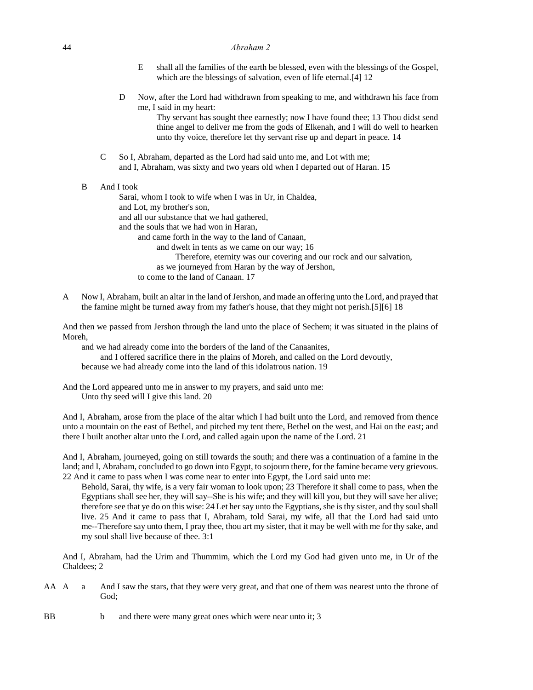| 44 | Abraham 2 |
|----|-----------|
|    |           |

- E shall all the families of the earth be blessed, even with the blessings of the Gospel, which are the blessings of salvation, even of life eternal.<sup>[4]</sup> 12
- D Now, after the Lord had withdrawn from speaking to me, and withdrawn his face from me, I said in my heart:

Thy servant has sought thee earnestly; now I have found thee; 13 Thou didst send thine angel to deliver me from the gods of Elkenah, and I will do well to hearken unto thy voice, therefore let thy servant rise up and depart in peace. 14

C So I, Abraham, departed as the Lord had said unto me, and Lot with me; and I, Abraham, was sixty and two years old when I departed out of Haran. 15

# B And I took

Sarai, whom I took to wife when I was in Ur, in Chaldea, and Lot, my brother's son, and all our substance that we had gathered, and the souls that we had won in Haran, and came forth in the way to the land of Canaan, and dwelt in tents as we came on our way; 16 Therefore, eternity was our covering and our rock and our salvation, as we journeyed from Haran by the way of Jershon, to come to the land of Canaan. 17

A Now I, Abraham, built an altar in the land of Jershon, and made an offering unto the Lord, and prayed that the famine might be turned away from my father's house, that they might not perish.[5][6] 18

And then we passed from Jershon through the land unto the place of Sechem; it was situated in the plains of Moreh,

and we had already come into the borders of the land of the Canaanites,

and I offered sacrifice there in the plains of Moreh, and called on the Lord devoutly,

because we had already come into the land of this idolatrous nation. 19

And the Lord appeared unto me in answer to my prayers, and said unto me: Unto thy seed will I give this land. 20

And I, Abraham, arose from the place of the altar which I had built unto the Lord, and removed from thence unto a mountain on the east of Bethel, and pitched my tent there, Bethel on the west, and Hai on the east; and there I built another altar unto the Lord, and called again upon the name of the Lord. 21

And I, Abraham, journeyed, going on still towards the south; and there was a continuation of a famine in the land; and I, Abraham, concluded to go down into Egypt, to sojourn there, for the famine became very grievous. 22 And it came to pass when I was come near to enter into Egypt, the Lord said unto me:

Behold, Sarai, thy wife, is a very fair woman to look upon; 23 Therefore it shall come to pass, when the Egyptians shall see her, they will say--She is his wife; and they will kill you, but they will save her alive; therefore see that ye do on this wise: 24 Let her say unto the Egyptians, she is thy sister, and thy soul shall live. 25 And it came to pass that I, Abraham, told Sarai, my wife, all that the Lord had said unto me--Therefore say unto them, I pray thee, thou art my sister, that it may be well with me for thy sake, and my soul shall live because of thee. 3:1

And I, Abraham, had the Urim and Thummim, which the Lord my God had given unto me, in Ur of the Chaldees; 2

- AA A a And I saw the stars, that they were very great, and that one of them was nearest unto the throne of God;
- BB b and there were many great ones which were near unto it; 3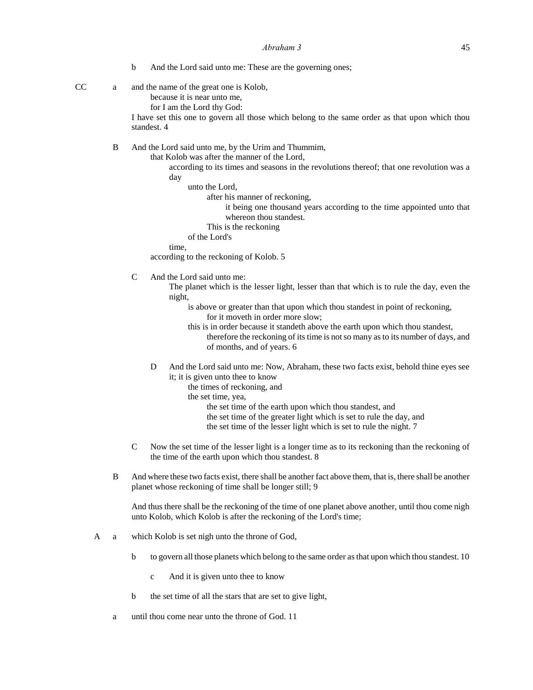- b And the Lord said unto me: These are the governing ones;
- 

CC a and the name of the great one is Kolob, because it is near unto me,

for I am the Lord thy God:

I have set this one to govern all those which belong to the same order as that upon which thou standest. 4

B And the Lord said unto me, by the Urim and Thummim,

that Kolob was after the manner of the Lord,

according to its times and seasons in the revolutions thereof; that one revolution was a day

unto the Lord,

after his manner of reckoning,

it being one thousand years according to the time appointed unto that whereon thou standest.

This is the reckoning

of the Lord's

time,

according to the reckoning of Kolob. 5

C And the Lord said unto me:

The planet which is the lesser light, lesser than that which is to rule the day, even the night,

is above or greater than that upon which thou standest in point of reckoning, for it moveth in order more slow;

- this is in order because it standeth above the earth upon which thou standest, therefore the reckoning of its time is not so many as to its number of days, and of months, and of years. 6
- D And the Lord said unto me: Now, Abraham, these two facts exist, behold thine eyes see it; it is given unto thee to know
	- the times of reckoning, and

the set time, yea,

the set time of the earth upon which thou standest, and

the set time of the greater light which is set to rule the day, and

the set time of the lesser light which is set to rule the night. 7

- C Now the set time of the lesser light is a longer time as to its reckoning than the reckoning of the time of the earth upon which thou standest. 8
- B And where these two facts exist, there shall be another fact above them, that is, there shall be another planet whose reckoning of time shall be longer still; 9

And thus there shall be the reckoning of the time of one planet above another, until thou come nigh unto Kolob, which Kolob is after the reckoning of the Lord's time;

- A a which Kolob is set nigh unto the throne of God,
	- b to govern all those planets which belong to the same order as that upon which thou standest. 10
		- c And it is given unto thee to know
	- b the set time of all the stars that are set to give light,
	- a until thou come near unto the throne of God. 11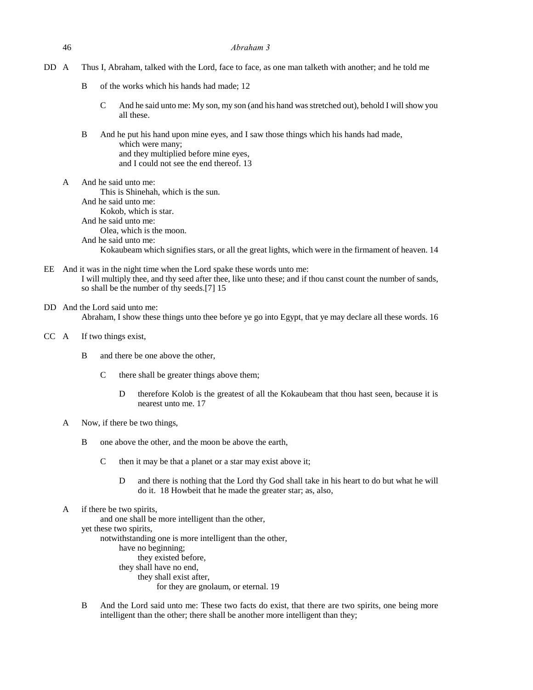46 *Abraham 3*

- B of the works which his hands had made; 12
	- C And he said unto me: My son, my son (and his hand was stretched out), behold I will show you all these.
- B And he put his hand upon mine eyes, and I saw those things which his hands had made, which were many; and they multiplied before mine eyes, and I could not see the end thereof. 13
- A And he said unto me: This is Shinehah, which is the sun. And he said unto me: Kokob, which is star. And he said unto me: Olea, which is the moon. And he said unto me: Kokaubeam which signifies stars, or all the great lights, which were in the firmament of heaven. 14
- EE And it was in the night time when the Lord spake these words unto me: I will multiply thee, and thy seed after thee, like unto these; and if thou canst count the number of sands, so shall be the number of thy seeds.[7] 15
- DD And the Lord said unto me: Abraham, I show these things unto thee before ye go into Egypt, that ye may declare all these words. 16
- CC A If two things exist,
	- B and there be one above the other,
		- C there shall be greater things above them;
			- D therefore Kolob is the greatest of all the Kokaubeam that thou hast seen, because it is nearest unto me. 17
	- A Now, if there be two things,
		- B one above the other, and the moon be above the earth,
			- C then it may be that a planet or a star may exist above it;
				- D and there is nothing that the Lord thy God shall take in his heart to do but what he will do it. 18 Howbeit that he made the greater star; as, also,
	- A if there be two spirits,

and one shall be more intelligent than the other, yet these two spirits, notwithstanding one is more intelligent than the other, have no beginning; they existed before, they shall have no end, they shall exist after, for they are gnolaum, or eternal. 19

B And the Lord said unto me: These two facts do exist, that there are two spirits, one being more intelligent than the other; there shall be another more intelligent than they;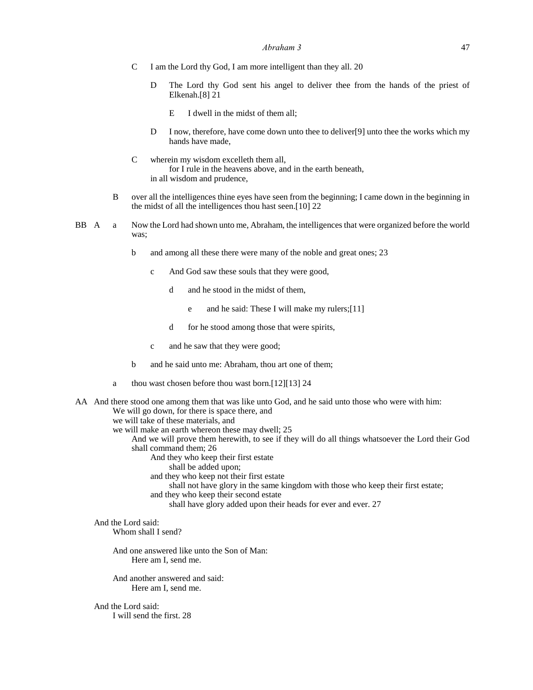- C I am the Lord thy God, I am more intelligent than they all. 20
	- D The Lord thy God sent his angel to deliver thee from the hands of the priest of Elkenah.[8] 21
		- E I dwell in the midst of them all;
	- D I now, therefore, have come down unto thee to deliver[9] unto thee the works which my hands have made,
- C wherein my wisdom excelleth them all, for I rule in the heavens above, and in the earth beneath, in all wisdom and prudence,
- B over all the intelligences thine eyes have seen from the beginning; I came down in the beginning in the midst of all the intelligences thou hast seen.[10] 22
- BB A a Now the Lord had shown unto me, Abraham, the intelligences that were organized before the world was;
	- b and among all these there were many of the noble and great ones; 23
		- c And God saw these souls that they were good,
			- d and he stood in the midst of them,
				- e and he said: These I will make my rulers;[11]
			- d for he stood among those that were spirits,
		- c and he saw that they were good;
	- b and he said unto me: Abraham, thou art one of them;
	- a thou wast chosen before thou wast born.[12][13] 24
- AA And there stood one among them that was like unto God, and he said unto those who were with him: We will go down, for there is space there, and we will take of these materials, and we will make an earth whereon these may dwell; 25
	- And we will prove them herewith, to see if they will do all things whatsoever the Lord their God shall command them; 26
		- And they who keep their first estate
			- shall be added upon;
			- and they who keep not their first estate
			- shall not have glory in the same kingdom with those who keep their first estate;
			- and they who keep their second estate
				- shall have glory added upon their heads for ever and ever. 27

# And the Lord said:

Whom shall I send?

And one answered like unto the Son of Man: Here am I, send me.

And another answered and said: Here am I, send me.

And the Lord said: I will send the first. 28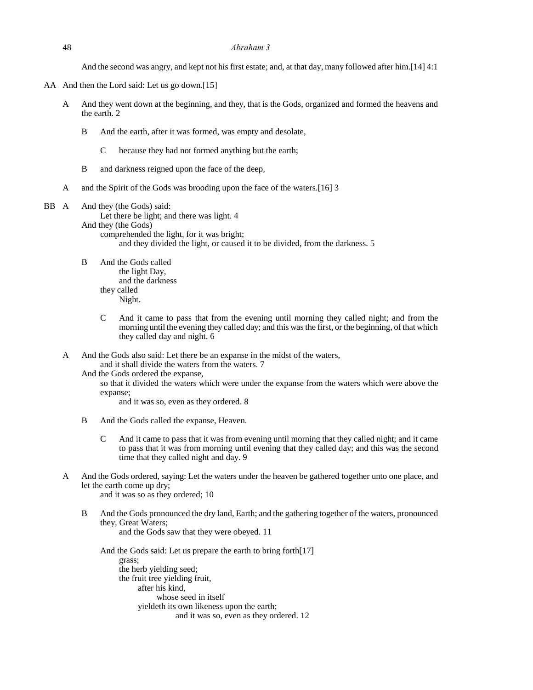And the second was angry, and kept not his first estate; and, at that day, many followed after him.[14] 4:1

- AA And then the Lord said: Let us go down.[15]
	- A And they went down at the beginning, and they, that is the Gods, organized and formed the heavens and the earth. 2
		- B And the earth, after it was formed, was empty and desolate,
			- C because they had not formed anything but the earth;
		- B and darkness reigned upon the face of the deep,
	- A and the Spirit of the Gods was brooding upon the face of the waters.[16] 3

### BB A And they (the Gods) said:

Let there be light; and there was light. 4

And they (the Gods) comprehended the light, for it was bright;

and they divided the light, or caused it to be divided, from the darkness. 5

- B And the Gods called the light Day, and the darkness they called Night.
	- C And it came to pass that from the evening until morning they called night; and from the morning until the evening they called day; and this was the first, or the beginning, of that which they called day and night. 6
- A And the Gods also said: Let there be an expanse in the midst of the waters, and it shall divide the waters from the waters. 7
	- And the Gods ordered the expanse,

so that it divided the waters which were under the expanse from the waters which were above the expanse;

and it was so, even as they ordered. 8

- B And the Gods called the expanse, Heaven.
	- C And it came to pass that it was from evening until morning that they called night; and it came to pass that it was from morning until evening that they called day; and this was the second time that they called night and day. 9
- A And the Gods ordered, saying: Let the waters under the heaven be gathered together unto one place, and let the earth come up dry;

and it was so as they ordered; 10

B And the Gods pronounced the dry land, Earth; and the gathering together of the waters, pronounced they, Great Waters; and the Gods saw that they were obeyed. 11

And the Gods said: Let us prepare the earth to bring forth[17] grass; the herb yielding seed; the fruit tree yielding fruit, after his kind, whose seed in itself yieldeth its own likeness upon the earth; and it was so, even as they ordered. 12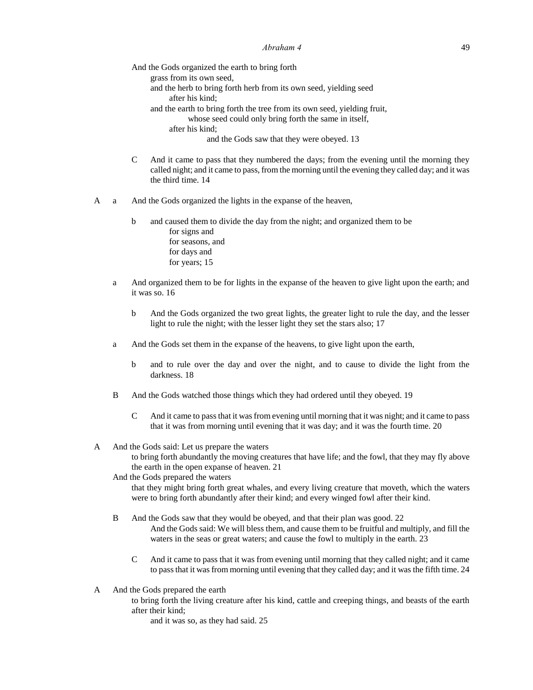And the Gods organized the earth to bring forth grass from its own seed, and the herb to bring forth herb from its own seed, yielding seed after his kind; and the earth to bring forth the tree from its own seed, yielding fruit, whose seed could only bring forth the same in itself, after his kind; and the Gods saw that they were obeyed. 13

- C And it came to pass that they numbered the days; from the evening until the morning they called night; and it came to pass, from the morning until the evening they called day; and it was the third time. 14
- A a And the Gods organized the lights in the expanse of the heaven,
	- b and caused them to divide the day from the night; and organized them to be for signs and for seasons, and for days and for years; 15
	- a And organized them to be for lights in the expanse of the heaven to give light upon the earth; and it was so. 16
		- b And the Gods organized the two great lights, the greater light to rule the day, and the lesser light to rule the night; with the lesser light they set the stars also; 17
	- a And the Gods set them in the expanse of the heavens, to give light upon the earth,
		- b and to rule over the day and over the night, and to cause to divide the light from the darkness. 18
	- B And the Gods watched those things which they had ordered until they obeyed. 19
		- C And it came to pass that it was from evening until morning that it was night; and it came to pass that it was from morning until evening that it was day; and it was the fourth time. 20

## A And the Gods said: Let us prepare the waters

to bring forth abundantly the moving creatures that have life; and the fowl, that they may fly above the earth in the open expanse of heaven. 21

# And the Gods prepared the waters

that they might bring forth great whales, and every living creature that moveth, which the waters were to bring forth abundantly after their kind; and every winged fowl after their kind.

- B And the Gods saw that they would be obeyed, and that their plan was good. 22 And the Gods said: We will bless them, and cause them to be fruitful and multiply, and fill the waters in the seas or great waters; and cause the fowl to multiply in the earth. 23
	- C And it came to pass that it was from evening until morning that they called night; and it came to pass that it was from morning until evening that they called day; and it was the fifth time. 24
- A And the Gods prepared the earth
	- to bring forth the living creature after his kind, cattle and creeping things, and beasts of the earth after their kind;

and it was so, as they had said. 25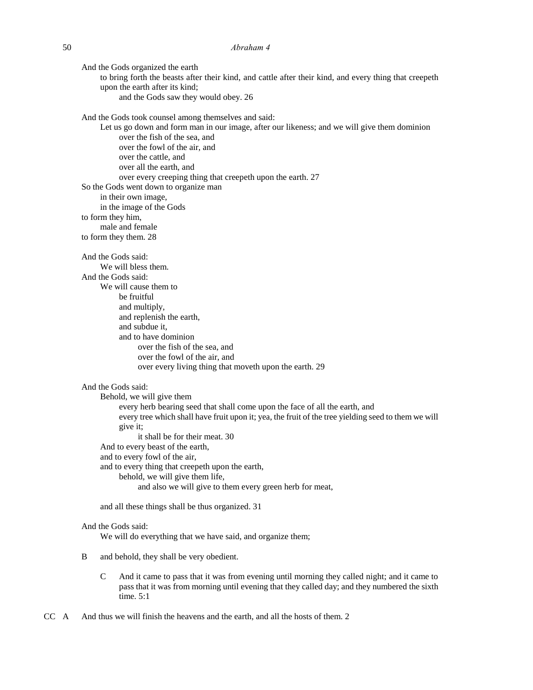And the Gods organized the earth to bring forth the beasts after their kind, and cattle after their kind, and every thing that creepeth upon the earth after its kind; and the Gods saw they would obey. 26 And the Gods took counsel among themselves and said: Let us go down and form man in our image, after our likeness; and we will give them dominion over the fish of the sea, and over the fowl of the air, and over the cattle, and over all the earth, and over every creeping thing that creepeth upon the earth. 27 So the Gods went down to organize man in their own image, in the image of the Gods to form they him, male and female to form they them. 28 And the Gods said: We will bless them. And the Gods said: We will cause them to be fruitful and multiply, and replenish the earth, and subdue it, and to have dominion over the fish of the sea, and over the fowl of the air, and over every living thing that moveth upon the earth. 29 And the Gods said: Behold, we will give them every herb bearing seed that shall come upon the face of all the earth, and every tree which shall have fruit upon it; yea, the fruit of the tree yielding seed to them we will give it; it shall be for their meat. 30 And to every beast of the earth, and to every fowl of the air, and to every thing that creepeth upon the earth, behold, we will give them life, and also we will give to them every green herb for meat, and all these things shall be thus organized. 31

### And the Gods said:

We will do everything that we have said, and organize them;

- B and behold, they shall be very obedient.
	- C And it came to pass that it was from evening until morning they called night; and it came to pass that it was from morning until evening that they called day; and they numbered the sixth time.  $5:1$
- CC A And thus we will finish the heavens and the earth, and all the hosts of them. 2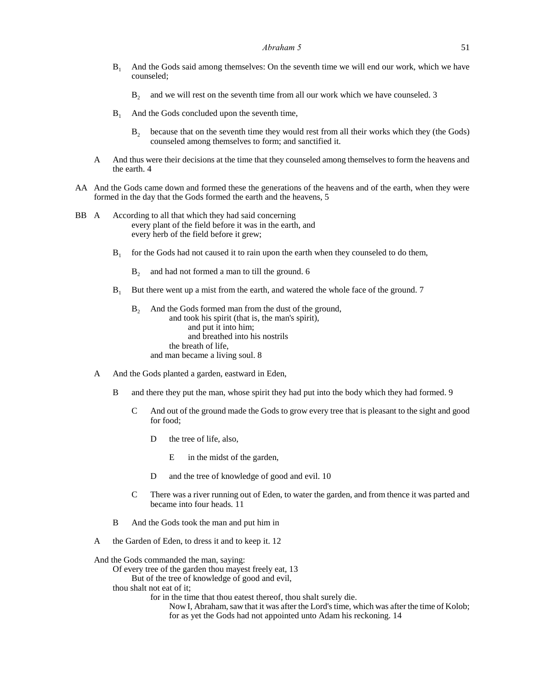- $B<sub>1</sub>$  And the Gods said among themselves: On the seventh time we will end our work, which we have counseled;
	- B<sub>2</sub> and we will rest on the seventh time from all our work which we have counseled. 3
- $B_1$  And the Gods concluded upon the seventh time,
	- $B<sub>2</sub>$  because that on the seventh time they would rest from all their works which they (the Gods) counseled among themselves to form; and sanctified it.
- A And thus were their decisions at the time that they counseled among themselves to form the heavens and the earth. 4
- AA And the Gods came down and formed these the generations of the heavens and of the earth, when they were formed in the day that the Gods formed the earth and the heavens, 5
- BB A According to all that which they had said concerning every plant of the field before it was in the earth, and every herb of the field before it grew;
	- $B<sub>1</sub>$ for the Gods had not caused it to rain upon the earth when they counseled to do them,
		- B<sub>2</sub> and had not formed a man to till the ground. 6
	- B<sub>1</sub> But there went up a mist from the earth, and watered the whole face of the ground. 7
		- B<sub>2</sub> And the Gods formed man from the dust of the ground, and took his spirit (that is, the man's spirit), and put it into him; and breathed into his nostrils the breath of life, and man became a living soul. 8
	- A And the Gods planted a garden, eastward in Eden,
		- B and there they put the man, whose spirit they had put into the body which they had formed. 9
			- C And out of the ground made the Gods to grow every tree that is pleasant to the sight and good for food;
				- D the tree of life, also,
					- E in the midst of the garden,
				- D and the tree of knowledge of good and evil. 10
			- C There was a river running out of Eden, to water the garden, and from thence it was parted and became into four heads. 11
		- B And the Gods took the man and put him in
	- A the Garden of Eden, to dress it and to keep it. 12

And the Gods commanded the man, saying:

Of every tree of the garden thou mayest freely eat, 13

But of the tree of knowledge of good and evil,

thou shalt not eat of it;

for in the time that thou eatest thereof, thou shalt surely die.

Now I, Abraham, saw that it was after the Lord's time, which was after the time of Kolob; for as yet the Gods had not appointed unto Adam his reckoning. 14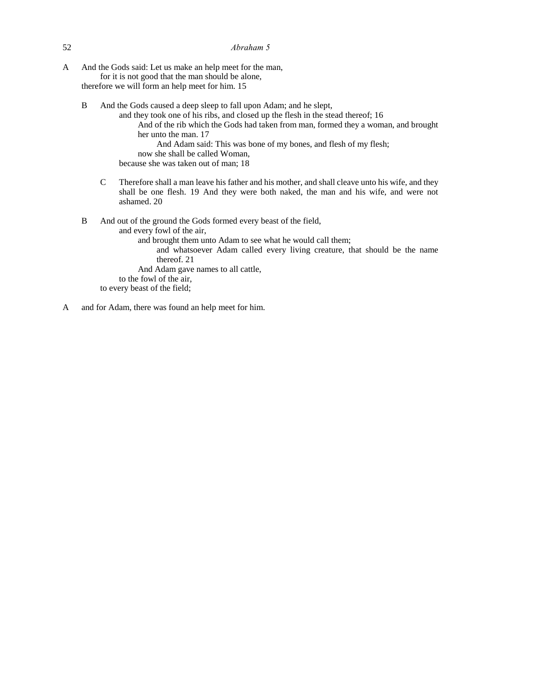A And the Gods said: Let us make an help meet for the man, for it is not good that the man should be alone,

therefore we will form an help meet for him. 15

B And the Gods caused a deep sleep to fall upon Adam; and he slept,

and they took one of his ribs, and closed up the flesh in the stead thereof; 16 And of the rib which the Gods had taken from man, formed they a woman, and brought her unto the man. 17 And Adam said: This was bone of my bones, and flesh of my flesh; now she shall be called Woman, because she was taken out of man; 18

- C Therefore shall a man leave his father and his mother, and shall cleave unto his wife, and they shall be one flesh. 19 And they were both naked, the man and his wife, and were not ashamed. 20
- B And out of the ground the Gods formed every beast of the field,
	- and every fowl of the air,
		- and brought them unto Adam to see what he would call them;
			- and whatsoever Adam called every living creature, that should be the name thereof. 21
		- And Adam gave names to all cattle,
	- to the fowl of the air,
	- to every beast of the field;
- A and for Adam, there was found an help meet for him.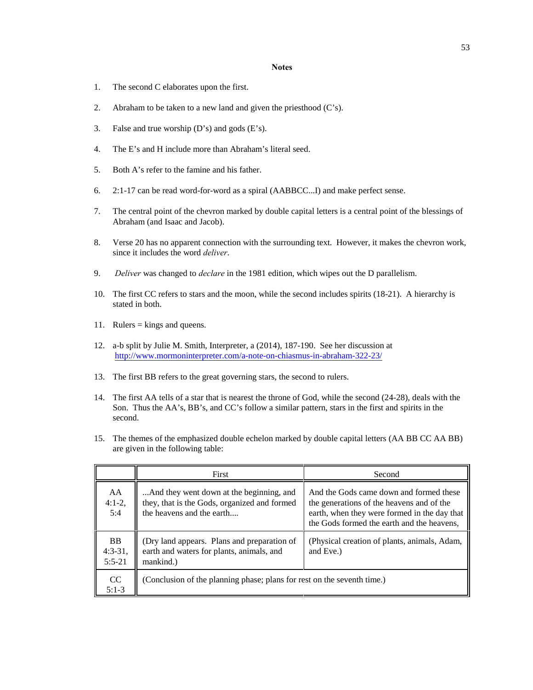### **Notes**

- 1. The second C elaborates upon the first.
- 2. Abraham to be taken to a new land and given the priesthood (C's).
- 3. False and true worship (D's) and gods (E's).
- 4. The E's and H include more than Abraham's literal seed.
- 5. Both A's refer to the famine and his father.
- 6. 2:1-17 can be read word-for-word as a spiral (AABBCC...I) and make perfect sense.
- 7. The central point of the chevron marked by double capital letters is a central point of the blessings of Abraham (and Isaac and Jacob).
- 8. Verse 20 has no apparent connection with the surrounding text. However, it makes the chevron work, since it includes the word *deliver*.
- 9. *Deliver* was changed to *declare* in the 1981 edition, which wipes out the D parallelism.
- 10. The first CC refers to stars and the moon, while the second includes spirits (18-21). A hierarchy is stated in both.
- 11. Rulers = kings and queens.
- 12. a-b split by Julie M. Smith, Interpreter, a (2014), 187-190. See her discussion at http://www.mormoninterpreter.com/a-note-on-chiasmus-in-abraham-322-23/
- 13. The first BB refers to the great governing stars, the second to rulers.
- 14. The first AA tells of a star that is nearest the throne of God, while the second (24-28), deals with the Son. Thus the AA's, BB's, and CC's follow a similar pattern, stars in the first and spirits in the second.
- 15. The themes of the emphasized double echelon marked by double capital letters (AA BB CC AA BB) are given in the following table:

|                                    | First                                                                                                                 | Second                                                                                                                                                                             |
|------------------------------------|-----------------------------------------------------------------------------------------------------------------------|------------------------------------------------------------------------------------------------------------------------------------------------------------------------------------|
| AA<br>$4:1-2,$<br>5:4              | And they went down at the beginning, and<br>they, that is the Gods, organized and formed<br>the heavens and the earth | And the Gods came down and formed these<br>the generations of the heavens and of the<br>earth, when they were formed in the day that<br>the Gods formed the earth and the heavens, |
| <b>BB</b><br>$4:3-31,$<br>$5:5-21$ | (Dry land appears. Plans and preparation of<br>earth and waters for plants, animals, and<br>mankind.)                 | (Physical creation of plants, animals, Adam,<br>and Eve.)                                                                                                                          |
| CC<br>$5:1-3$                      | (Conclusion of the planning phase; plans for rest on the seventh time.)                                               |                                                                                                                                                                                    |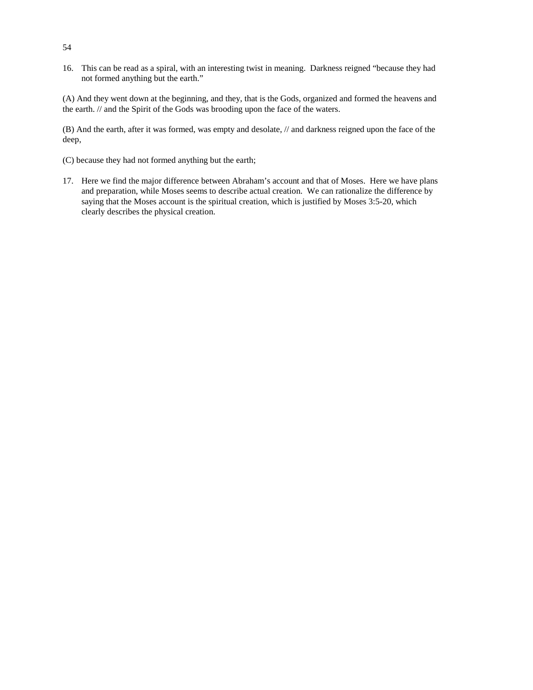16. This can be read as a spiral, with an interesting twist in meaning. Darkness reigned "because they had not formed anything but the earth."

(A) And they went down at the beginning, and they, that is the Gods, organized and formed the heavens and the earth. // and the Spirit of the Gods was brooding upon the face of the waters.

(B) And the earth, after it was formed, was empty and desolate, // and darkness reigned upon the face of the deep,

- (C) because they had not formed anything but the earth;
- 17. Here we find the major difference between Abraham's account and that of Moses. Here we have plans and preparation, while Moses seems to describe actual creation. We can rationalize the difference by saying that the Moses account is the spiritual creation, which is justified by Moses 3:5-20, which clearly describes the physical creation.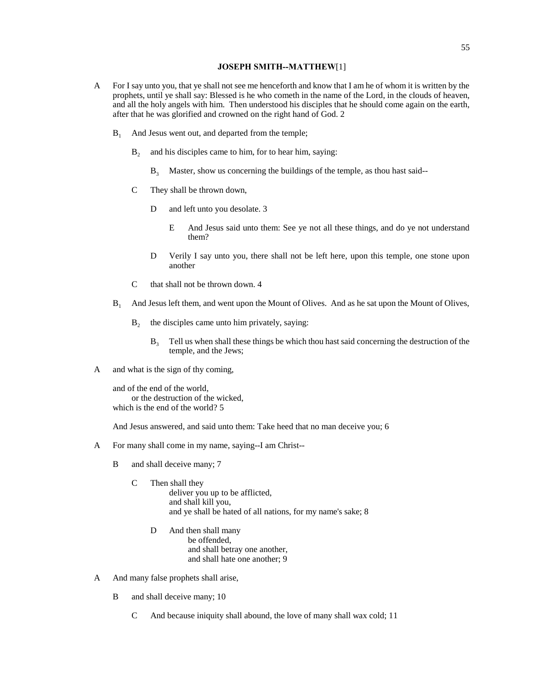# **JOSEPH SMITH--MATTHEW**[1]

- A For I say unto you, that ye shall not see me henceforth and know that I am he of whom it is written by the prophets, until ye shall say: Blessed is he who cometh in the name of the Lord, in the clouds of heaven, and all the holy angels with him. Then understood his disciples that he should come again on the earth, after that he was glorified and crowned on the right hand of God. 2
	- $B_1$  And Jesus went out, and departed from the temple;
		- $B<sub>2</sub>$  and his disciples came to him, for to hear him, saying:
			- $B<sub>3</sub>$  Master, show us concerning the buildings of the temple, as thou hast said--
		- C They shall be thrown down,
			- D and left unto you desolate. 3
				- E And Jesus said unto them: See ye not all these things, and do ye not understand them?
			- D Verily I say unto you, there shall not be left here, upon this temple, one stone upon another
		- C that shall not be thrown down. 4
	- B<sub>1</sub> And Jesus left them, and went upon the Mount of Olives. And as he sat upon the Mount of Olives,
		- $B_2$  the disciples came unto him privately, saying:
			- $B<sub>3</sub>$  Tell us when shall these things be which thou hast said concerning the destruction of the temple, and the Jews;
- A and what is the sign of thy coming,

and of the end of the world, or the destruction of the wicked, which is the end of the world? 5

And Jesus answered, and said unto them: Take heed that no man deceive you; 6

- A For many shall come in my name, saying--I am Christ--
	- B and shall deceive many; 7
		- C Then shall they deliver you up to be afflicted, and shall kill you, and ye shall be hated of all nations, for my name's sake; 8
			- D And then shall many be offended, and shall betray one another, and shall hate one another; 9
- A And many false prophets shall arise,
	- B and shall deceive many; 10
		- C And because iniquity shall abound, the love of many shall wax cold; 11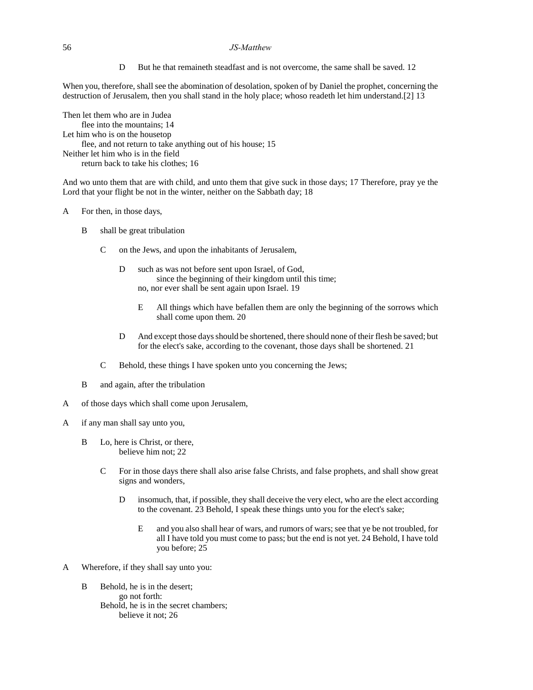# 56 *JS-Matthew*

D But he that remaineth steadfast and is not overcome, the same shall be saved. 12

When you, therefore, shall see the abomination of desolation, spoken of by Daniel the prophet, concerning the destruction of Jerusalem, then you shall stand in the holy place; whoso readeth let him understand.[2] 13

Then let them who are in Judea flee into the mountains; 14 Let him who is on the housetop flee, and not return to take anything out of his house; 15 Neither let him who is in the field return back to take his clothes; 16

And wo unto them that are with child, and unto them that give suck in those days; 17 Therefore, pray ye the Lord that your flight be not in the winter, neither on the Sabbath day; 18

# A For then, in those days,

- B shall be great tribulation
	- C on the Jews, and upon the inhabitants of Jerusalem,
		- D such as was not before sent upon Israel, of God, since the beginning of their kingdom until this time; no, nor ever shall be sent again upon Israel. 19
			- E All things which have befallen them are only the beginning of the sorrows which shall come upon them. 20
		- D And except those days should be shortened, there should none of their flesh be saved; but for the elect's sake, according to the covenant, those days shall be shortened. 21
	- C Behold, these things I have spoken unto you concerning the Jews;
- B and again, after the tribulation
- A of those days which shall come upon Jerusalem,
- A if any man shall say unto you,
	- B Lo, here is Christ, or there, believe him not; 22
		- C For in those days there shall also arise false Christs, and false prophets, and shall show great signs and wonders,
			- D insomuch, that, if possible, they shall deceive the very elect, who are the elect according to the covenant. 23 Behold, I speak these things unto you for the elect's sake;
				- E and you also shall hear of wars, and rumors of wars; see that ye be not troubled, for all I have told you must come to pass; but the end is not yet. 24 Behold, I have told you before; 25
- A Wherefore, if they shall say unto you:
	- B Behold, he is in the desert: go not forth: Behold, he is in the secret chambers; believe it not; 26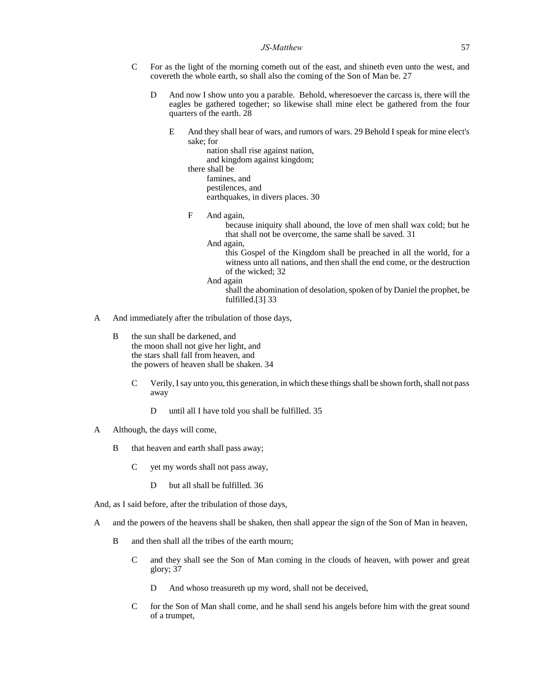- C For as the light of the morning cometh out of the east, and shineth even unto the west, and covereth the whole earth, so shall also the coming of the Son of Man be. 27
	- D And now I show unto you a parable. Behold, wheresoever the carcass is, there will the eagles be gathered together; so likewise shall mine elect be gathered from the four quarters of the earth. 28
		- E And they shall hear of wars, and rumors of wars. 29 Behold I speak for mine elect's sake; for

nation shall rise against nation, and kingdom against kingdom; there shall be famines, and pestilences, and earthquakes, in divers places. 30

F And again,

because iniquity shall abound, the love of men shall wax cold; but he that shall not be overcome, the same shall be saved. 31

And again,

this Gospel of the Kingdom shall be preached in all the world, for a witness unto all nations, and then shall the end come, or the destruction of the wicked; 32

And again

shall the abomination of desolation, spoken of by Daniel the prophet, be fulfilled.[3] 33

- A And immediately after the tribulation of those days,
	- B the sun shall be darkened, and the moon shall not give her light, and the stars shall fall from heaven, and the powers of heaven shall be shaken. 34
		- C Verily, I say unto you, this generation, in which these things shall be shown forth, shall not pass away
			- D until all I have told you shall be fulfilled. 35
- A Although, the days will come,
	- B that heaven and earth shall pass away;
		- C yet my words shall not pass away,
			- D but all shall be fulfilled. 36

And, as I said before, after the tribulation of those days,

- A and the powers of the heavens shall be shaken, then shall appear the sign of the Son of Man in heaven,
	- B and then shall all the tribes of the earth mourn;
		- C and they shall see the Son of Man coming in the clouds of heaven, with power and great glory; 37
			- D And whoso treasureth up my word, shall not be deceived,
		- C for the Son of Man shall come, and he shall send his angels before him with the great sound of a trumpet,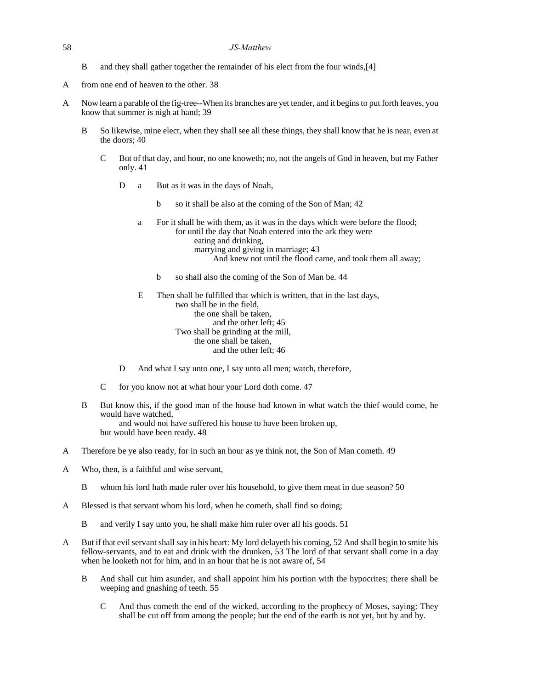- B and they shall gather together the remainder of his elect from the four winds,[4]
- A from one end of heaven to the other. 38
- A Now learn a parable of the fig-tree--When its branches are yet tender, and it begins to put forth leaves, you know that summer is nigh at hand; 39
	- B So likewise, mine elect, when they shall see all these things, they shall know that he is near, even at the doors; 40
		- C But of that day, and hour, no one knoweth; no, not the angels of God in heaven, but my Father only. 41
			- D a But as it was in the days of Noah,
				- b so it shall be also at the coming of the Son of Man; 42
				- a For it shall be with them, as it was in the days which were before the flood; for until the day that Noah entered into the ark they were eating and drinking, marrying and giving in marriage; 43 And knew not until the flood came, and took them all away;
					- b so shall also the coming of the Son of Man be. 44

E Then shall be fulfilled that which is written, that in the last days, two shall be in the field, the one shall be taken, and the other left; 45 Two shall be grinding at the mill, the one shall be taken, and the other left; 46

- D And what I say unto one, I say unto all men; watch, therefore,
- C for you know not at what hour your Lord doth come. 47
- B But know this, if the good man of the house had known in what watch the thief would come, he would have watched,

and would not have suffered his house to have been broken up, but would have been ready. 48

- A Therefore be ye also ready, for in such an hour as ye think not, the Son of Man cometh. 49
- A Who, then, is a faithful and wise servant,
	- B whom his lord hath made ruler over his household, to give them meat in due season? 50
- A Blessed is that servant whom his lord, when he cometh, shall find so doing;
	- B and verily I say unto you, he shall make him ruler over all his goods. 51
- A But if that evil servant shall say in his heart: My lord delayeth his coming, 52 And shall begin to smite his fellow-servants, and to eat and drink with the drunken, 53 The lord of that servant shall come in a day when he looketh not for him, and in an hour that he is not aware of, 54
	- B And shall cut him asunder, and shall appoint him his portion with the hypocrites; there shall be weeping and gnashing of teeth. 55
		- C And thus cometh the end of the wicked, according to the prophecy of Moses, saying: They shall be cut off from among the people; but the end of the earth is not yet, but by and by.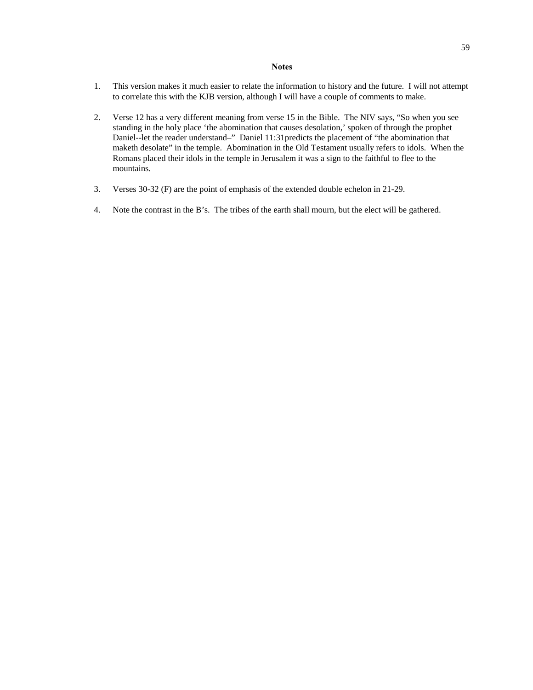### **Notes**

- 1. This version makes it much easier to relate the information to history and the future. I will not attempt to correlate this with the KJB version, although I will have a couple of comments to make.
- 2. Verse 12 has a very different meaning from verse 15 in the Bible. The NIV says, "So when you see standing in the holy place 'the abomination that causes desolation,' spoken of through the prophet Daniel--let the reader understand–" Daniel 11:31predicts the placement of "the abomination that maketh desolate" in the temple. Abomination in the Old Testament usually refers to idols. When the Romans placed their idols in the temple in Jerusalem it was a sign to the faithful to flee to the mountains.
- 3. Verses 30-32 (F) are the point of emphasis of the extended double echelon in 21-29.
- 4. Note the contrast in the B's. The tribes of the earth shall mourn, but the elect will be gathered.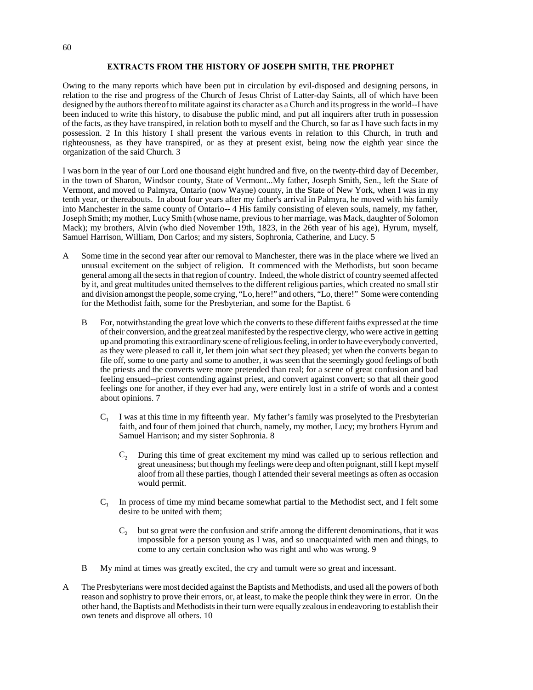# **EXTRACTS FROM THE HISTORY OF JOSEPH SMITH, THE PROPHET**

Owing to the many reports which have been put in circulation by evil-disposed and designing persons, in relation to the rise and progress of the Church of Jesus Christ of Latter-day Saints, all of which have been designed by the authors thereof to militate against its character as a Church and its progress in the world--I have been induced to write this history, to disabuse the public mind, and put all inquirers after truth in possession of the facts, as they have transpired, in relation both to myself and the Church, so far as I have such facts in my possession. 2 In this history I shall present the various events in relation to this Church, in truth and righteousness, as they have transpired, or as they at present exist, being now the eighth year since the organization of the said Church. 3

I was born in the year of our Lord one thousand eight hundred and five, on the twenty-third day of December, in the town of Sharon, Windsor county, State of Vermont...My father, Joseph Smith, Sen., left the State of Vermont, and moved to Palmyra, Ontario (now Wayne) county, in the State of New York, when I was in my tenth year, or thereabouts. In about four years after my father's arrival in Palmyra, he moved with his family into Manchester in the same county of Ontario-- 4 His family consisting of eleven souls, namely, my father, Joseph Smith; my mother, Lucy Smith (whose name, previous to her marriage, was Mack, daughter of Solomon Mack); my brothers, Alvin (who died November 19th, 1823, in the 26th year of his age), Hyrum, myself, Samuel Harrison, William, Don Carlos; and my sisters, Sophronia, Catherine, and Lucy. 5

- A Some time in the second year after our removal to Manchester, there was in the place where we lived an unusual excitement on the subject of religion. It commenced with the Methodists, but soon became general among all the sects in that region of country. Indeed, the whole district of country seemed affected by it, and great multitudes united themselves to the different religious parties, which created no small stir and division amongst the people, some crying, "Lo, here!" and others, "Lo, there!" Some were contending for the Methodist faith, some for the Presbyterian, and some for the Baptist. 6
	- B For, notwithstanding the great love which the converts to these different faiths expressed at the time of their conversion, and the great zeal manifested by the respective clergy, who were active in getting up and promoting this extraordinary scene of religious feeling, in order to have everybody converted, as they were pleased to call it, let them join what sect they pleased; yet when the converts began to file off, some to one party and some to another, it was seen that the seemingly good feelings of both the priests and the converts were more pretended than real; for a scene of great confusion and bad feeling ensued--priest contending against priest, and convert against convert; so that all their good feelings one for another, if they ever had any, were entirely lost in a strife of words and a contest about opinions. 7
		- $C_1$ I was at this time in my fifteenth year. My father's family was proselyted to the Presbyterian faith, and four of them joined that church, namely, my mother, Lucy; my brothers Hyrum and Samuel Harrison; and my sister Sophronia. 8
			- C<sub>2</sub> During this time of great excitement my mind was called up to serious reflection and great uneasiness; but though my feelings were deep and often poignant, still I kept myself aloof from all these parties, though I attended their several meetings as often as occasion would permit.
		- $C_1$ In process of time my mind became somewhat partial to the Methodist sect, and I felt some desire to be united with them;
			- $C<sub>2</sub>$  but so great were the confusion and strife among the different denominations, that it was impossible for a person young as I was, and so unacquainted with men and things, to come to any certain conclusion who was right and who was wrong. 9
	- B My mind at times was greatly excited, the cry and tumult were so great and incessant.
- A The Presbyterians were most decided against the Baptists and Methodists, and used all the powers of both reason and sophistry to prove their errors, or, at least, to make the people think they were in error. On the other hand, the Baptists and Methodists in their turn were equally zealous in endeavoring to establish their own tenets and disprove all others. 10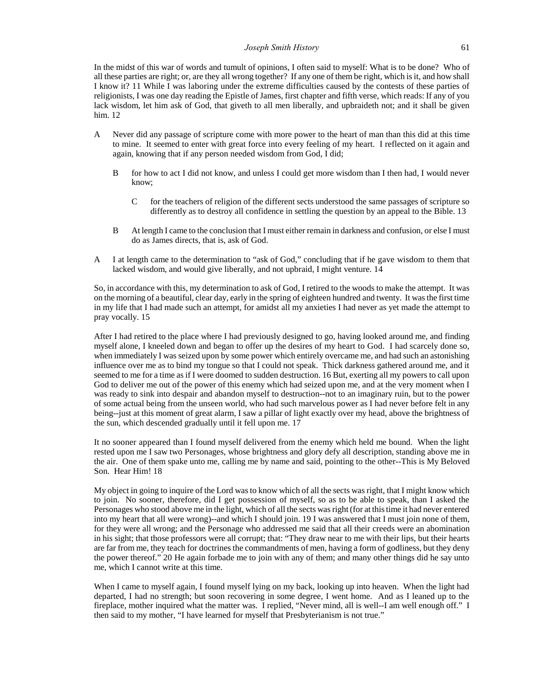### *Joseph Smith History* 61

In the midst of this war of words and tumult of opinions, I often said to myself: What is to be done? Who of all these parties are right; or, are they all wrong together? If any one of them be right, which is it, and how shall I know it? 11 While I was laboring under the extreme difficulties caused by the contests of these parties of religionists, I was one day reading the Epistle of James, first chapter and fifth verse, which reads: If any of you lack wisdom, let him ask of God, that giveth to all men liberally, and upbraideth not; and it shall be given him. 12

- A Never did any passage of scripture come with more power to the heart of man than this did at this time to mine. It seemed to enter with great force into every feeling of my heart. I reflected on it again and again, knowing that if any person needed wisdom from God, I did;
	- B for how to act I did not know, and unless I could get more wisdom than I then had, I would never know;
		- C for the teachers of religion of the different sects understood the same passages of scripture so differently as to destroy all confidence in settling the question by an appeal to the Bible. 13
	- B At length I came to the conclusion that I must either remain in darkness and confusion, or else I must do as James directs, that is, ask of God.
- A I at length came to the determination to "ask of God," concluding that if he gave wisdom to them that lacked wisdom, and would give liberally, and not upbraid, I might venture. 14

So, in accordance with this, my determination to ask of God, I retired to the woods to make the attempt. It was on the morning of a beautiful, clear day, early in the spring of eighteen hundred and twenty. It was the first time in my life that I had made such an attempt, for amidst all my anxieties I had never as yet made the attempt to pray vocally. 15

After I had retired to the place where I had previously designed to go, having looked around me, and finding myself alone, I kneeled down and began to offer up the desires of my heart to God. I had scarcely done so, when immediately I was seized upon by some power which entirely overcame me, and had such an astonishing influence over me as to bind my tongue so that I could not speak. Thick darkness gathered around me, and it seemed to me for a time as if I were doomed to sudden destruction. 16 But, exerting all my powers to call upon God to deliver me out of the power of this enemy which had seized upon me, and at the very moment when I was ready to sink into despair and abandon myself to destruction--not to an imaginary ruin, but to the power of some actual being from the unseen world, who had such marvelous power as I had never before felt in any being--just at this moment of great alarm, I saw a pillar of light exactly over my head, above the brightness of the sun, which descended gradually until it fell upon me. 17

It no sooner appeared than I found myself delivered from the enemy which held me bound. When the light rested upon me I saw two Personages, whose brightness and glory defy all description, standing above me in the air. One of them spake unto me, calling me by name and said, pointing to the other--This is My Beloved Son. Hear Him! 18

My object in going to inquire of the Lord was to know which of all the sects was right, that I might know which to join. No sooner, therefore, did I get possession of myself, so as to be able to speak, than I asked the Personages who stood above me in the light, which of all the sects was right (for at this time it had never entered into my heart that all were wrong)--and which I should join. 19 I was answered that I must join none of them, for they were all wrong; and the Personage who addressed me said that all their creeds were an abomination in his sight; that those professors were all corrupt; that: "They draw near to me with their lips, but their hearts are far from me, they teach for doctrines the commandments of men, having a form of godliness, but they deny the power thereof." 20 He again forbade me to join with any of them; and many other things did he say unto me, which I cannot write at this time.

When I came to myself again, I found myself lying on my back, looking up into heaven. When the light had departed, I had no strength; but soon recovering in some degree, I went home. And as I leaned up to the fireplace, mother inquired what the matter was. I replied, "Never mind, all is well--I am well enough off." I then said to my mother, "I have learned for myself that Presbyterianism is not true."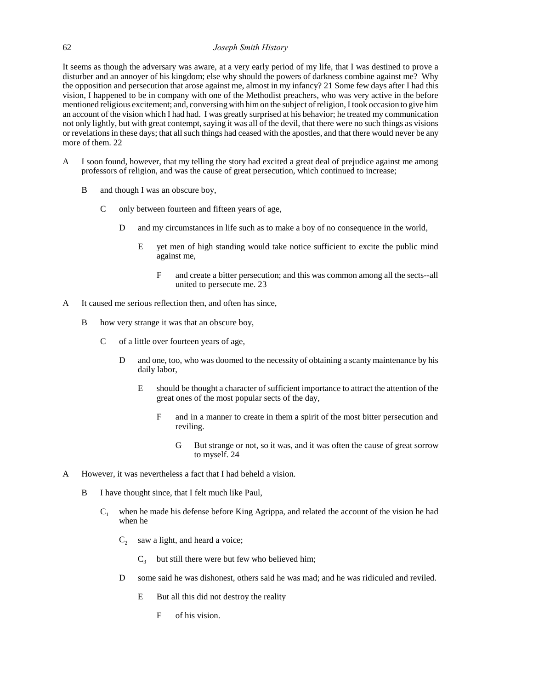# 62 *Joseph Smith History*

It seems as though the adversary was aware, at a very early period of my life, that I was destined to prove a disturber and an annoyer of his kingdom; else why should the powers of darkness combine against me? Why the opposition and persecution that arose against me, almost in my infancy? 21 Some few days after I had this vision, I happened to be in company with one of the Methodist preachers, who was very active in the before mentioned religious excitement; and, conversing with him on the subject of religion, I took occasion to give him an account of the vision which I had had. I was greatly surprised at his behavior; he treated my communication not only lightly, but with great contempt, saying it was all of the devil, that there were no such things as visions or revelations in these days; that all such things had ceased with the apostles, and that there would never be any more of them. 22

- A I soon found, however, that my telling the story had excited a great deal of prejudice against me among professors of religion, and was the cause of great persecution, which continued to increase;
	- B and though I was an obscure boy,
		- C only between fourteen and fifteen years of age,
			- D and my circumstances in life such as to make a boy of no consequence in the world,
				- E yet men of high standing would take notice sufficient to excite the public mind against me,
					- F and create a bitter persecution; and this was common among all the sects--all united to persecute me. 23
- A It caused me serious reflection then, and often has since,
	- B how very strange it was that an obscure boy,
		- C of a little over fourteen years of age,
			- D and one, too, who was doomed to the necessity of obtaining a scanty maintenance by his daily labor,
				- E should be thought a character of sufficient importance to attract the attention of the great ones of the most popular sects of the day,
					- F and in a manner to create in them a spirit of the most bitter persecution and reviling.
						- G But strange or not, so it was, and it was often the cause of great sorrow to myself. 24
- A However, it was nevertheless a fact that I had beheld a vision.
	- B I have thought since, that I felt much like Paul,
		- $C_1$  when he made his defense before King Agrippa, and related the account of the vision he had when he
			- $C_2$  saw a light, and heard a voice;
				- $C_3$  but still there were but few who believed him;
			- D some said he was dishonest, others said he was mad; and he was ridiculed and reviled.
				- E But all this did not destroy the reality
					- F of his vision.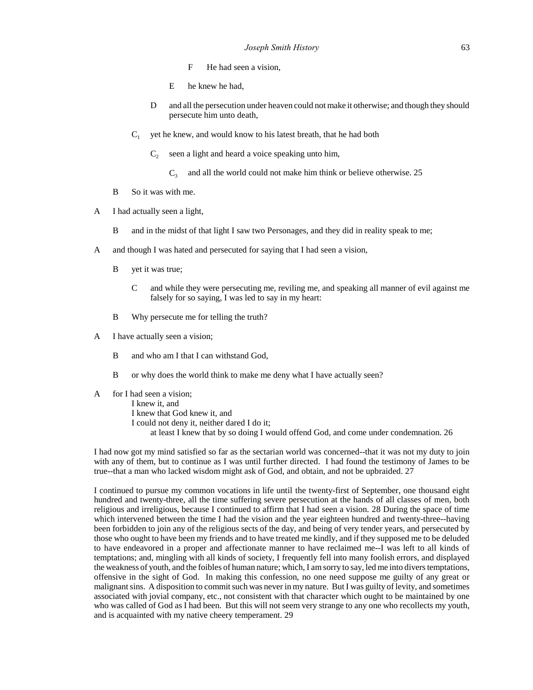- F He had seen a vision,
- E he knew he had,
- D and all the persecution under heaven could not make it otherwise; and though they should persecute him unto death,
- $C_1$  yet he knew, and would know to his latest breath, that he had both
	- $C_2$  seen a light and heard a voice speaking unto him,
		- $C_3$  and all the world could not make him think or believe otherwise. 25
- B So it was with me.
- A I had actually seen a light,
	- B and in the midst of that light I saw two Personages, and they did in reality speak to me;
- A and though I was hated and persecuted for saying that I had seen a vision,
	- B yet it was true;
		- C and while they were persecuting me, reviling me, and speaking all manner of evil against me falsely for so saying, I was led to say in my heart:
	- B Why persecute me for telling the truth?
- A I have actually seen a vision;
	- B and who am I that I can withstand God,
	- B or why does the world think to make me deny what I have actually seen?
- A for I had seen a vision;

I knew it, and I knew that God knew it, and I could not deny it, neither dared I do it; at least I knew that by so doing I would offend God, and come under condemnation. 26

I had now got my mind satisfied so far as the sectarian world was concerned--that it was not my duty to join with any of them, but to continue as I was until further directed. I had found the testimony of James to be true--that a man who lacked wisdom might ask of God, and obtain, and not be upbraided. 27

I continued to pursue my common vocations in life until the twenty-first of September, one thousand eight hundred and twenty-three, all the time suffering severe persecution at the hands of all classes of men, both religious and irreligious, because I continued to affirm that I had seen a vision. 28 During the space of time which intervened between the time I had the vision and the year eighteen hundred and twenty-three--having been forbidden to join any of the religious sects of the day, and being of very tender years, and persecuted by those who ought to have been my friends and to have treated me kindly, and if they supposed me to be deluded to have endeavored in a proper and affectionate manner to have reclaimed me--I was left to all kinds of temptations; and, mingling with all kinds of society, I frequently fell into many foolish errors, and displayed the weakness of youth, and the foibles of human nature; which, I am sorry to say, led me into divers temptations, offensive in the sight of God. In making this confession, no one need suppose me guilty of any great or malignant sins. A disposition to commit such was never in my nature. But I was guilty of levity, and sometimes associated with jovial company, etc., not consistent with that character which ought to be maintained by one who was called of God as I had been. But this will not seem very strange to any one who recollects my youth, and is acquainted with my native cheery temperament. 29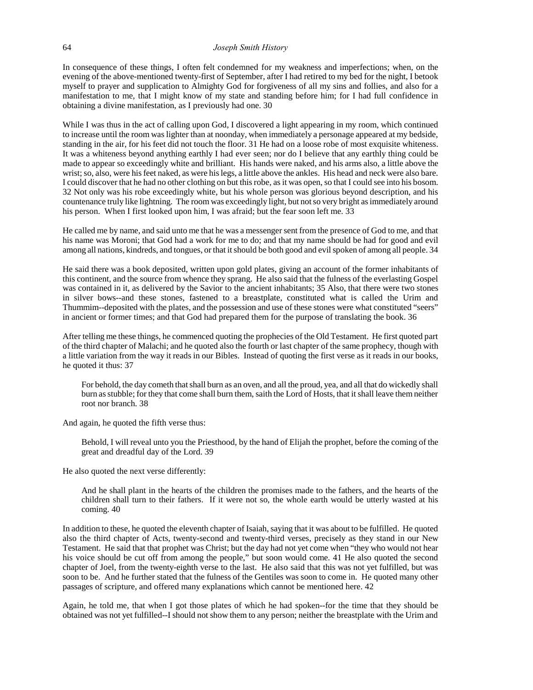In consequence of these things, I often felt condemned for my weakness and imperfections; when, on the evening of the above-mentioned twenty-first of September, after I had retired to my bed for the night, I betook myself to prayer and supplication to Almighty God for forgiveness of all my sins and follies, and also for a manifestation to me, that I might know of my state and standing before him; for I had full confidence in obtaining a divine manifestation, as I previously had one. 30

While I was thus in the act of calling upon God, I discovered a light appearing in my room, which continued to increase until the room was lighter than at noonday, when immediately a personage appeared at my bedside, standing in the air, for his feet did not touch the floor. 31 He had on a loose robe of most exquisite whiteness. It was a whiteness beyond anything earthly I had ever seen; nor do I believe that any earthly thing could be made to appear so exceedingly white and brilliant. His hands were naked, and his arms also, a little above the wrist; so, also, were his feet naked, as were his legs, a little above the ankles. His head and neck were also bare. I could discover that he had no other clothing on but this robe, as it was open, so that I could see into his bosom. 32 Not only was his robe exceedingly white, but his whole person was glorious beyond description, and his countenance truly like lightning. The room was exceedingly light, but not so very bright as immediately around his person. When I first looked upon him, I was afraid; but the fear soon left me. 33

He called me by name, and said unto me that he was a messenger sent from the presence of God to me, and that his name was Moroni; that God had a work for me to do; and that my name should be had for good and evil among all nations, kindreds, and tongues, or that it should be both good and evil spoken of among all people. 34

He said there was a book deposited, written upon gold plates, giving an account of the former inhabitants of this continent, and the source from whence they sprang. He also said that the fulness of the everlasting Gospel was contained in it, as delivered by the Savior to the ancient inhabitants; 35 Also, that there were two stones in silver bows--and these stones, fastened to a breastplate, constituted what is called the Urim and Thummim--deposited with the plates, and the possession and use of these stones were what constituted "seers" in ancient or former times; and that God had prepared them for the purpose of translating the book. 36

After telling me these things, he commenced quoting the prophecies of the Old Testament. He first quoted part of the third chapter of Malachi; and he quoted also the fourth or last chapter of the same prophecy, though with a little variation from the way it reads in our Bibles. Instead of quoting the first verse as it reads in our books, he quoted it thus: 37

For behold, the day cometh that shall burn as an oven, and all the proud, yea, and all that do wickedly shall burn as stubble; for they that come shall burn them, saith the Lord of Hosts, that it shall leave them neither root nor branch. 38

And again, he quoted the fifth verse thus:

Behold, I will reveal unto you the Priesthood, by the hand of Elijah the prophet, before the coming of the great and dreadful day of the Lord. 39

He also quoted the next verse differently:

And he shall plant in the hearts of the children the promises made to the fathers, and the hearts of the children shall turn to their fathers. If it were not so, the whole earth would be utterly wasted at his coming. 40

In addition to these, he quoted the eleventh chapter of Isaiah, saying that it was about to be fulfilled. He quoted also the third chapter of Acts, twenty-second and twenty-third verses, precisely as they stand in our New Testament. He said that that prophet was Christ; but the day had not yet come when "they who would not hear his voice should be cut off from among the people," but soon would come. 41 He also quoted the second chapter of Joel, from the twenty-eighth verse to the last. He also said that this was not yet fulfilled, but was soon to be. And he further stated that the fulness of the Gentiles was soon to come in. He quoted many other passages of scripture, and offered many explanations which cannot be mentioned here. 42

Again, he told me, that when I got those plates of which he had spoken--for the time that they should be obtained was not yet fulfilled--I should not show them to any person; neither the breastplate with the Urim and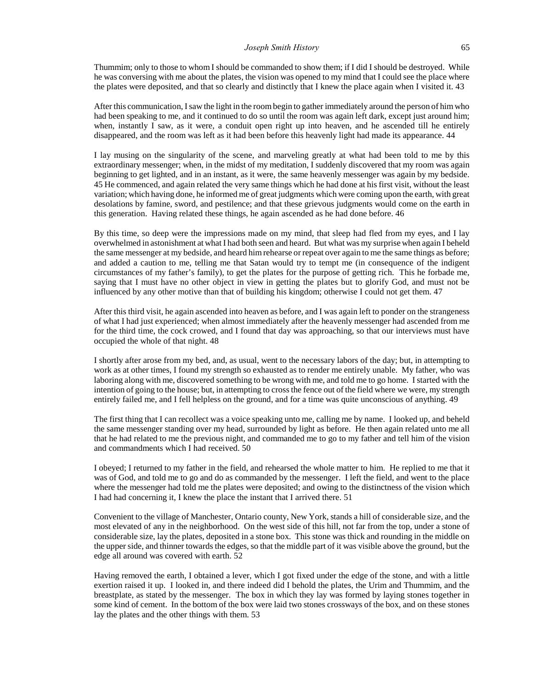Thummim; only to those to whom I should be commanded to show them; if I did I should be destroyed. While he was conversing with me about the plates, the vision was opened to my mind that I could see the place where the plates were deposited, and that so clearly and distinctly that I knew the place again when I visited it. 43

After this communication, I saw the light in the room begin to gather immediately around the person of him who had been speaking to me, and it continued to do so until the room was again left dark, except just around him; when, instantly I saw, as it were, a conduit open right up into heaven, and he ascended till he entirely disappeared, and the room was left as it had been before this heavenly light had made its appearance. 44

I lay musing on the singularity of the scene, and marveling greatly at what had been told to me by this extraordinary messenger; when, in the midst of my meditation, I suddenly discovered that my room was again beginning to get lighted, and in an instant, as it were, the same heavenly messenger was again by my bedside. 45 He commenced, and again related the very same things which he had done at his first visit, without the least variation; which having done, he informed me of great judgments which were coming upon the earth, with great desolations by famine, sword, and pestilence; and that these grievous judgments would come on the earth in this generation. Having related these things, he again ascended as he had done before. 46

By this time, so deep were the impressions made on my mind, that sleep had fled from my eyes, and I lay overwhelmed in astonishment at what I had both seen and heard. But what was my surprise when again I beheld the same messenger at my bedside, and heard him rehearse or repeat over again to me the same things as before; and added a caution to me, telling me that Satan would try to tempt me (in consequence of the indigent circumstances of my father's family), to get the plates for the purpose of getting rich. This he forbade me, saying that I must have no other object in view in getting the plates but to glorify God, and must not be influenced by any other motive than that of building his kingdom; otherwise I could not get them. 47

After this third visit, he again ascended into heaven as before, and I was again left to ponder on the strangeness of what I had just experienced; when almost immediately after the heavenly messenger had ascended from me for the third time, the cock crowed, and I found that day was approaching, so that our interviews must have occupied the whole of that night. 48

I shortly after arose from my bed, and, as usual, went to the necessary labors of the day; but, in attempting to work as at other times, I found my strength so exhausted as to render me entirely unable. My father, who was laboring along with me, discovered something to be wrong with me, and told me to go home. I started with the intention of going to the house; but, in attempting to cross the fence out of the field where we were, my strength entirely failed me, and I fell helpless on the ground, and for a time was quite unconscious of anything. 49

The first thing that I can recollect was a voice speaking unto me, calling me by name. I looked up, and beheld the same messenger standing over my head, surrounded by light as before. He then again related unto me all that he had related to me the previous night, and commanded me to go to my father and tell him of the vision and commandments which I had received. 50

I obeyed; I returned to my father in the field, and rehearsed the whole matter to him. He replied to me that it was of God, and told me to go and do as commanded by the messenger. I left the field, and went to the place where the messenger had told me the plates were deposited; and owing to the distinctness of the vision which I had had concerning it, I knew the place the instant that I arrived there. 51

Convenient to the village of Manchester, Ontario county, New York, stands a hill of considerable size, and the most elevated of any in the neighborhood. On the west side of this hill, not far from the top, under a stone of considerable size, lay the plates, deposited in a stone box. This stone was thick and rounding in the middle on the upper side, and thinner towards the edges, so that the middle part of it was visible above the ground, but the edge all around was covered with earth. 52

Having removed the earth, I obtained a lever, which I got fixed under the edge of the stone, and with a little exertion raised it up. I looked in, and there indeed did I behold the plates, the Urim and Thummim, and the breastplate, as stated by the messenger. The box in which they lay was formed by laying stones together in some kind of cement. In the bottom of the box were laid two stones crossways of the box, and on these stones lay the plates and the other things with them. 53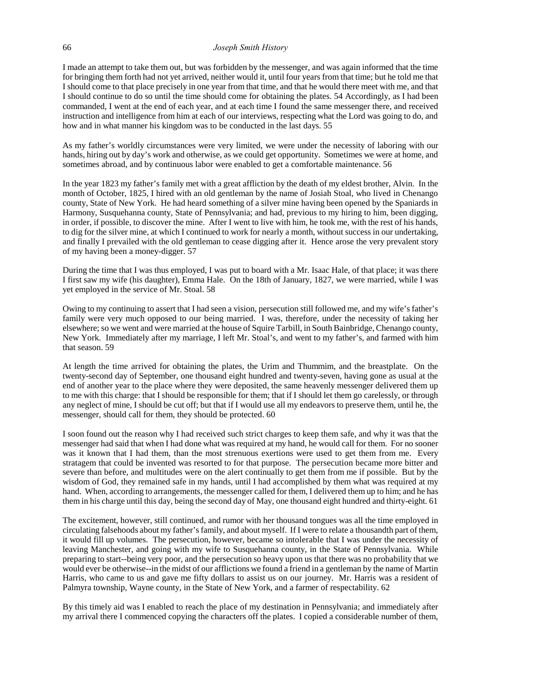## 66 *Joseph Smith History*

I made an attempt to take them out, but was forbidden by the messenger, and was again informed that the time for bringing them forth had not yet arrived, neither would it, until four years from that time; but he told me that I should come to that place precisely in one year from that time, and that he would there meet with me, and that I should continue to do so until the time should come for obtaining the plates. 54 Accordingly, as I had been commanded, I went at the end of each year, and at each time I found the same messenger there, and received instruction and intelligence from him at each of our interviews, respecting what the Lord was going to do, and how and in what manner his kingdom was to be conducted in the last days. 55

As my father's worldly circumstances were very limited, we were under the necessity of laboring with our hands, hiring out by day's work and otherwise, as we could get opportunity. Sometimes we were at home, and sometimes abroad, and by continuous labor were enabled to get a comfortable maintenance. 56

In the year 1823 my father's family met with a great affliction by the death of my eldest brother, Alvin. In the month of October, 1825, I hired with an old gentleman by the name of Josiah Stoal, who lived in Chenango county, State of New York. He had heard something of a silver mine having been opened by the Spaniards in Harmony, Susquehanna county, State of Pennsylvania; and had, previous to my hiring to him, been digging, in order, if possible, to discover the mine. After I went to live with him, he took me, with the rest of his hands, to dig for the silver mine, at which I continued to work for nearly a month, without success in our undertaking, and finally I prevailed with the old gentleman to cease digging after it. Hence arose the very prevalent story of my having been a money-digger. 57

During the time that I was thus employed, I was put to board with a Mr. Isaac Hale, of that place; it was there I first saw my wife (his daughter), Emma Hale. On the 18th of January, 1827, we were married, while I was yet employed in the service of Mr. Stoal. 58

Owing to my continuing to assert that I had seen a vision, persecution still followed me, and my wife's father's family were very much opposed to our being married. I was, therefore, under the necessity of taking her elsewhere; so we went and were married at the house of Squire Tarbill, in South Bainbridge, Chenango county, New York. Immediately after my marriage, I left Mr. Stoal's, and went to my father's, and farmed with him that season. 59

At length the time arrived for obtaining the plates, the Urim and Thummim, and the breastplate. On the twenty-second day of September, one thousand eight hundred and twenty-seven, having gone as usual at the end of another year to the place where they were deposited, the same heavenly messenger delivered them up to me with this charge: that I should be responsible for them; that if I should let them go carelessly, or through any neglect of mine, I should be cut off; but that if I would use all my endeavors to preserve them, until he, the messenger, should call for them, they should be protected. 60

I soon found out the reason why I had received such strict charges to keep them safe, and why it was that the messenger had said that when I had done what was required at my hand, he would call for them. For no sooner was it known that I had them, than the most strenuous exertions were used to get them from me. Every stratagem that could be invented was resorted to for that purpose. The persecution became more bitter and severe than before, and multitudes were on the alert continually to get them from me if possible. But by the wisdom of God, they remained safe in my hands, until I had accomplished by them what was required at my hand. When, according to arrangements, the messenger called for them, I delivered them up to him; and he has them in his charge until this day, being the second day of May, one thousand eight hundred and thirty-eight. 61

The excitement, however, still continued, and rumor with her thousand tongues was all the time employed in circulating falsehoods about my father's family, and about myself. If I were to relate a thousandth part of them, it would fill up volumes. The persecution, however, became so intolerable that I was under the necessity of leaving Manchester, and going with my wife to Susquehanna county, in the State of Pennsylvania. While preparing to start--being very poor, and the persecution so heavy upon us that there was no probability that we would ever be otherwise--in the midst of our afflictions we found a friend in a gentleman by the name of Martin Harris, who came to us and gave me fifty dollars to assist us on our journey. Mr. Harris was a resident of Palmyra township, Wayne county, in the State of New York, and a farmer of respectability. 62

By this timely aid was I enabled to reach the place of my destination in Pennsylvania; and immediately after my arrival there I commenced copying the characters off the plates. I copied a considerable number of them,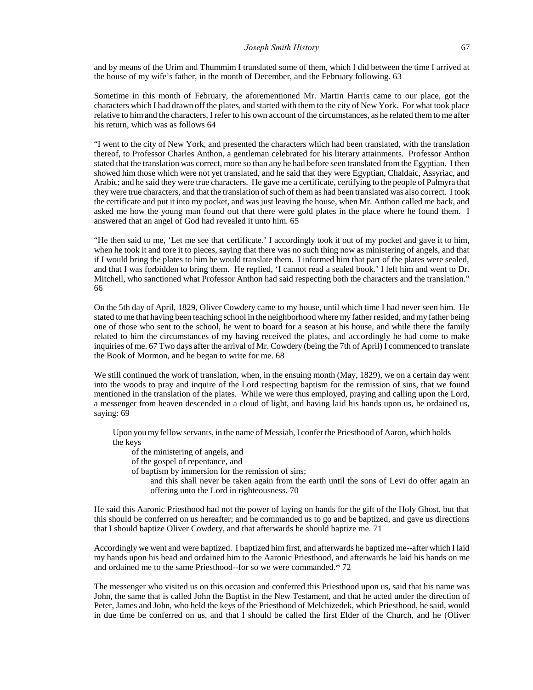and by means of the Urim and Thummim I translated some of them, which I did between the time I arrived at the house of my wife's father, in the month of December, and the February following. 63

Sometime in this month of February, the aforementioned Mr. Martin Harris came to our place, got the characters which I had drawn off the plates, and started with them to the city of New York. For what took place relative to him and the characters, I refer to his own account of the circumstances, as he related them to me after his return, which was as follows 64

"I went to the city of New York, and presented the characters which had been translated, with the translation thereof, to Professor Charles Anthon, a gentleman celebrated for his literary attainments. Professor Anthon stated that the translation was correct, more so than any he had before seen translated from the Egyptian. I then showed him those which were not yet translated, and he said that they were Egyptian, Chaldaic, Assyriac, and Arabic; and he said they were true characters. He gave me a certificate, certifying to the people of Palmyra that they were true characters, and that the translation of such of them as had been translated was also correct. I took the certificate and put it into my pocket, and was just leaving the house, when Mr. Anthon called me back, and asked me how the young man found out that there were gold plates in the place where he found them. I answered that an angel of God had revealed it unto him. 65

"He then said to me, 'Let me see that certificate.' I accordingly took it out of my pocket and gave it to him, when he took it and tore it to pieces, saying that there was no such thing now as ministering of angels, and that if I would bring the plates to him he would translate them. I informed him that part of the plates were sealed, and that I was forbidden to bring them. He replied, 'I cannot read a sealed book.' I left him and went to Dr. Mitchell, who sanctioned what Professor Anthon had said respecting both the characters and the translation." 66

On the 5th day of April, 1829, Oliver Cowdery came to my house, until which time I had never seen him. He stated to me that having been teaching school in the neighborhood where my father resided, and my father being one of those who sent to the school, he went to board for a season at his house, and while there the family related to him the circumstances of my having received the plates, and accordingly he had come to make inquiries of me. 67 Two days after the arrival of Mr. Cowdery (being the 7th of April) I commenced to translate the Book of Mormon, and he began to write for me. 68

We still continued the work of translation, when, in the ensuing month (May, 1829), we on a certain day went into the woods to pray and inquire of the Lord respecting baptism for the remission of sins, that we found mentioned in the translation of the plates. While we were thus employed, praying and calling upon the Lord, a messenger from heaven descended in a cloud of light, and having laid his hands upon us, he ordained us, saying: 69

Upon you my fellow servants, in the name of Messiah, I confer the Priesthood of Aaron, which holds the keys

of the ministering of angels, and

- of the gospel of repentance, and
- of baptism by immersion for the remission of sins;
	- and this shall never be taken again from the earth until the sons of Levi do offer again an offering unto the Lord in righteousness. 70

He said this Aaronic Priesthood had not the power of laying on hands for the gift of the Holy Ghost, but that this should be conferred on us hereafter; and he commanded us to go and be baptized, and gave us directions that I should baptize Oliver Cowdery, and that afterwards he should baptize me. 71

Accordingly we went and were baptized. I baptized him first, and afterwards he baptized me--after which I laid my hands upon his head and ordained him to the Aaronic Priesthood, and afterwards he laid his hands on me and ordained me to the same Priesthood--for so we were commanded.\* 72

The messenger who visited us on this occasion and conferred this Priesthood upon us, said that his name was John, the same that is called John the Baptist in the New Testament, and that he acted under the direction of Peter, James and John, who held the keys of the Priesthood of Melchizedek, which Priesthood, he said, would in due time be conferred on us, and that I should be called the first Elder of the Church, and he (Oliver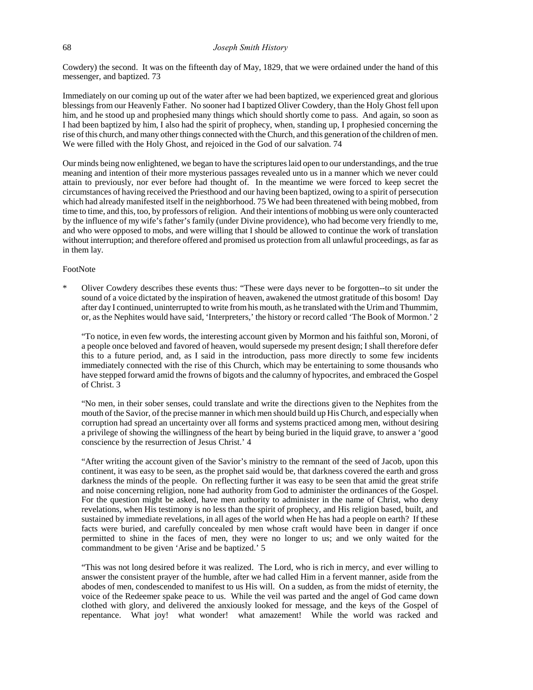Cowdery) the second. It was on the fifteenth day of May, 1829, that we were ordained under the hand of this messenger, and baptized. 73

Immediately on our coming up out of the water after we had been baptized, we experienced great and glorious blessings from our Heavenly Father. No sooner had I baptized Oliver Cowdery, than the Holy Ghost fell upon him, and he stood up and prophesied many things which should shortly come to pass. And again, so soon as I had been baptized by him, I also had the spirit of prophecy, when, standing up, I prophesied concerning the rise of this church, and many other things connected with the Church, and this generation of the children of men. We were filled with the Holy Ghost, and rejoiced in the God of our salvation. 74

Our minds being now enlightened, we began to have the scriptures laid open to our understandings, and the true meaning and intention of their more mysterious passages revealed unto us in a manner which we never could attain to previously, nor ever before had thought of. In the meantime we were forced to keep secret the circumstances of having received the Priesthood and our having been baptized, owing to a spirit of persecution which had already manifested itself in the neighborhood. 75 We had been threatened with being mobbed, from time to time, and this, too, by professors of religion. And their intentions of mobbing us were only counteracted by the influence of my wife's father's family (under Divine providence), who had become very friendly to me, and who were opposed to mobs, and were willing that I should be allowed to continue the work of translation without interruption; and therefore offered and promised us protection from all unlawful proceedings, as far as in them lay.

## FootNote

Oliver Cowdery describes these events thus: "These were days never to be forgotten--to sit under the sound of a voice dictated by the inspiration of heaven, awakened the utmost gratitude of this bosom! Day after day I continued, uninterrupted to write from his mouth, as he translated with the Urim and Thummim, or, as the Nephites would have said, 'Interpreters,' the history or record called 'The Book of Mormon.' 2

"To notice, in even few words, the interesting account given by Mormon and his faithful son, Moroni, of a people once beloved and favored of heaven, would supersede my present design; I shall therefore defer this to a future period, and, as I said in the introduction, pass more directly to some few incidents immediately connected with the rise of this Church, which may be entertaining to some thousands who have stepped forward amid the frowns of bigots and the calumny of hypocrites, and embraced the Gospel of Christ. 3

"No men, in their sober senses, could translate and write the directions given to the Nephites from the mouth of the Savior, of the precise manner in which men should build up His Church, and especially when corruption had spread an uncertainty over all forms and systems practiced among men, without desiring a privilege of showing the willingness of the heart by being buried in the liquid grave, to answer a 'good conscience by the resurrection of Jesus Christ.' 4

"After writing the account given of the Savior's ministry to the remnant of the seed of Jacob, upon this continent, it was easy to be seen, as the prophet said would be, that darkness covered the earth and gross darkness the minds of the people. On reflecting further it was easy to be seen that amid the great strife and noise concerning religion, none had authority from God to administer the ordinances of the Gospel. For the question might be asked, have men authority to administer in the name of Christ, who deny revelations, when His testimony is no less than the spirit of prophecy, and His religion based, built, and sustained by immediate revelations, in all ages of the world when He has had a people on earth? If these facts were buried, and carefully concealed by men whose craft would have been in danger if once permitted to shine in the faces of men, they were no longer to us; and we only waited for the commandment to be given 'Arise and be baptized.' 5

"This was not long desired before it was realized. The Lord, who is rich in mercy, and ever willing to answer the consistent prayer of the humble, after we had called Him in a fervent manner, aside from the abodes of men, condescended to manifest to us His will. On a sudden, as from the midst of eternity, the voice of the Redeemer spake peace to us. While the veil was parted and the angel of God came down clothed with glory, and delivered the anxiously looked for message, and the keys of the Gospel of repentance. What joy! what wonder! what amazement! While the world was racked and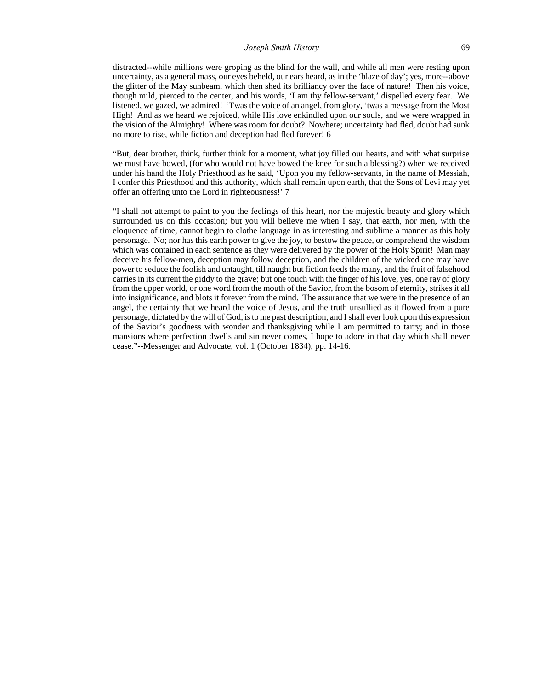distracted--while millions were groping as the blind for the wall, and while all men were resting upon uncertainty, as a general mass, our eyes beheld, our ears heard, as in the 'blaze of day'; yes, more--above the glitter of the May sunbeam, which then shed its brilliancy over the face of nature! Then his voice, though mild, pierced to the center, and his words, 'I am thy fellow-servant,' dispelled every fear. We listened, we gazed, we admired! 'Twas the voice of an angel, from glory, 'twas a message from the Most High! And as we heard we rejoiced, while His love enkindled upon our souls, and we were wrapped in the vision of the Almighty! Where was room for doubt? Nowhere; uncertainty had fled, doubt had sunk no more to rise, while fiction and deception had fled forever! 6

"But, dear brother, think, further think for a moment, what joy filled our hearts, and with what surprise we must have bowed, (for who would not have bowed the knee for such a blessing?) when we received under his hand the Holy Priesthood as he said, 'Upon you my fellow-servants, in the name of Messiah, I confer this Priesthood and this authority, which shall remain upon earth, that the Sons of Levi may yet offer an offering unto the Lord in righteousness!' 7

"I shall not attempt to paint to you the feelings of this heart, nor the majestic beauty and glory which surrounded us on this occasion; but you will believe me when I say, that earth, nor men, with the eloquence of time, cannot begin to clothe language in as interesting and sublime a manner as this holy personage. No; nor has this earth power to give the joy, to bestow the peace, or comprehend the wisdom which was contained in each sentence as they were delivered by the power of the Holy Spirit! Man may deceive his fellow-men, deception may follow deception, and the children of the wicked one may have power to seduce the foolish and untaught, till naught but fiction feeds the many, and the fruit of falsehood carries in its current the giddy to the grave; but one touch with the finger of his love, yes, one ray of glory from the upper world, or one word from the mouth of the Savior, from the bosom of eternity, strikes it all into insignificance, and blots it forever from the mind. The assurance that we were in the presence of an angel, the certainty that we heard the voice of Jesus, and the truth unsullied as it flowed from a pure personage, dictated by the will of God, is to me past description, and I shall ever look upon this expression of the Savior's goodness with wonder and thanksgiving while I am permitted to tarry; and in those mansions where perfection dwells and sin never comes, I hope to adore in that day which shall never cease."--Messenger and Advocate, vol. 1 (October 1834), pp. 14-16.